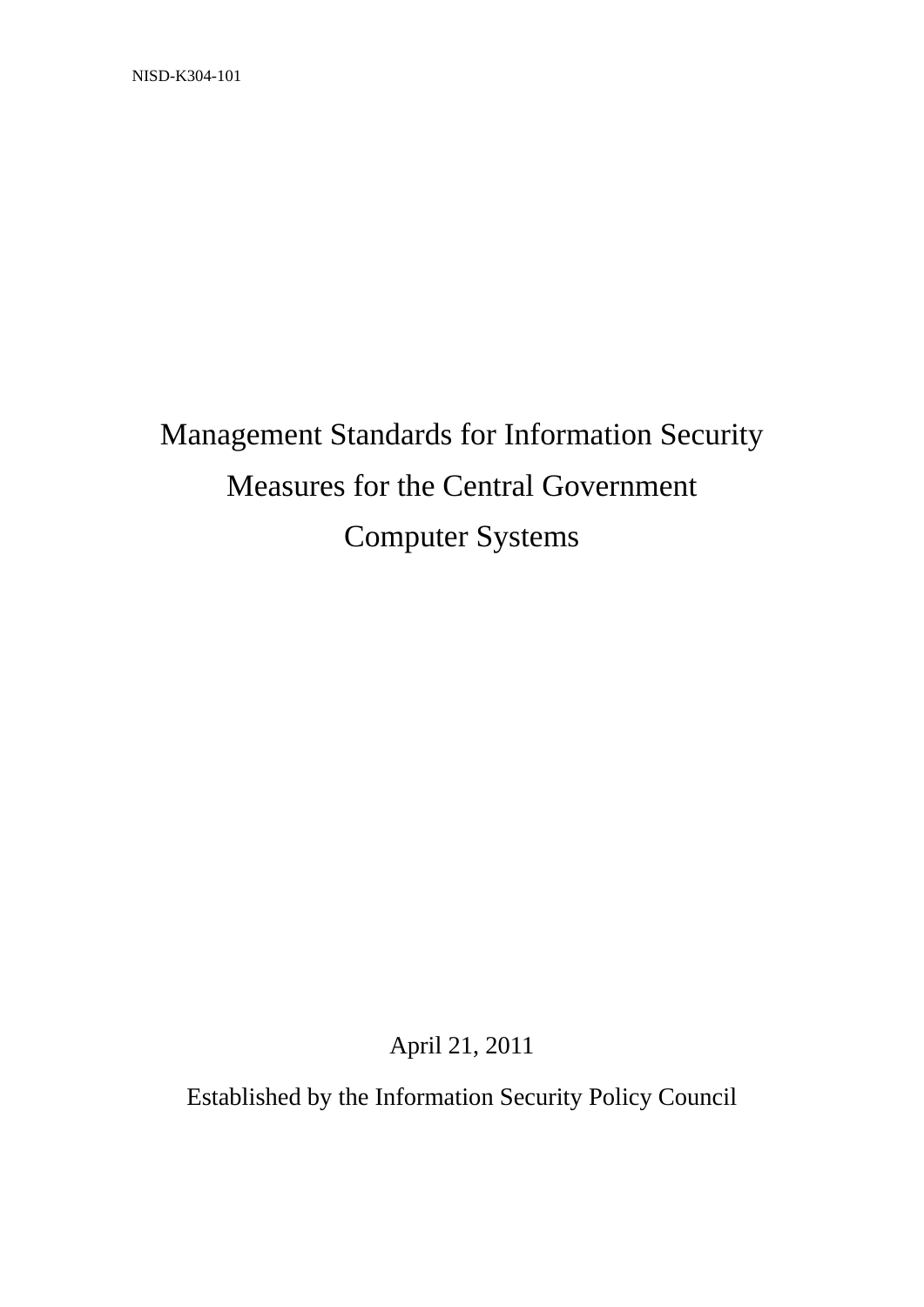# Management Standards for Information Security Measures for the Central Government Computer Systems

April 21, 2011

Established by the Information Security Policy Council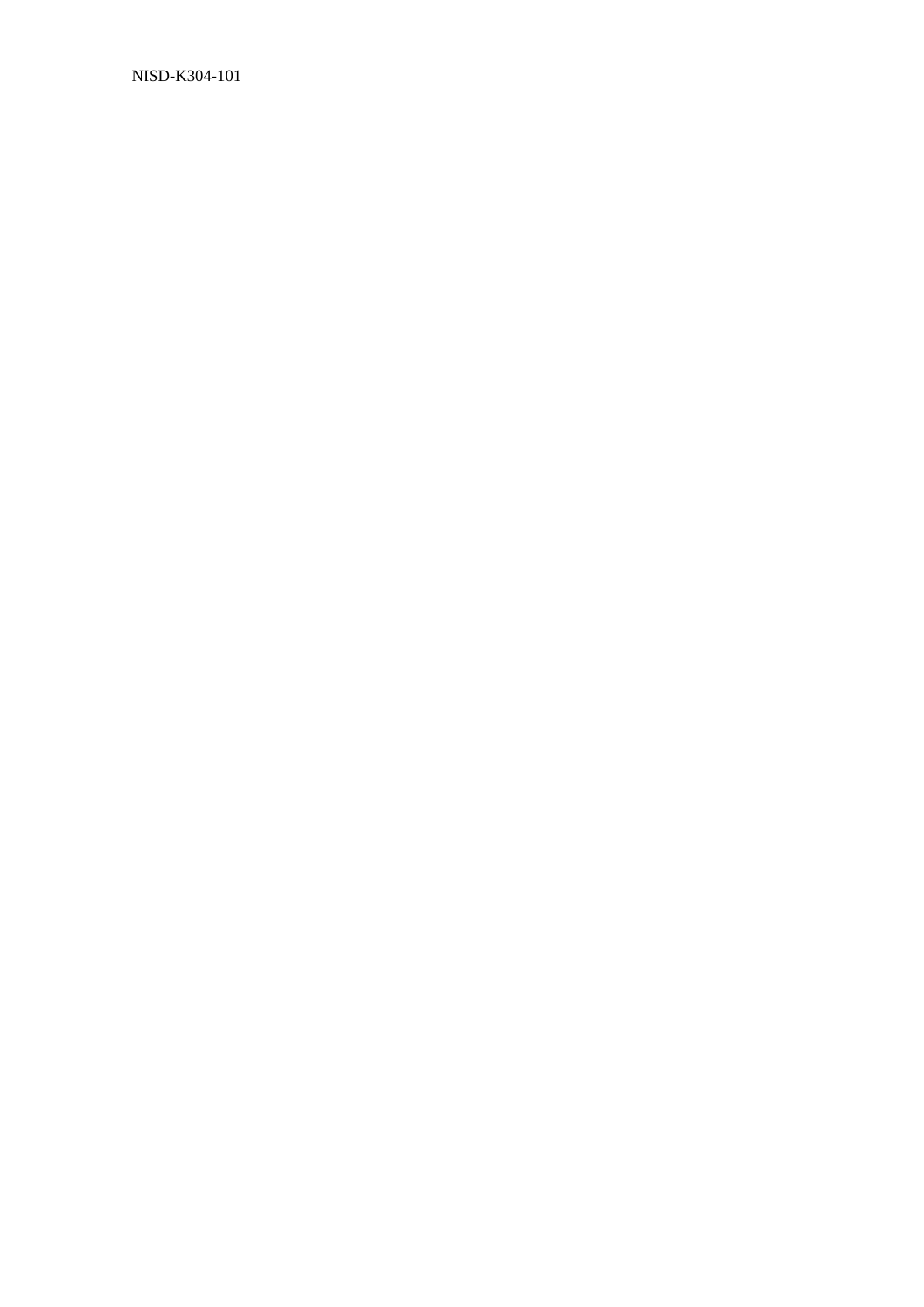NISD-K304-101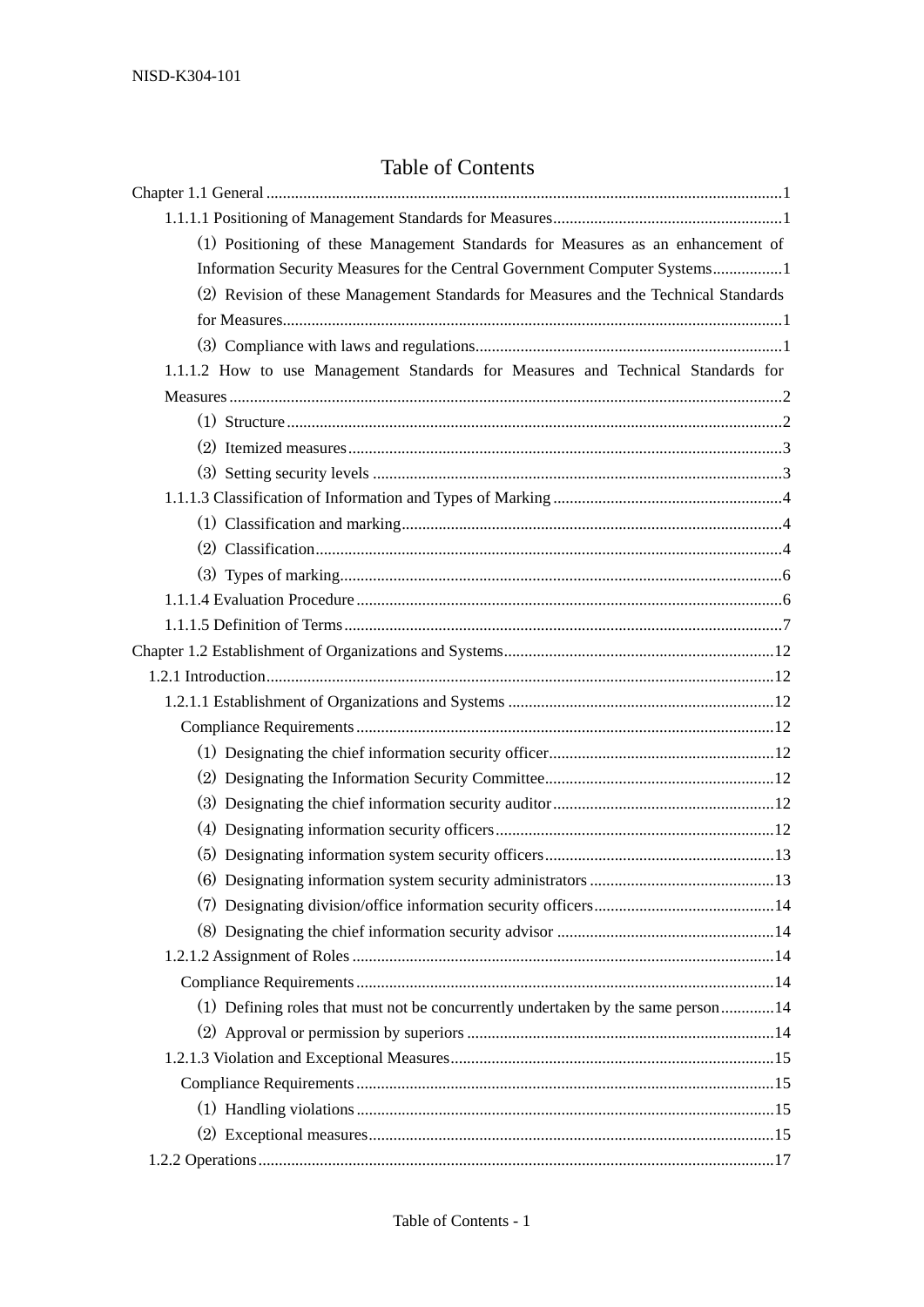# Table of Contents

| (1) Positioning of these Management Standards for Measures as an enhancement of     |  |
|-------------------------------------------------------------------------------------|--|
| Information Security Measures for the Central Government Computer Systems1          |  |
| (2) Revision of these Management Standards for Measures and the Technical Standards |  |
|                                                                                     |  |
|                                                                                     |  |
| 1.1.1.2 How to use Management Standards for Measures and Technical Standards for    |  |
|                                                                                     |  |
|                                                                                     |  |
|                                                                                     |  |
|                                                                                     |  |
|                                                                                     |  |
|                                                                                     |  |
|                                                                                     |  |
|                                                                                     |  |
|                                                                                     |  |
|                                                                                     |  |
|                                                                                     |  |
|                                                                                     |  |
|                                                                                     |  |
|                                                                                     |  |
|                                                                                     |  |
|                                                                                     |  |
|                                                                                     |  |
|                                                                                     |  |
|                                                                                     |  |
|                                                                                     |  |
|                                                                                     |  |
|                                                                                     |  |
|                                                                                     |  |
|                                                                                     |  |
| (1) Defining roles that must not be concurrently undertaken by the same person14    |  |
|                                                                                     |  |
|                                                                                     |  |
|                                                                                     |  |
|                                                                                     |  |
|                                                                                     |  |
|                                                                                     |  |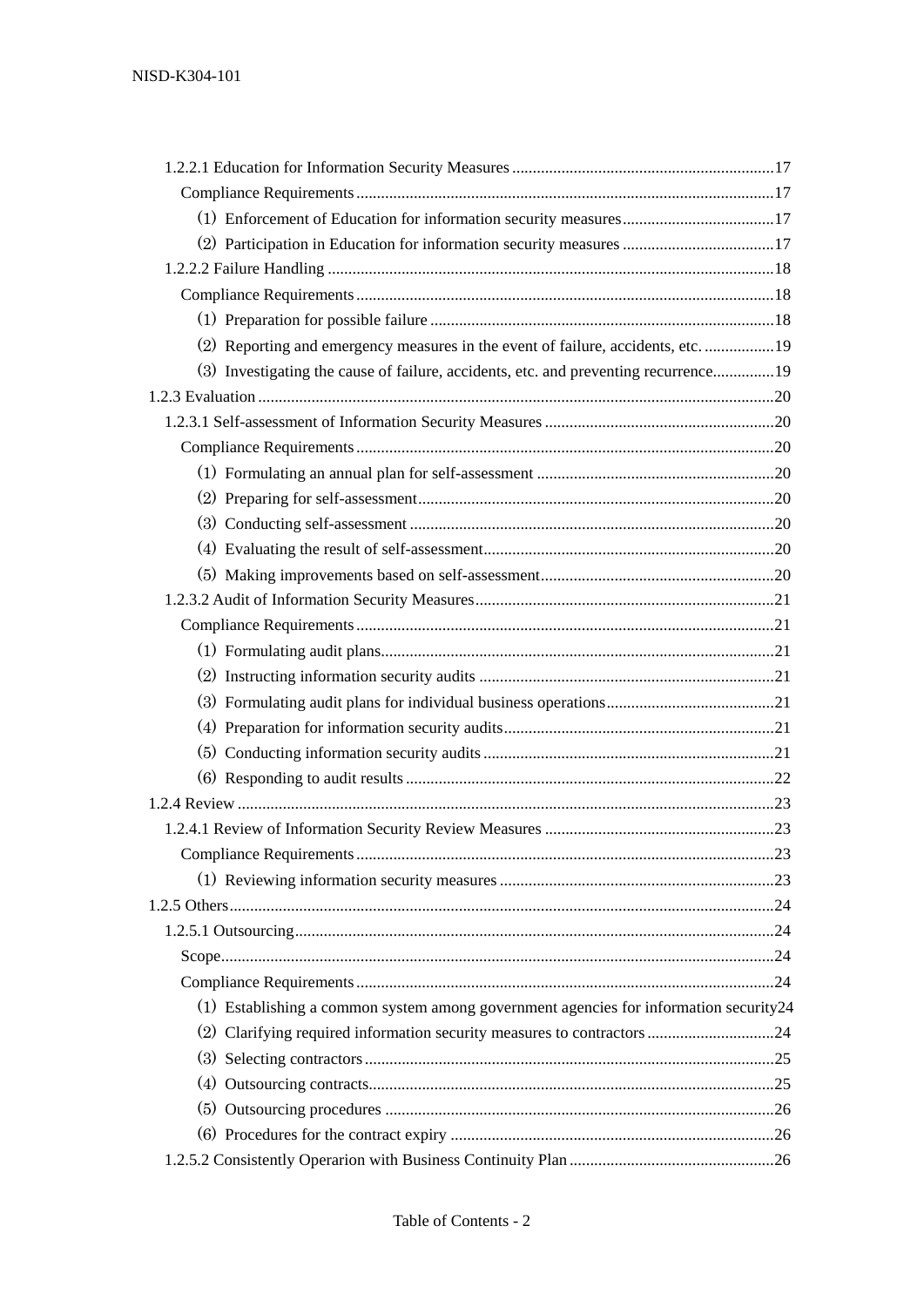| (2) Participation in Education for information security measures 17                   |  |
|---------------------------------------------------------------------------------------|--|
|                                                                                       |  |
|                                                                                       |  |
|                                                                                       |  |
| (2) Reporting and emergency measures in the event of failure, accidents, etc. 19      |  |
| (3) Investigating the cause of failure, accidents, etc. and preventing recurrence19   |  |
|                                                                                       |  |
|                                                                                       |  |
|                                                                                       |  |
|                                                                                       |  |
|                                                                                       |  |
|                                                                                       |  |
|                                                                                       |  |
|                                                                                       |  |
|                                                                                       |  |
|                                                                                       |  |
|                                                                                       |  |
|                                                                                       |  |
|                                                                                       |  |
|                                                                                       |  |
|                                                                                       |  |
|                                                                                       |  |
|                                                                                       |  |
|                                                                                       |  |
|                                                                                       |  |
|                                                                                       |  |
|                                                                                       |  |
|                                                                                       |  |
|                                                                                       |  |
|                                                                                       |  |
| (1) Establishing a common system among government agencies for information security24 |  |
|                                                                                       |  |
|                                                                                       |  |
|                                                                                       |  |
|                                                                                       |  |
|                                                                                       |  |
|                                                                                       |  |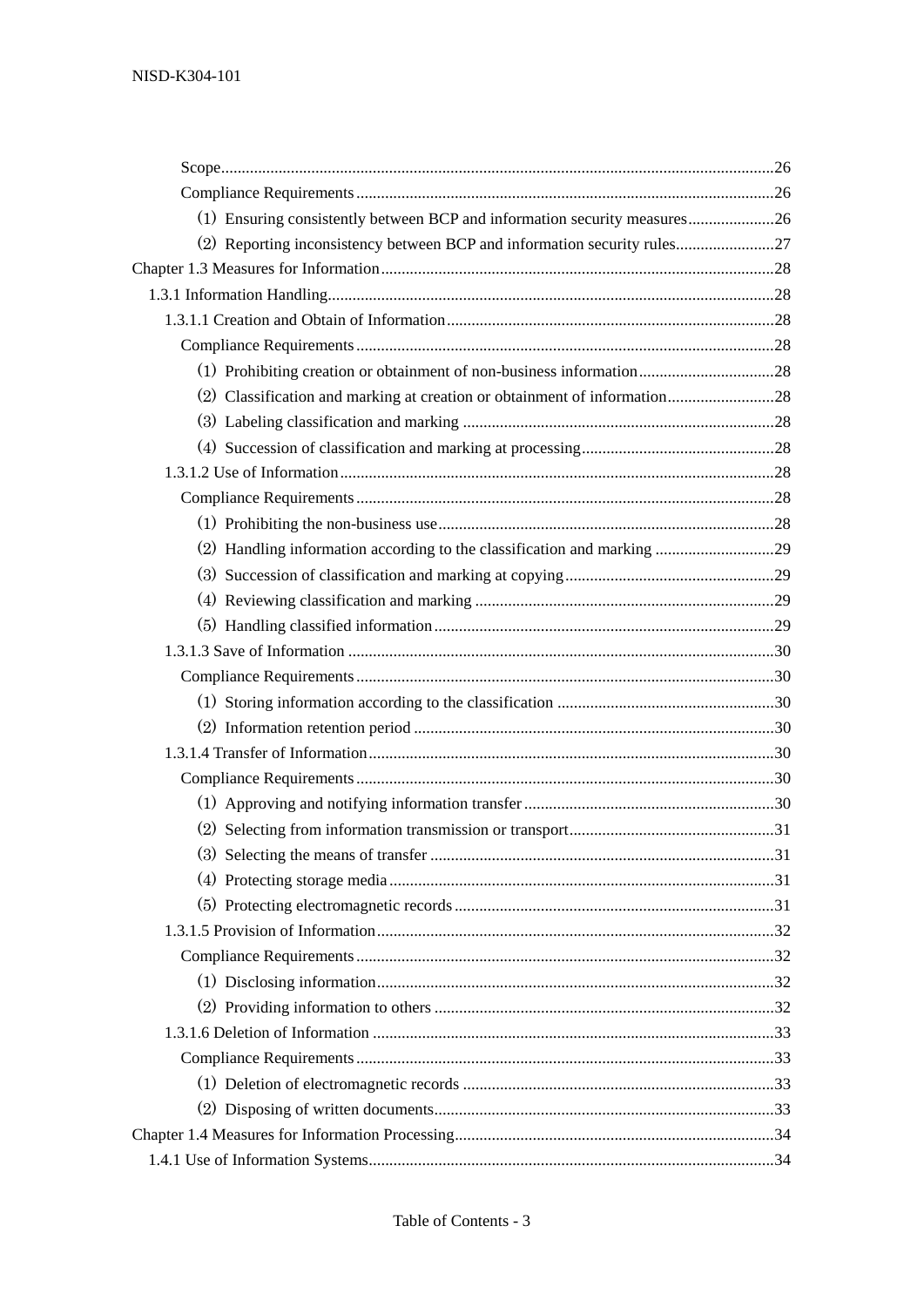| (1) Ensuring consistently between BCP and information security measures26 |  |
|---------------------------------------------------------------------------|--|
|                                                                           |  |
|                                                                           |  |
|                                                                           |  |
|                                                                           |  |
|                                                                           |  |
|                                                                           |  |
|                                                                           |  |
|                                                                           |  |
|                                                                           |  |
|                                                                           |  |
|                                                                           |  |
|                                                                           |  |
|                                                                           |  |
|                                                                           |  |
|                                                                           |  |
|                                                                           |  |
|                                                                           |  |
|                                                                           |  |
|                                                                           |  |
|                                                                           |  |
|                                                                           |  |
|                                                                           |  |
|                                                                           |  |
|                                                                           |  |
|                                                                           |  |
|                                                                           |  |
|                                                                           |  |
|                                                                           |  |
|                                                                           |  |
|                                                                           |  |
|                                                                           |  |
|                                                                           |  |
|                                                                           |  |
|                                                                           |  |
|                                                                           |  |
|                                                                           |  |
|                                                                           |  |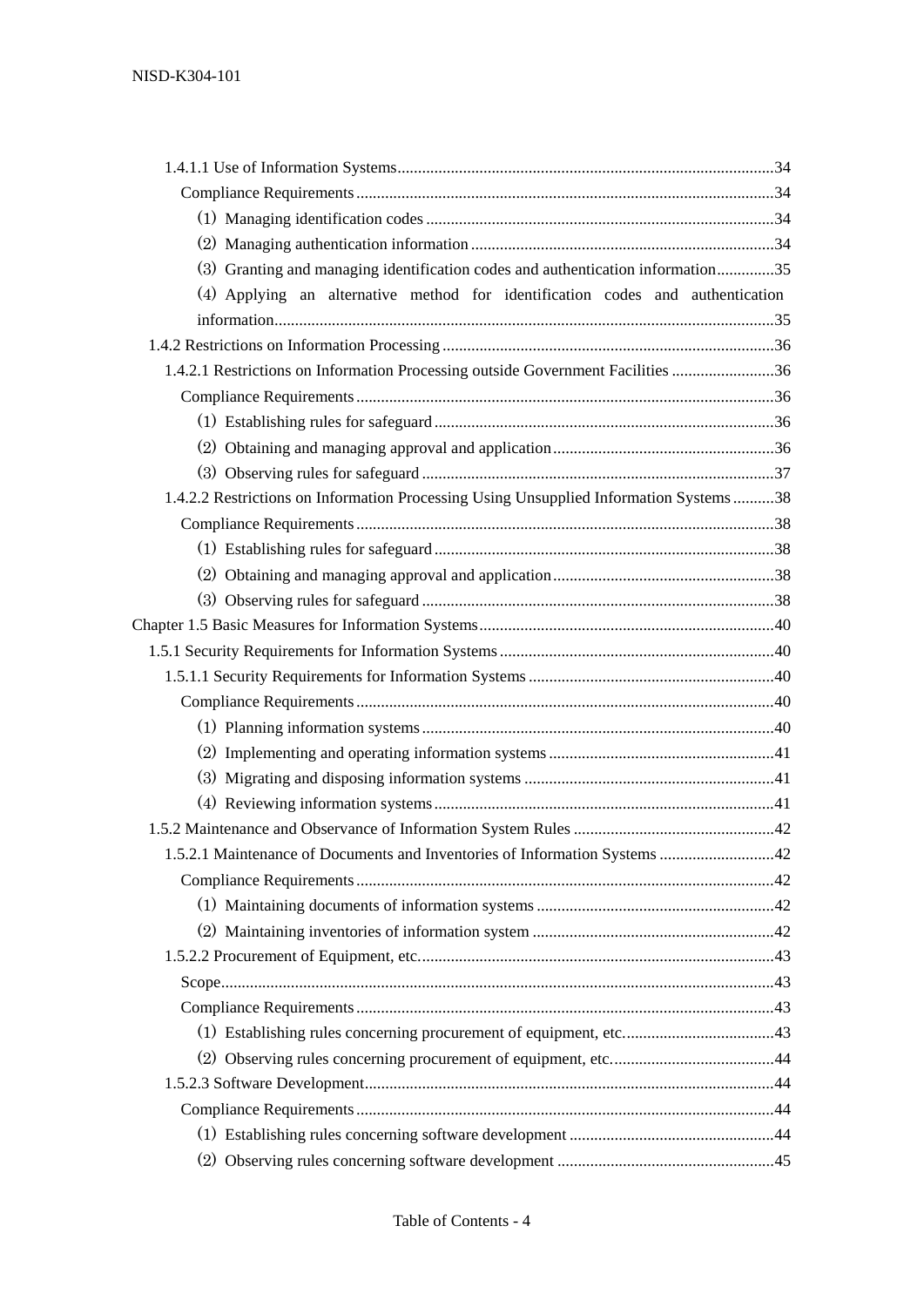| (3) Granting and managing identification codes and authentication information35       |  |
|---------------------------------------------------------------------------------------|--|
| (4) Applying an alternative method for identification codes and authentication        |  |
|                                                                                       |  |
|                                                                                       |  |
| 1.4.2.1 Restrictions on Information Processing outside Government Facilities 36       |  |
|                                                                                       |  |
|                                                                                       |  |
|                                                                                       |  |
|                                                                                       |  |
| 1.4.2.2 Restrictions on Information Processing Using Unsupplied Information Systems38 |  |
|                                                                                       |  |
|                                                                                       |  |
|                                                                                       |  |
|                                                                                       |  |
|                                                                                       |  |
|                                                                                       |  |
|                                                                                       |  |
|                                                                                       |  |
|                                                                                       |  |
|                                                                                       |  |
|                                                                                       |  |
|                                                                                       |  |
|                                                                                       |  |
| 1.5.2.1 Maintenance of Documents and Inventories of Information Systems 42            |  |
|                                                                                       |  |
|                                                                                       |  |
|                                                                                       |  |
|                                                                                       |  |
|                                                                                       |  |
|                                                                                       |  |
|                                                                                       |  |
|                                                                                       |  |
|                                                                                       |  |
|                                                                                       |  |
|                                                                                       |  |
|                                                                                       |  |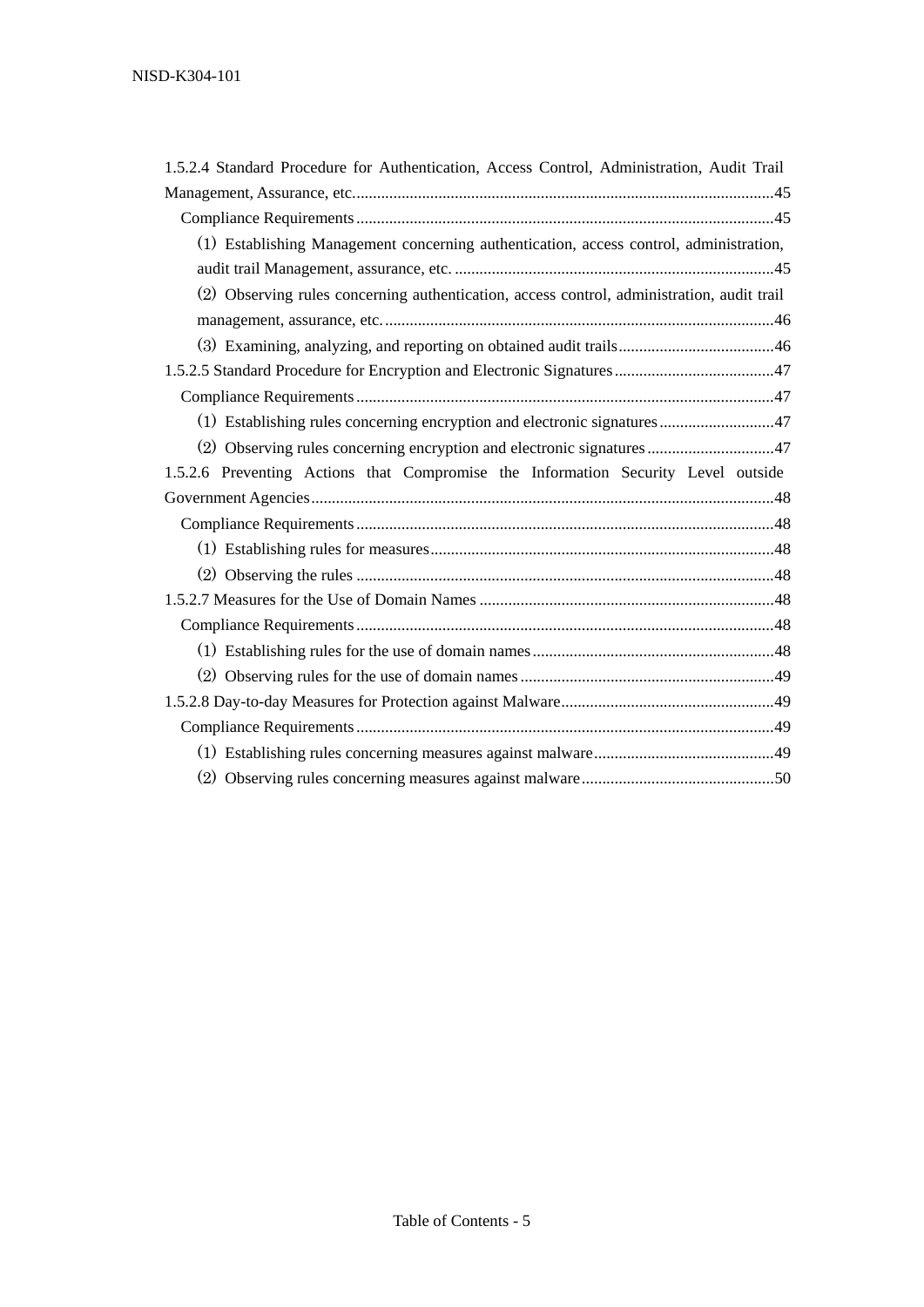| 1.5.2.4 Standard Procedure for Authentication, Access Control, Administration, Audit Trail |
|--------------------------------------------------------------------------------------------|
|                                                                                            |
|                                                                                            |
| (1) Establishing Management concerning authentication, access control, administration,     |
|                                                                                            |
| (2) Observing rules concerning authentication, access control, administration, audit trail |
|                                                                                            |
|                                                                                            |
|                                                                                            |
|                                                                                            |
|                                                                                            |
|                                                                                            |
| 1.5.2.6 Preventing Actions that Compromise the Information Security Level outside          |
|                                                                                            |
|                                                                                            |
|                                                                                            |
|                                                                                            |
|                                                                                            |
|                                                                                            |
|                                                                                            |
|                                                                                            |
|                                                                                            |
|                                                                                            |
|                                                                                            |
|                                                                                            |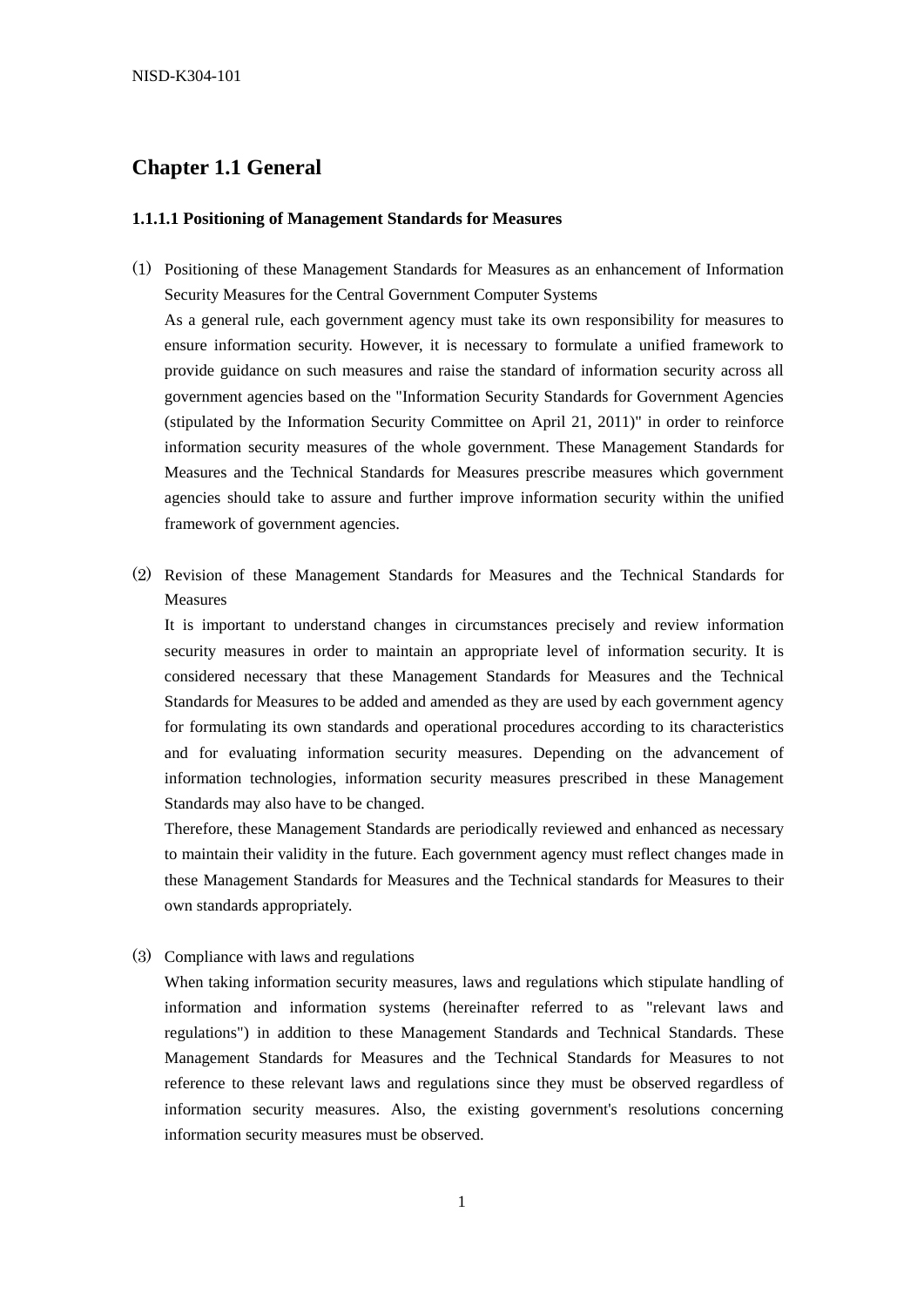# **Chapter 1.1 General**

#### **1.1.1.1 Positioning of Management Standards for Measures**

- (1) Positioning of these Management Standards for Measures as an enhancement of Information Security Measures for the Central Government Computer Systems As a general rule, each government agency must take its own responsibility for measures to ensure information security. However, it is necessary to formulate a unified framework to provide guidance on such measures and raise the standard of information security across all government agencies based on the "Information Security Standards for Government Agencies (stipulated by the Information Security Committee on April 21, 2011)" in order to reinforce information security measures of the whole government. These Management Standards for Measures and the Technical Standards for Measures prescribe measures which government agencies should take to assure and further improve information security within the unified framework of government agencies.
- (2) Revision of these Management Standards for Measures and the Technical Standards for Measures

It is important to understand changes in circumstances precisely and review information security measures in order to maintain an appropriate level of information security. It is considered necessary that these Management Standards for Measures and the Technical Standards for Measures to be added and amended as they are used by each government agency for formulating its own standards and operational procedures according to its characteristics and for evaluating information security measures. Depending on the advancement of information technologies, information security measures prescribed in these Management Standards may also have to be changed.

Therefore, these Management Standards are periodically reviewed and enhanced as necessary to maintain their validity in the future. Each government agency must reflect changes made in these Management Standards for Measures and the Technical standards for Measures to their own standards appropriately.

(3) Compliance with laws and regulations

When taking information security measures, laws and regulations which stipulate handling of information and information systems (hereinafter referred to as "relevant laws and regulations") in addition to these Management Standards and Technical Standards. These Management Standards for Measures and the Technical Standards for Measures to not reference to these relevant laws and regulations since they must be observed regardless of information security measures. Also, the existing government's resolutions concerning information security measures must be observed.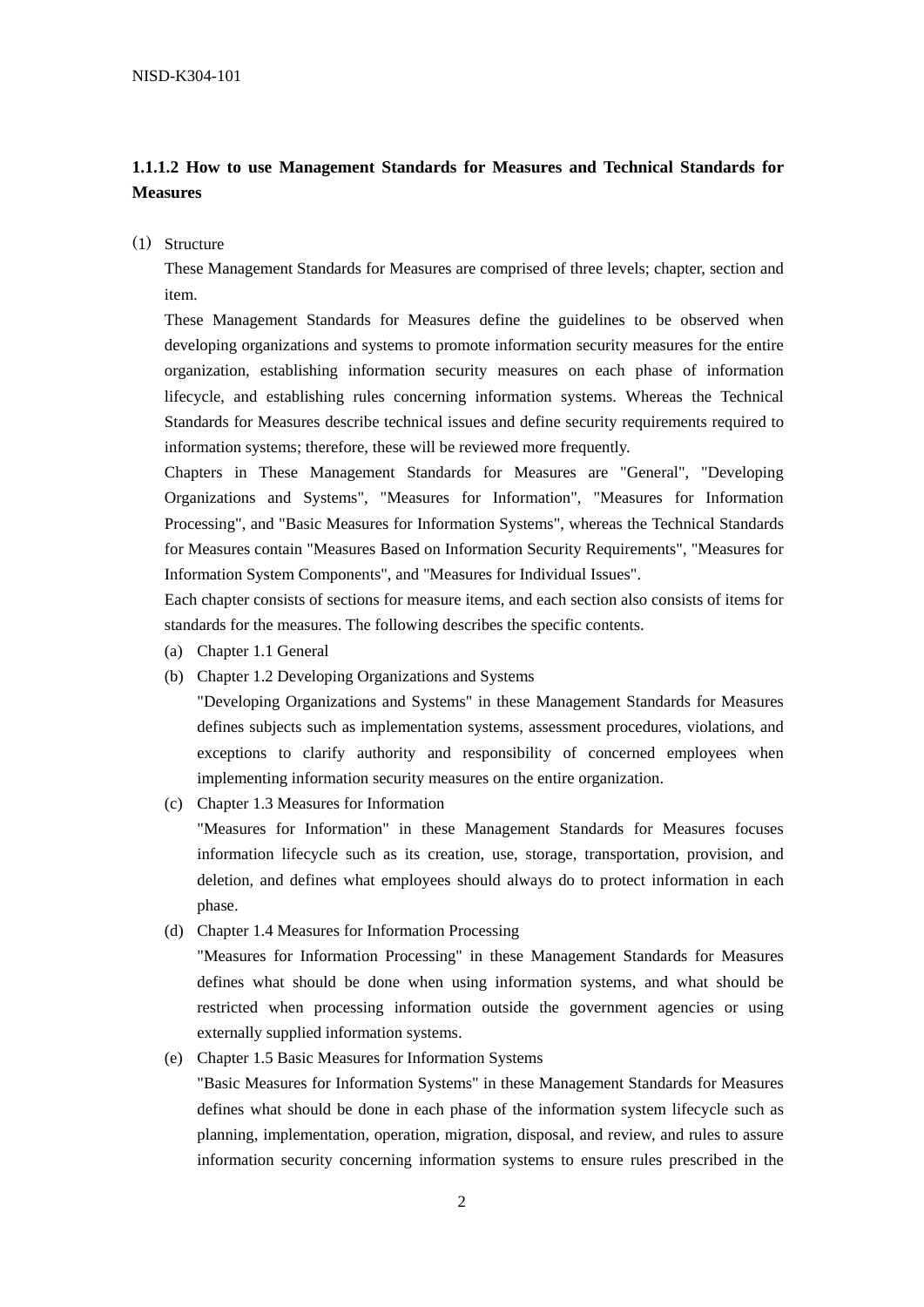# **1.1.1.2 How to use Management Standards for Measures and Technical Standards for Measures**

(1) Structure

These Management Standards for Measures are comprised of three levels; chapter, section and item.

These Management Standards for Measures define the guidelines to be observed when developing organizations and systems to promote information security measures for the entire organization, establishing information security measures on each phase of information lifecycle, and establishing rules concerning information systems. Whereas the Technical Standards for Measures describe technical issues and define security requirements required to information systems; therefore, these will be reviewed more frequently.

Chapters in These Management Standards for Measures are "General", "Developing Organizations and Systems", "Measures for Information", "Measures for Information Processing", and "Basic Measures for Information Systems", whereas the Technical Standards for Measures contain "Measures Based on Information Security Requirements", "Measures for Information System Components", and "Measures for Individual Issues".

Each chapter consists of sections for measure items, and each section also consists of items for standards for the measures. The following describes the specific contents.

- (a) Chapter 1.1 General
- (b) Chapter 1.2 Developing Organizations and Systems

"Developing Organizations and Systems" in these Management Standards for Measures defines subjects such as implementation systems, assessment procedures, violations, and exceptions to clarify authority and responsibility of concerned employees when implementing information security measures on the entire organization.

(c) Chapter 1.3 Measures for Information

"Measures for Information" in these Management Standards for Measures focuses information lifecycle such as its creation, use, storage, transportation, provision, and deletion, and defines what employees should always do to protect information in each phase.

(d) Chapter 1.4 Measures for Information Processing

"Measures for Information Processing" in these Management Standards for Measures defines what should be done when using information systems, and what should be restricted when processing information outside the government agencies or using externally supplied information systems.

(e) Chapter 1.5 Basic Measures for Information Systems

"Basic Measures for Information Systems" in these Management Standards for Measures defines what should be done in each phase of the information system lifecycle such as planning, implementation, operation, migration, disposal, and review, and rules to assure information security concerning information systems to ensure rules prescribed in the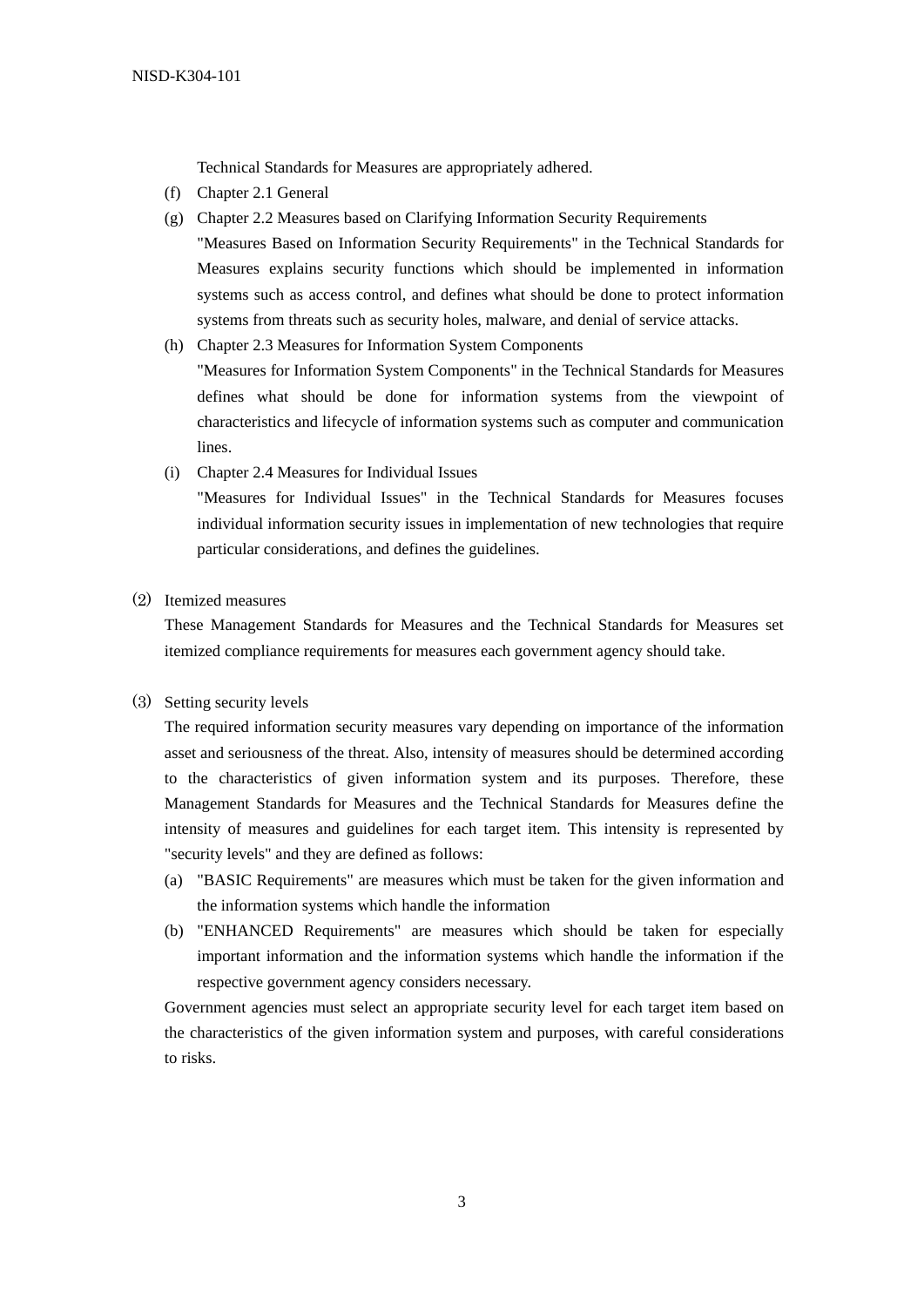Technical Standards for Measures are appropriately adhered.

- (f) Chapter 2.1 General
- (g) Chapter 2.2 Measures based on Clarifying Information Security Requirements "Measures Based on Information Security Requirements" in the Technical Standards for Measures explains security functions which should be implemented in information systems such as access control, and defines what should be done to protect information systems from threats such as security holes, malware, and denial of service attacks.
- (h) Chapter 2.3 Measures for Information System Components "Measures for Information System Components" in the Technical Standards for Measures defines what should be done for information systems from the viewpoint of characteristics and lifecycle of information systems such as computer and communication lines.
- (i) Chapter 2.4 Measures for Individual Issues

"Measures for Individual Issues" in the Technical Standards for Measures focuses individual information security issues in implementation of new technologies that require particular considerations, and defines the guidelines.

#### (2) Itemized measures

These Management Standards for Measures and the Technical Standards for Measures set itemized compliance requirements for measures each government agency should take.

#### (3) Setting security levels

The required information security measures vary depending on importance of the information asset and seriousness of the threat. Also, intensity of measures should be determined according to the characteristics of given information system and its purposes. Therefore, these Management Standards for Measures and the Technical Standards for Measures define the intensity of measures and guidelines for each target item. This intensity is represented by "security levels" and they are defined as follows:

- (a) "BASIC Requirements" are measures which must be taken for the given information and the information systems which handle the information
- (b) "ENHANCED Requirements" are measures which should be taken for especially important information and the information systems which handle the information if the respective government agency considers necessary.

Government agencies must select an appropriate security level for each target item based on the characteristics of the given information system and purposes, with careful considerations to risks.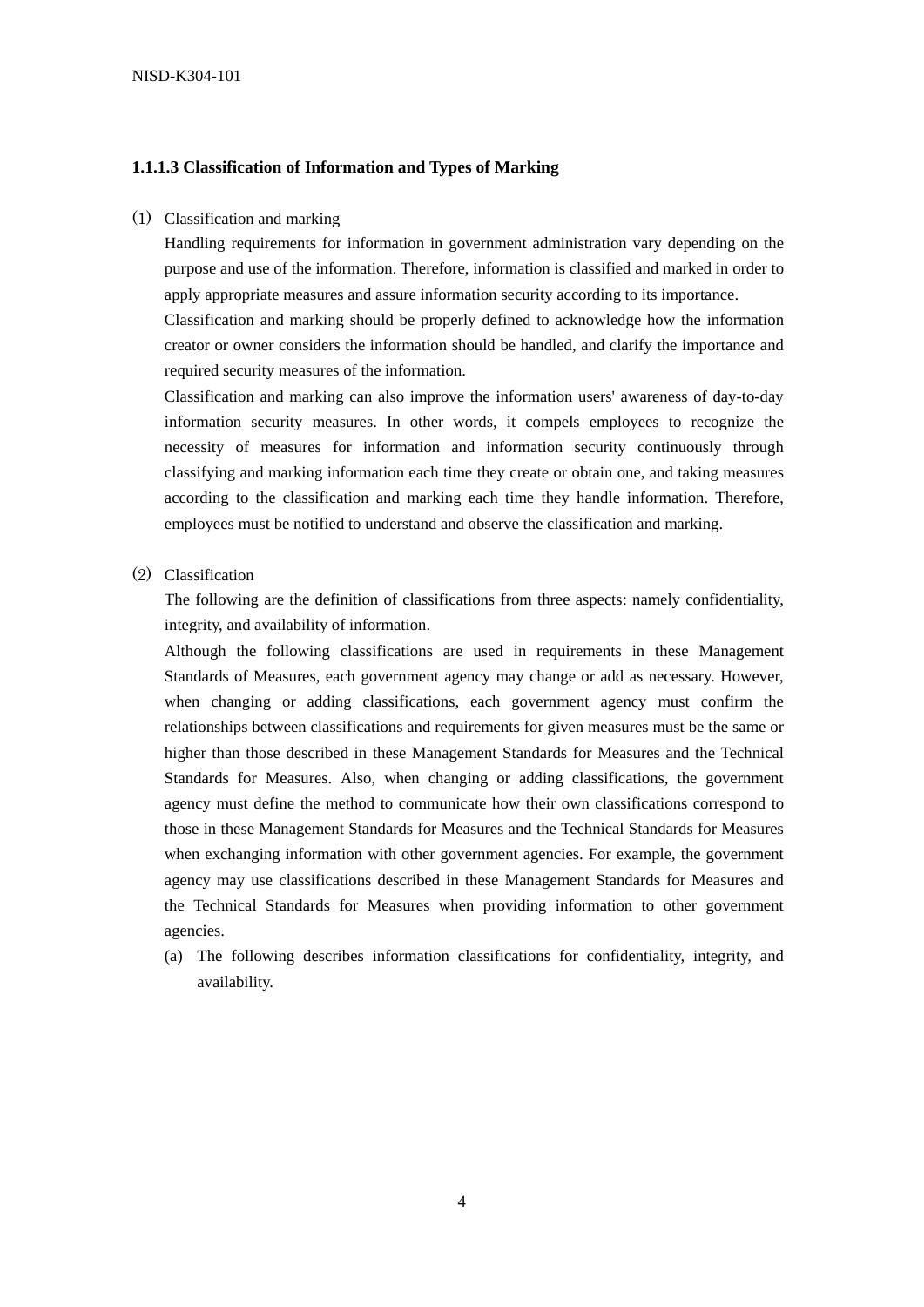#### **1.1.1.3 Classification of Information and Types of Marking**

#### (1) Classification and marking

Handling requirements for information in government administration vary depending on the purpose and use of the information. Therefore, information is classified and marked in order to apply appropriate measures and assure information security according to its importance.

Classification and marking should be properly defined to acknowledge how the information creator or owner considers the information should be handled, and clarify the importance and required security measures of the information.

Classification and marking can also improve the information users' awareness of day-to-day information security measures. In other words, it compels employees to recognize the necessity of measures for information and information security continuously through classifying and marking information each time they create or obtain one, and taking measures according to the classification and marking each time they handle information. Therefore, employees must be notified to understand and observe the classification and marking.

(2) Classification

The following are the definition of classifications from three aspects: namely confidentiality, integrity, and availability of information.

Although the following classifications are used in requirements in these Management Standards of Measures, each government agency may change or add as necessary. However, when changing or adding classifications, each government agency must confirm the relationships between classifications and requirements for given measures must be the same or higher than those described in these Management Standards for Measures and the Technical Standards for Measures. Also, when changing or adding classifications, the government agency must define the method to communicate how their own classifications correspond to those in these Management Standards for Measures and the Technical Standards for Measures when exchanging information with other government agencies. For example, the government agency may use classifications described in these Management Standards for Measures and the Technical Standards for Measures when providing information to other government agencies.

(a) The following describes information classifications for confidentiality, integrity, and availability.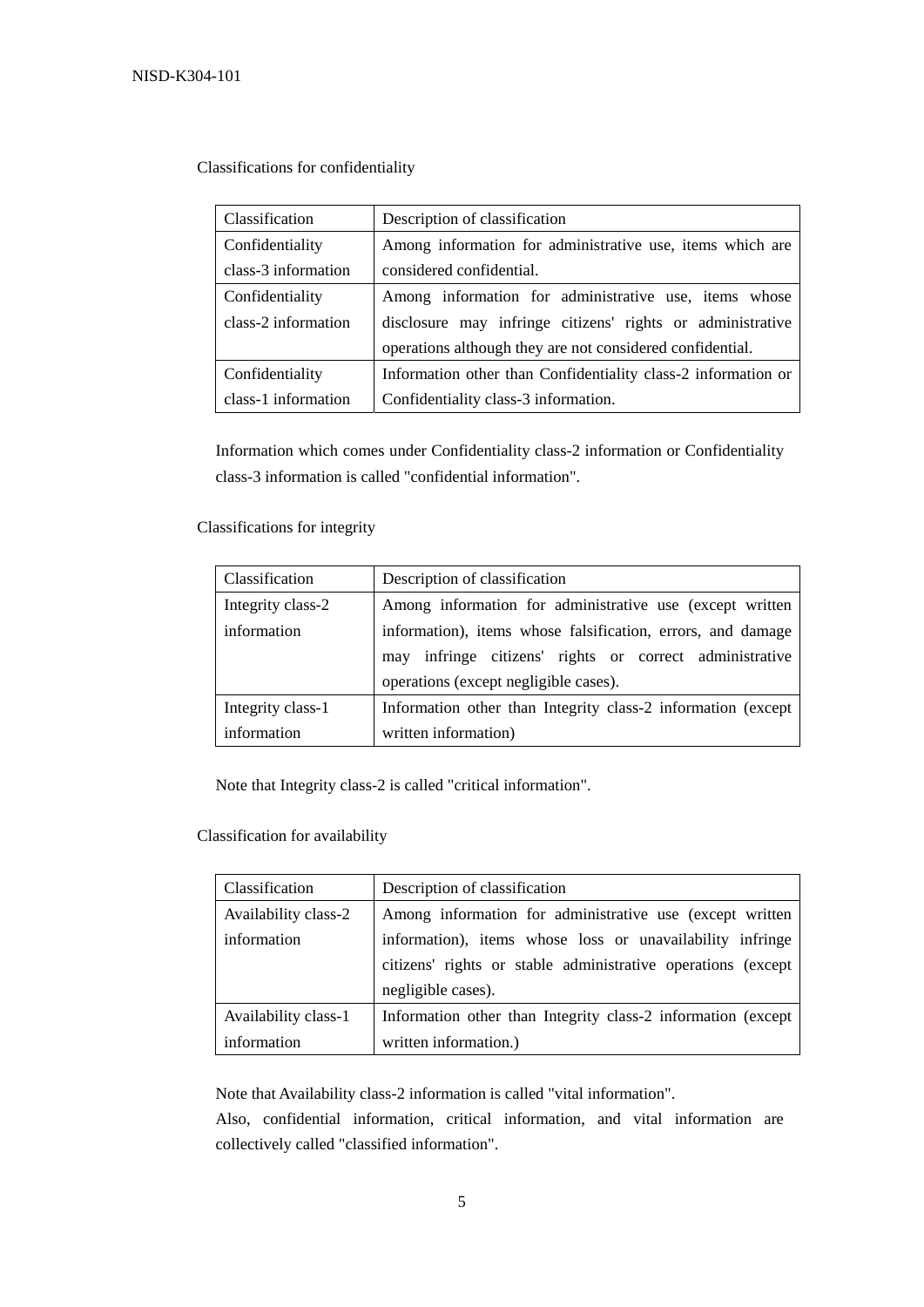### Classifications for confidentiality

| Classification      | Description of classification                                 |
|---------------------|---------------------------------------------------------------|
| Confidentiality     | Among information for administrative use, items which are     |
| class-3 information | considered confidential.                                      |
| Confidentiality     | Among information for administrative use, items whose         |
| class-2 information | disclosure may infringe citizens' rights or administrative    |
|                     | operations although they are not considered confidential.     |
| Confidentiality     | Information other than Confidentiality class-2 information or |
| class-1 information | Confidentiality class-3 information.                          |

Information which comes under Confidentiality class-2 information or Confidentiality class-3 information is called "confidential information".

#### Classifications for integrity

| Classification    | Description of classification                                |
|-------------------|--------------------------------------------------------------|
| Integrity class-2 | Among information for administrative use (except written     |
| information       | information), items whose falsification, errors, and damage  |
|                   | infringe citizens' rights or correct administrative<br>may   |
|                   | operations (except negligible cases).                        |
| Integrity class-1 | Information other than Integrity class-2 information (except |
| information       | written information)                                         |

Note that Integrity class-2 is called "critical information".

Classification for availability

| Classification       | Description of classification                                 |
|----------------------|---------------------------------------------------------------|
| Availability class-2 | Among information for administrative use (except written      |
| information          | information), items whose loss or unavailability infringe     |
|                      | citizens' rights or stable administrative operations (except  |
|                      | negligible cases).                                            |
| Availability class-1 | Information other than Integrity class-2 information (except) |
| information          | written information.)                                         |

Note that Availability class-2 information is called "vital information".

Also, confidential information, critical information, and vital information are collectively called "classified information".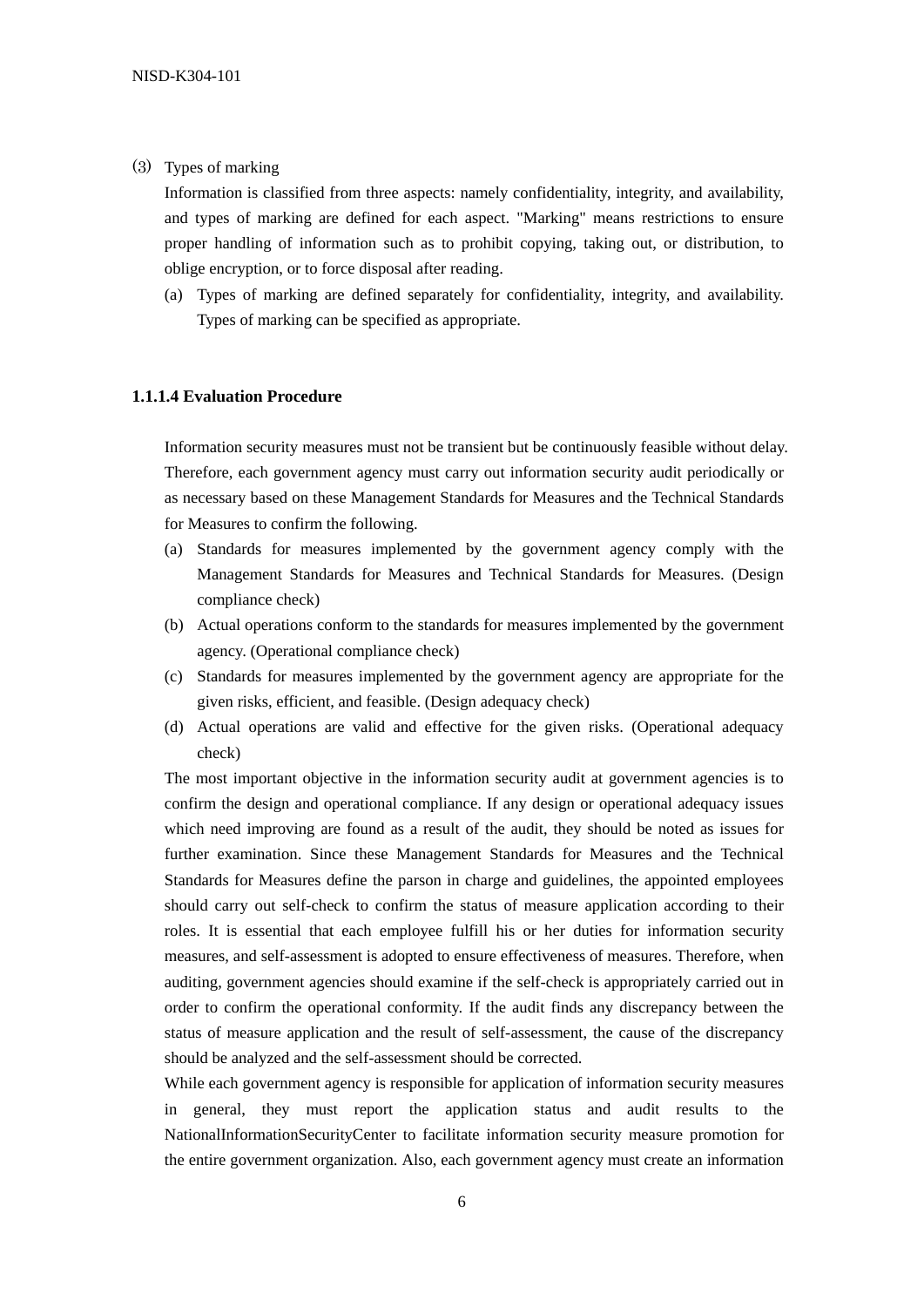#### (3) Types of marking

Information is classified from three aspects: namely confidentiality, integrity, and availability, and types of marking are defined for each aspect. "Marking" means restrictions to ensure proper handling of information such as to prohibit copying, taking out, or distribution, to oblige encryption, or to force disposal after reading.

(a) Types of marking are defined separately for confidentiality, integrity, and availability. Types of marking can be specified as appropriate.

#### **1.1.1.4 Evaluation Procedure**

Information security measures must not be transient but be continuously feasible without delay. Therefore, each government agency must carry out information security audit periodically or as necessary based on these Management Standards for Measures and the Technical Standards for Measures to confirm the following.

- (a) Standards for measures implemented by the government agency comply with the Management Standards for Measures and Technical Standards for Measures. (Design compliance check)
- (b) Actual operations conform to the standards for measures implemented by the government agency. (Operational compliance check)
- (c) Standards for measures implemented by the government agency are appropriate for the given risks, efficient, and feasible. (Design adequacy check)
- (d) Actual operations are valid and effective for the given risks. (Operational adequacy check)

The most important objective in the information security audit at government agencies is to confirm the design and operational compliance. If any design or operational adequacy issues which need improving are found as a result of the audit, they should be noted as issues for further examination. Since these Management Standards for Measures and the Technical Standards for Measures define the parson in charge and guidelines, the appointed employees should carry out self-check to confirm the status of measure application according to their roles. It is essential that each employee fulfill his or her duties for information security measures, and self-assessment is adopted to ensure effectiveness of measures. Therefore, when auditing, government agencies should examine if the self-check is appropriately carried out in order to confirm the operational conformity. If the audit finds any discrepancy between the status of measure application and the result of self-assessment, the cause of the discrepancy should be analyzed and the self-assessment should be corrected.

While each government agency is responsible for application of information security measures in general, they must report the application status and audit results to the NationalInformationSecurityCenter to facilitate information security measure promotion for the entire government organization. Also, each government agency must create an information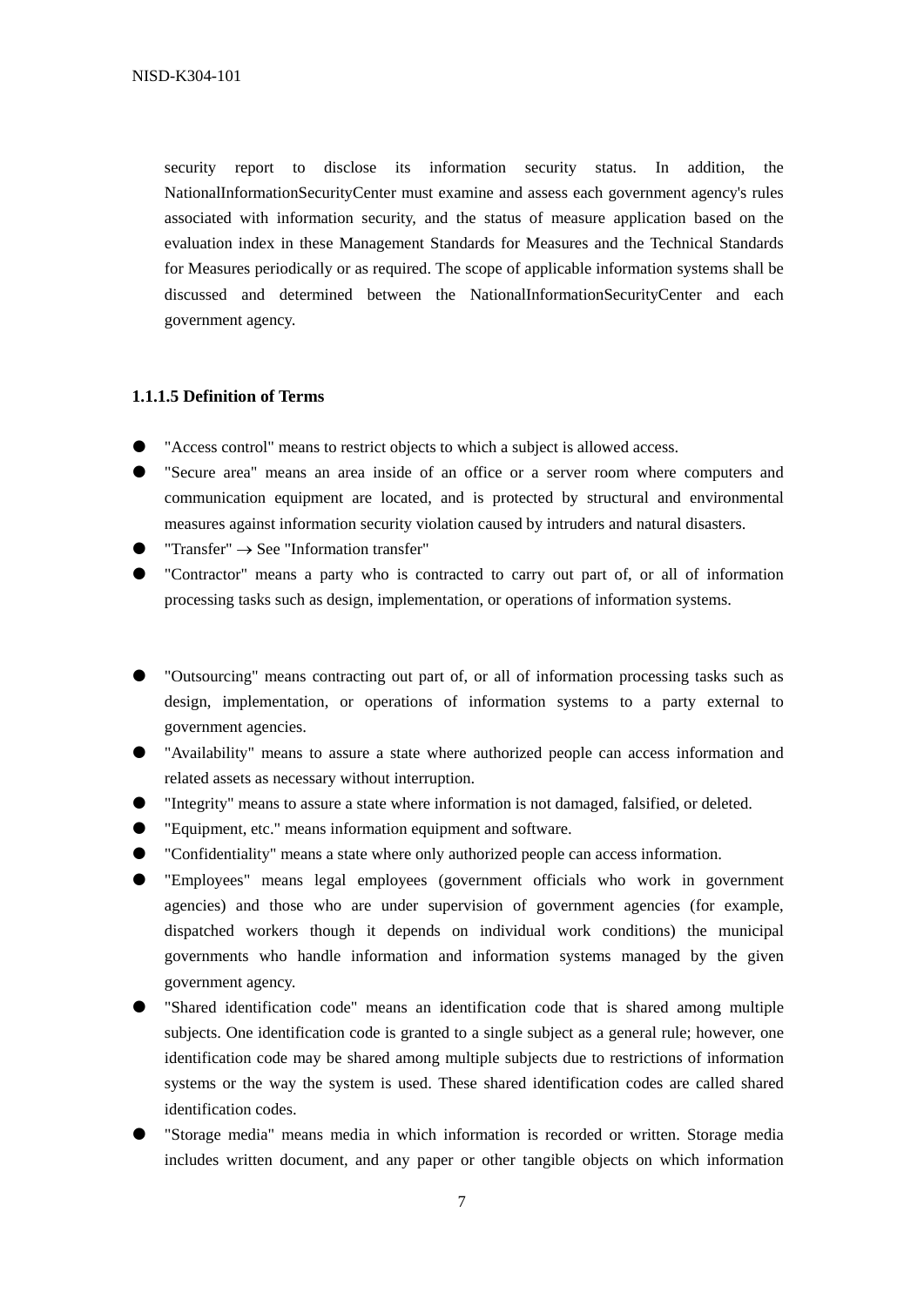security report to disclose its information security status. In addition, the NationalInformationSecurityCenter must examine and assess each government agency's rules associated with information security, and the status of measure application based on the evaluation index in these Management Standards for Measures and the Technical Standards for Measures periodically or as required. The scope of applicable information systems shall be discussed and determined between the NationalInformationSecurityCenter and each government agency.

#### **1.1.1.5 Definition of Terms**

- "Access control" means to restrict objects to which a subject is allowed access.
- "Secure area" means an area inside of an office or a server room where computers and communication equipment are located, and is protected by structural and environmental measures against information security violation caused by intruders and natural disasters.
- "Transfer"  $\rightarrow$  See "Information transfer"
- "Contractor" means a party who is contracted to carry out part of, or all of information processing tasks such as design, implementation, or operations of information systems.
- "Outsourcing" means contracting out part of, or all of information processing tasks such as design, implementation, or operations of information systems to a party external to government agencies.
- "Availability" means to assure a state where authorized people can access information and related assets as necessary without interruption.
- "Integrity" means to assure a state where information is not damaged, falsified, or deleted.
- "Equipment, etc." means information equipment and software.
- "Confidentiality" means a state where only authorized people can access information.
- "Employees" means legal employees (government officials who work in government agencies) and those who are under supervision of government agencies (for example, dispatched workers though it depends on individual work conditions) the municipal governments who handle information and information systems managed by the given government agency.
- "Shared identification code" means an identification code that is shared among multiple subjects. One identification code is granted to a single subject as a general rule; however, one identification code may be shared among multiple subjects due to restrictions of information systems or the way the system is used. These shared identification codes are called shared identification codes.
- "Storage media" means media in which information is recorded or written. Storage media includes written document, and any paper or other tangible objects on which information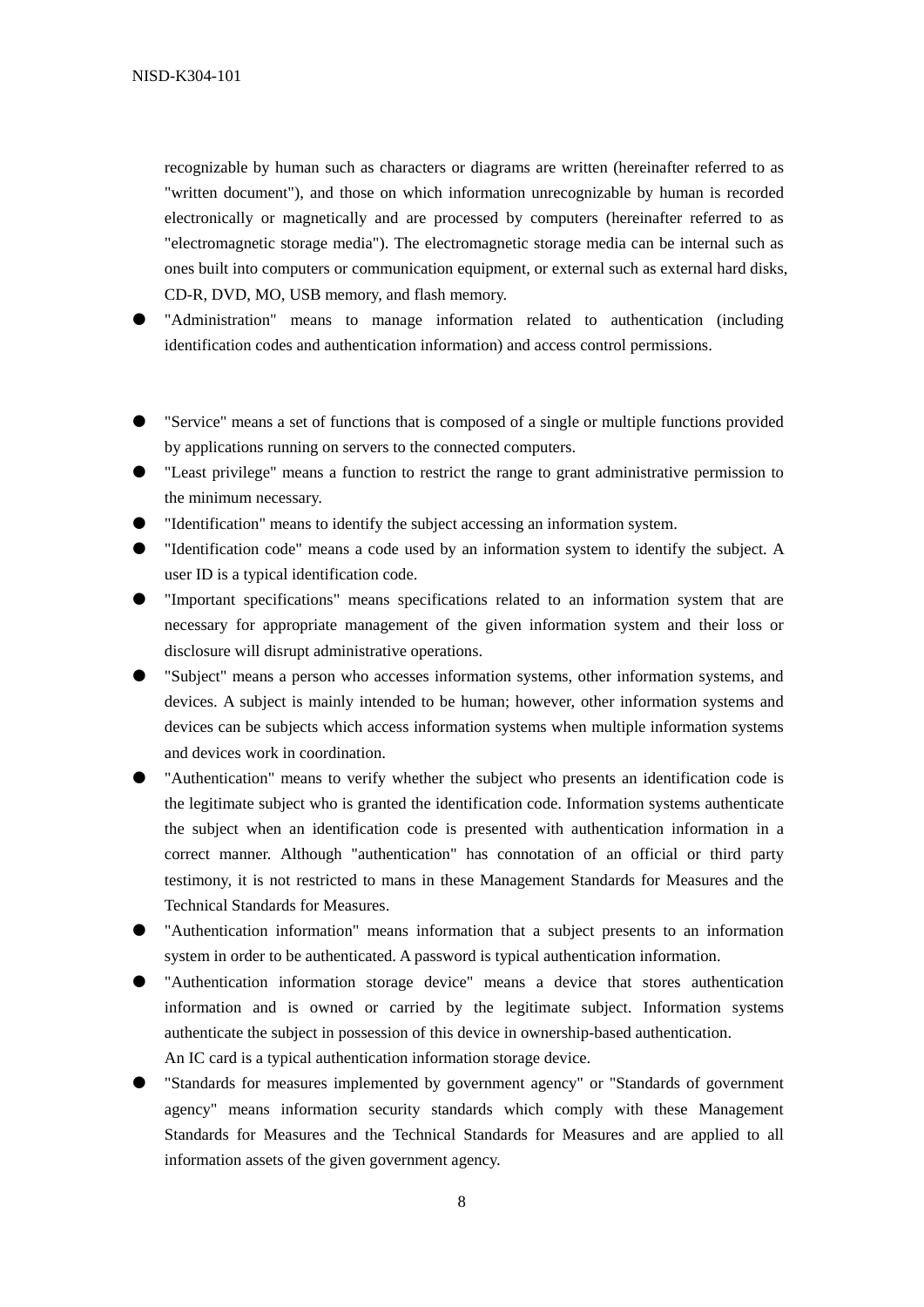recognizable by human such as characters or diagrams are written (hereinafter referred to as "written document"), and those on which information unrecognizable by human is recorded electronically or magnetically and are processed by computers (hereinafter referred to as "electromagnetic storage media"). The electromagnetic storage media can be internal such as ones built into computers or communication equipment, or external such as external hard disks, CD-R, DVD, MO, USB memory, and flash memory.

- "Administration" means to manage information related to authentication (including identification codes and authentication information) and access control permissions.
- "Service" means a set of functions that is composed of a single or multiple functions provided by applications running on servers to the connected computers.
- "Least privilege" means a function to restrict the range to grant administrative permission to the minimum necessary.
- "Identification" means to identify the subject accessing an information system.
- "Identification code" means a code used by an information system to identify the subject. A user ID is a typical identification code.
- "Important specifications" means specifications related to an information system that are necessary for appropriate management of the given information system and their loss or disclosure will disrupt administrative operations.
- "Subject" means a person who accesses information systems, other information systems, and devices. A subject is mainly intended to be human; however, other information systems and devices can be subjects which access information systems when multiple information systems and devices work in coordination.
- "Authentication" means to verify whether the subject who presents an identification code is the legitimate subject who is granted the identification code. Information systems authenticate the subject when an identification code is presented with authentication information in a correct manner. Although "authentication" has connotation of an official or third party testimony, it is not restricted to mans in these Management Standards for Measures and the Technical Standards for Measures.
- "Authentication information" means information that a subject presents to an information system in order to be authenticated. A password is typical authentication information.
- "Authentication information storage device" means a device that stores authentication information and is owned or carried by the legitimate subject. Information systems authenticate the subject in possession of this device in ownership-based authentication. An IC card is a typical authentication information storage device.
- "Standards for measures implemented by government agency" or "Standards of government agency" means information security standards which comply with these Management Standards for Measures and the Technical Standards for Measures and are applied to all information assets of the given government agency.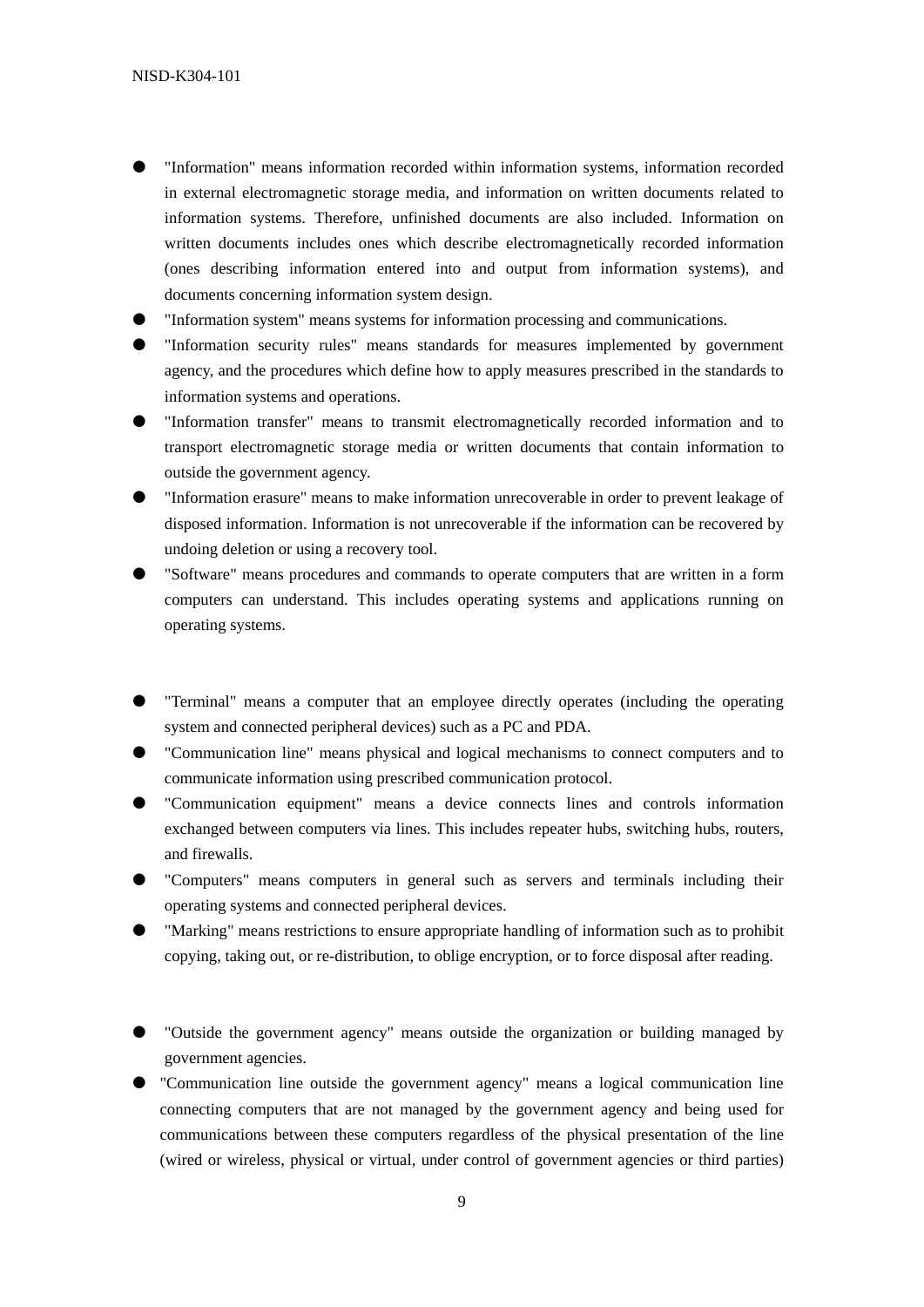- "Information" means information recorded within information systems, information recorded in external electromagnetic storage media, and information on written documents related to information systems. Therefore, unfinished documents are also included. Information on written documents includes ones which describe electromagnetically recorded information (ones describing information entered into and output from information systems), and documents concerning information system design.
- "Information system" means systems for information processing and communications.
- "Information security rules" means standards for measures implemented by government agency, and the procedures which define how to apply measures prescribed in the standards to information systems and operations.
- "Information transfer" means to transmit electromagnetically recorded information and to transport electromagnetic storage media or written documents that contain information to outside the government agency.
- "Information erasure" means to make information unrecoverable in order to prevent leakage of disposed information. Information is not unrecoverable if the information can be recovered by undoing deletion or using a recovery tool.
- "Software" means procedures and commands to operate computers that are written in a form computers can understand. This includes operating systems and applications running on operating systems.
- "Terminal" means a computer that an employee directly operates (including the operating system and connected peripheral devices) such as a PC and PDA.
- "Communication line" means physical and logical mechanisms to connect computers and to communicate information using prescribed communication protocol.
- "Communication equipment" means a device connects lines and controls information exchanged between computers via lines. This includes repeater hubs, switching hubs, routers, and firewalls.
- "Computers" means computers in general such as servers and terminals including their operating systems and connected peripheral devices.
- "Marking" means restrictions to ensure appropriate handling of information such as to prohibit copying, taking out, or re-distribution, to oblige encryption, or to force disposal after reading.
- "Outside the government agency" means outside the organization or building managed by government agencies.
- "Communication line outside the government agency" means a logical communication line connecting computers that are not managed by the government agency and being used for communications between these computers regardless of the physical presentation of the line (wired or wireless, physical or virtual, under control of government agencies or third parties)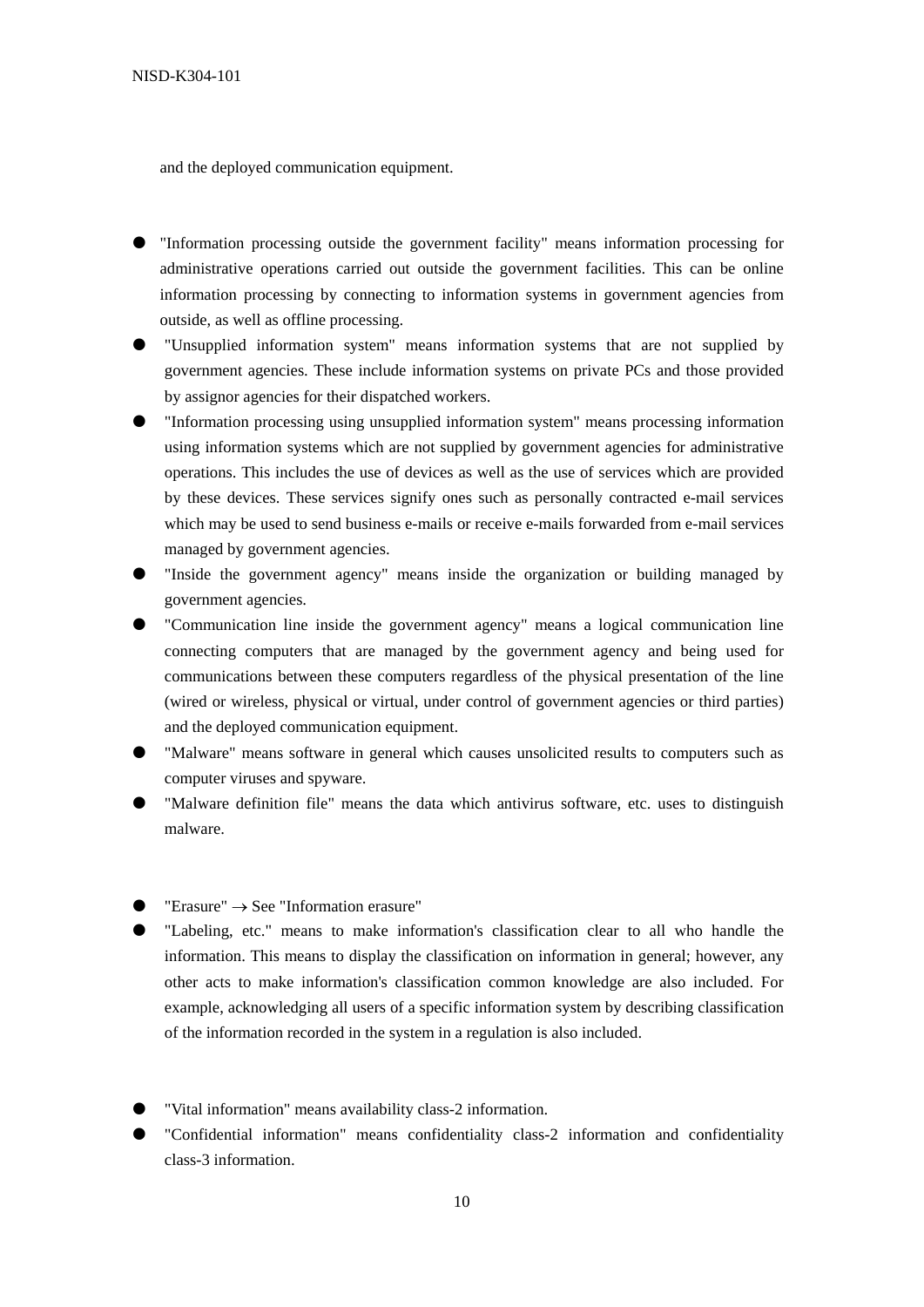and the deployed communication equipment.

- "Information processing outside the government facility" means information processing for administrative operations carried out outside the government facilities. This can be online information processing by connecting to information systems in government agencies from outside, as well as offline processing.
- "Unsupplied information system" means information systems that are not supplied by government agencies. These include information systems on private PCs and those provided by assignor agencies for their dispatched workers.
- "Information processing using unsupplied information system" means processing information using information systems which are not supplied by government agencies for administrative operations. This includes the use of devices as well as the use of services which are provided by these devices. These services signify ones such as personally contracted e-mail services which may be used to send business e-mails or receive e-mails forwarded from e-mail services managed by government agencies.
- "Inside the government agency" means inside the organization or building managed by government agencies.
- "Communication line inside the government agency" means a logical communication line connecting computers that are managed by the government agency and being used for communications between these computers regardless of the physical presentation of the line (wired or wireless, physical or virtual, under control of government agencies or third parties) and the deployed communication equipment.
- "Malware" means software in general which causes unsolicited results to computers such as computer viruses and spyware.
- "Malware definition file" means the data which antivirus software, etc. uses to distinguish malware.
- "Erasure"  $\rightarrow$  See "Information erasure"
- "Labeling, etc." means to make information's classification clear to all who handle the information. This means to display the classification on information in general; however, any other acts to make information's classification common knowledge are also included. For example, acknowledging all users of a specific information system by describing classification of the information recorded in the system in a regulation is also included.
- "Vital information" means availability class-2 information.
- "Confidential information" means confidentiality class-2 information and confidentiality class-3 information.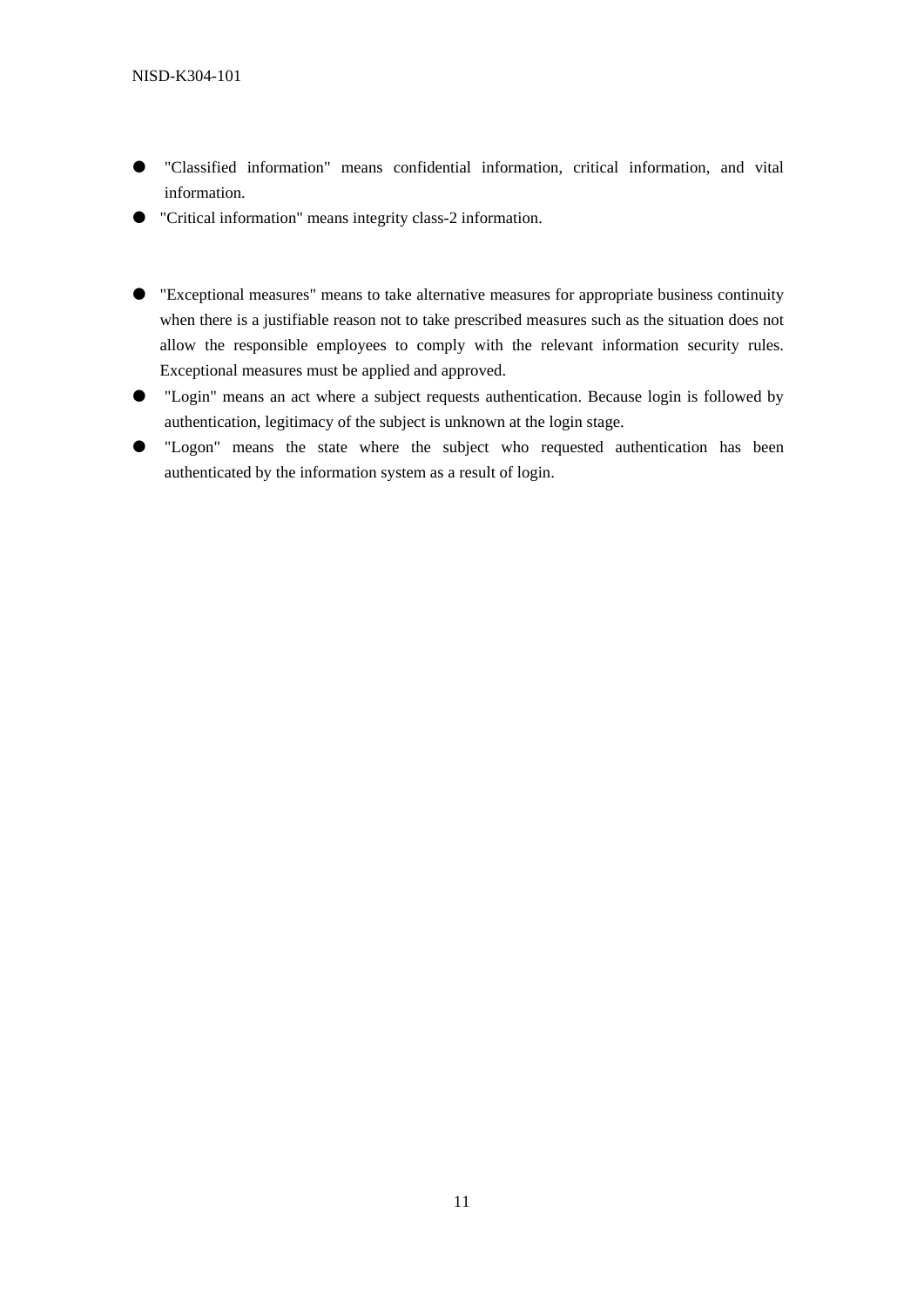- "Classified information" means confidential information, critical information, and vital information.
- "Critical information" means integrity class-2 information.
- "Exceptional measures" means to take alternative measures for appropriate business continuity when there is a justifiable reason not to take prescribed measures such as the situation does not allow the responsible employees to comply with the relevant information security rules. Exceptional measures must be applied and approved.
- "Login" means an act where a subject requests authentication. Because login is followed by authentication, legitimacy of the subject is unknown at the login stage.
- "Logon" means the state where the subject who requested authentication has been authenticated by the information system as a result of login.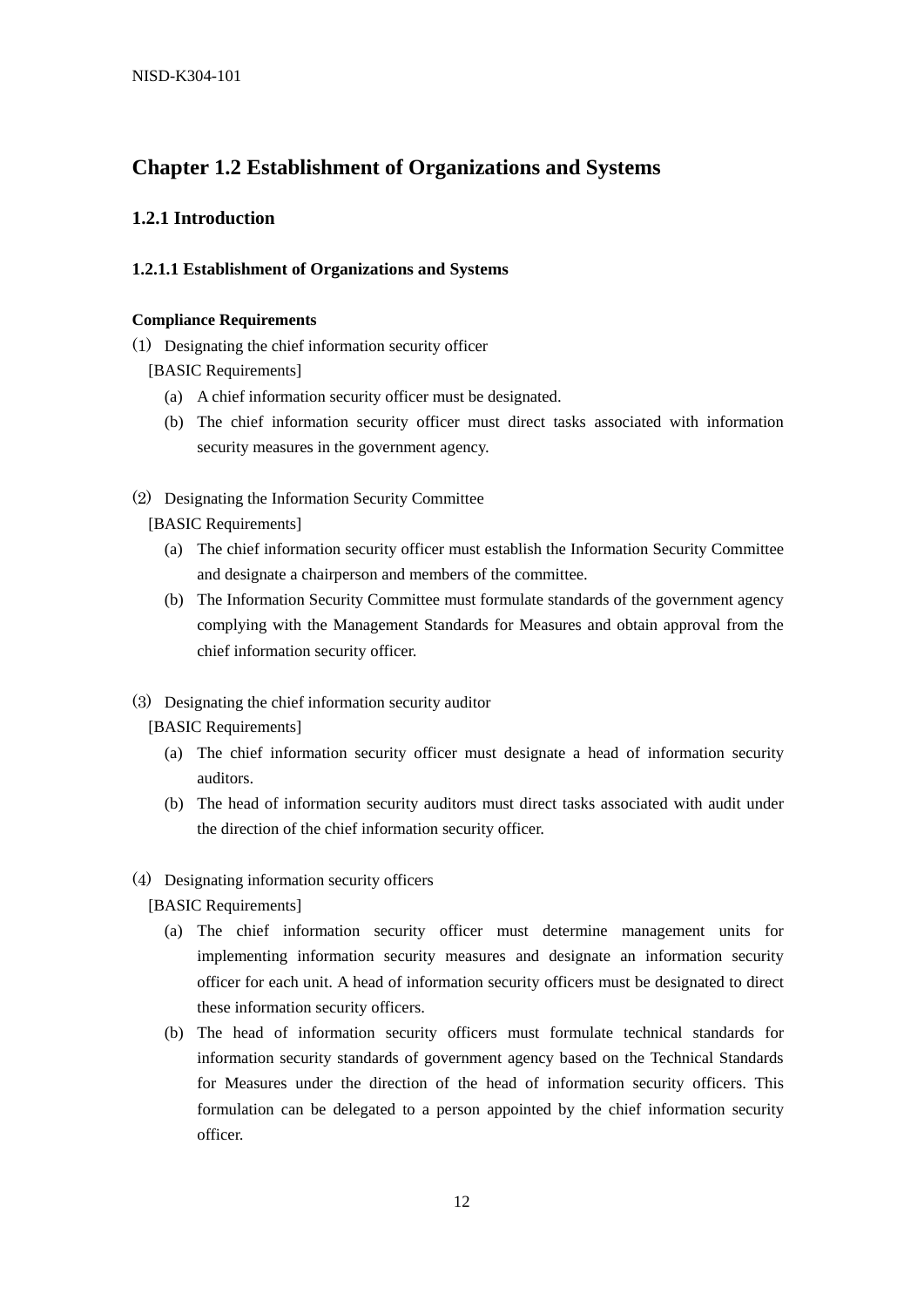# **Chapter 1.2 Establishment of Organizations and Systems**

# **1.2.1 Introduction**

# **1.2.1.1 Establishment of Organizations and Systems**

# **Compliance Requirements**

(1) Designating the chief information security officer

[BASIC Requirements]

- (a) A chief information security officer must be designated.
- (b) The chief information security officer must direct tasks associated with information security measures in the government agency.
- (2) Designating the Information Security Committee
	- [BASIC Requirements]
		- (a) The chief information security officer must establish the Information Security Committee and designate a chairperson and members of the committee.
		- (b) The Information Security Committee must formulate standards of the government agency complying with the Management Standards for Measures and obtain approval from the chief information security officer.
- (3) Designating the chief information security auditor

- (a) The chief information security officer must designate a head of information security auditors.
- (b) The head of information security auditors must direct tasks associated with audit under the direction of the chief information security officer.
- (4) Designating information security officers
	- [BASIC Requirements]
		- (a) The chief information security officer must determine management units for implementing information security measures and designate an information security officer for each unit. A head of information security officers must be designated to direct these information security officers.
		- (b) The head of information security officers must formulate technical standards for information security standards of government agency based on the Technical Standards for Measures under the direction of the head of information security officers. This formulation can be delegated to a person appointed by the chief information security officer.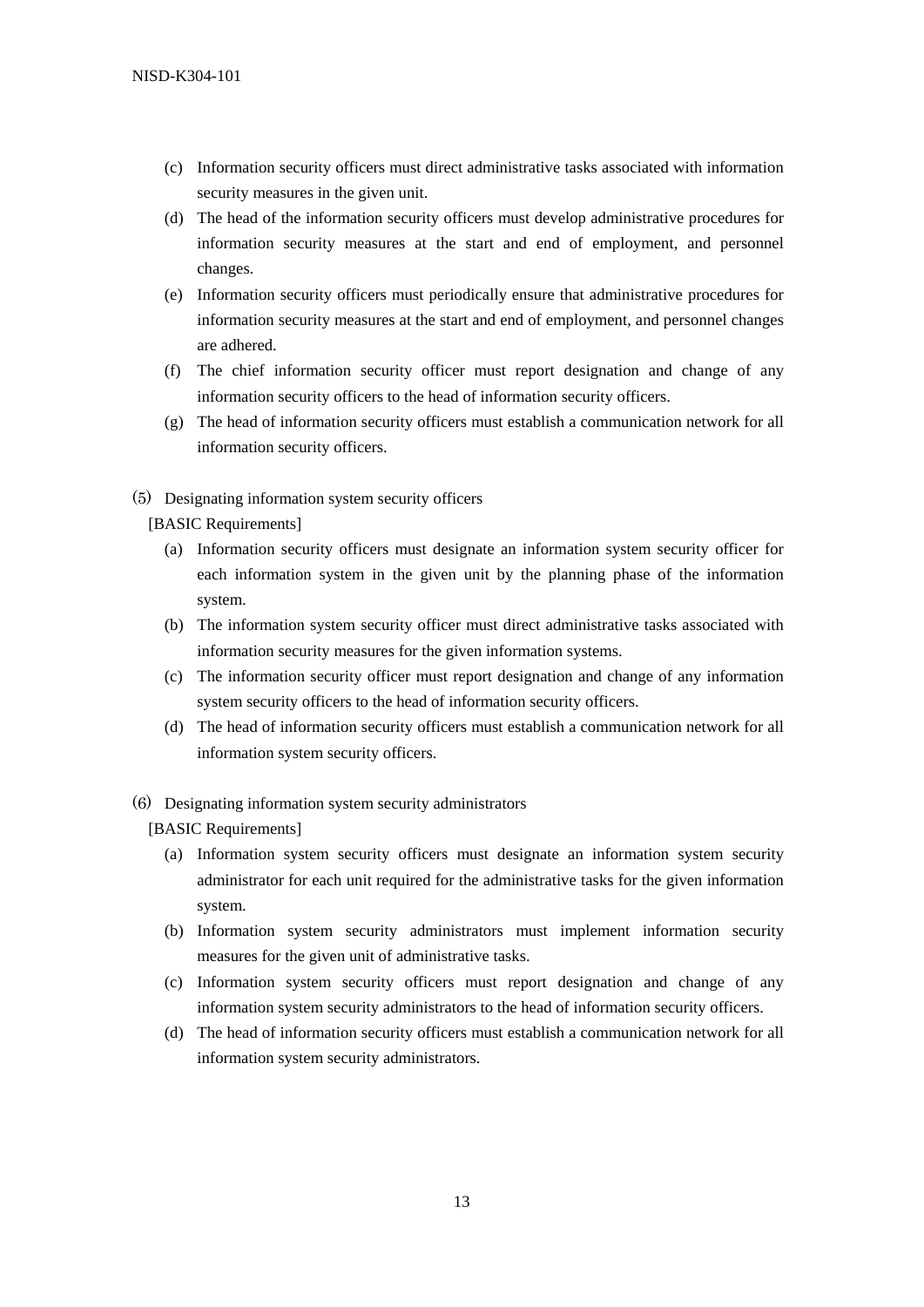- (c) Information security officers must direct administrative tasks associated with information security measures in the given unit.
- (d) The head of the information security officers must develop administrative procedures for information security measures at the start and end of employment, and personnel changes.
- (e) Information security officers must periodically ensure that administrative procedures for information security measures at the start and end of employment, and personnel changes are adhered.
- (f) The chief information security officer must report designation and change of any information security officers to the head of information security officers.
- (g) The head of information security officers must establish a communication network for all information security officers.
- (5) Designating information system security officers
	- [BASIC Requirements]
		- (a) Information security officers must designate an information system security officer for each information system in the given unit by the planning phase of the information system.
		- (b) The information system security officer must direct administrative tasks associated with information security measures for the given information systems.
		- (c) The information security officer must report designation and change of any information system security officers to the head of information security officers.
		- (d) The head of information security officers must establish a communication network for all information system security officers.
- (6) Designating information system security administrators
	- [BASIC Requirements]
		- (a) Information system security officers must designate an information system security administrator for each unit required for the administrative tasks for the given information system.
		- (b) Information system security administrators must implement information security measures for the given unit of administrative tasks.
		- (c) Information system security officers must report designation and change of any information system security administrators to the head of information security officers.
		- (d) The head of information security officers must establish a communication network for all information system security administrators.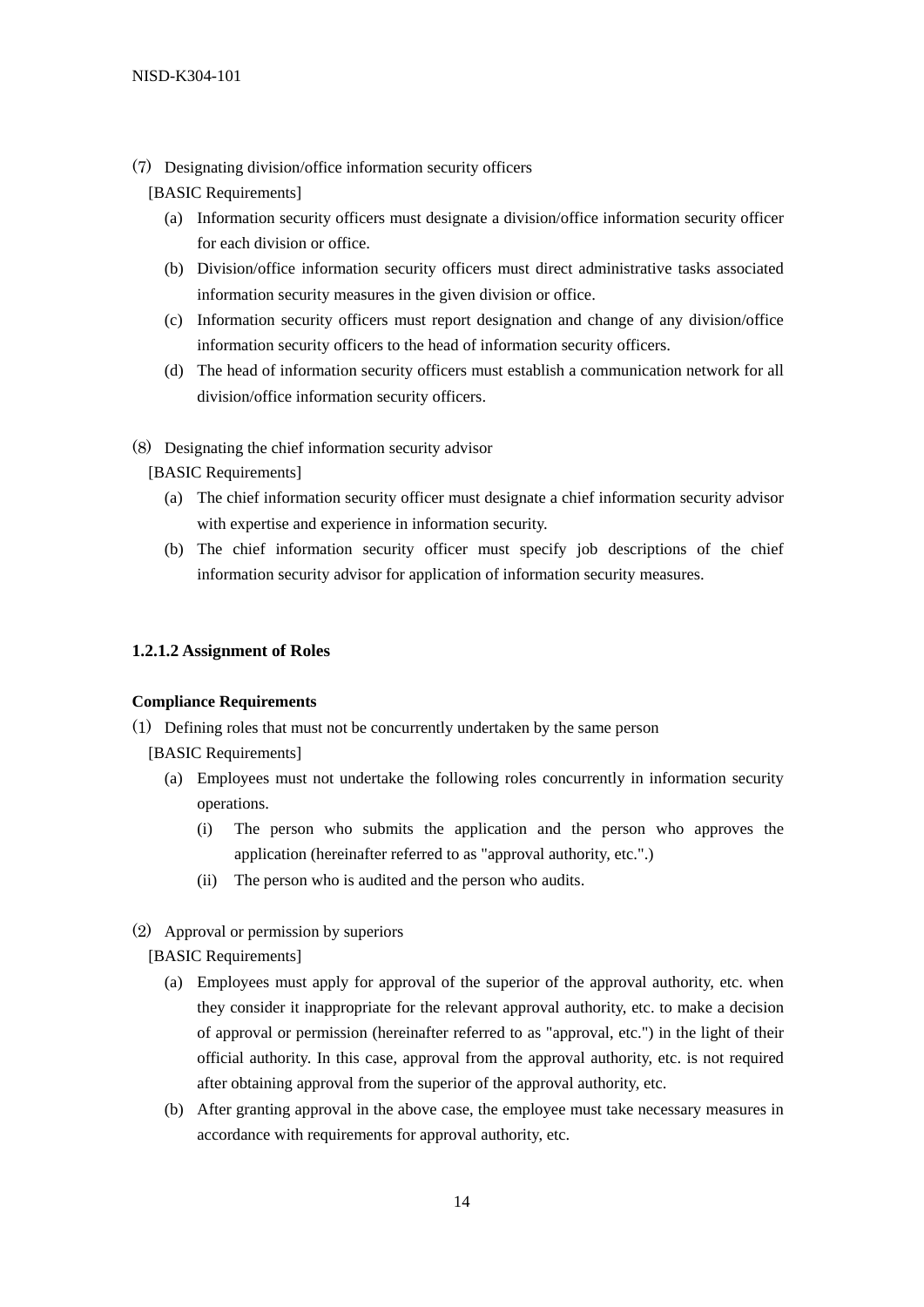(7) Designating division/office information security officers

[BASIC Requirements]

- (a) Information security officers must designate a division/office information security officer for each division or office.
- (b) Division/office information security officers must direct administrative tasks associated information security measures in the given division or office.
- (c) Information security officers must report designation and change of any division/office information security officers to the head of information security officers.
- (d) The head of information security officers must establish a communication network for all division/office information security officers.
- (8) Designating the chief information security advisor

[BASIC Requirements]

- (a) The chief information security officer must designate a chief information security advisor with expertise and experience in information security.
- (b) The chief information security officer must specify job descriptions of the chief information security advisor for application of information security measures.

# **1.2.1.2 Assignment of Roles**

#### **Compliance Requirements**

(1) Defining roles that must not be concurrently undertaken by the same person

[BASIC Requirements]

- (a) Employees must not undertake the following roles concurrently in information security operations.
	- (i) The person who submits the application and the person who approves the application (hereinafter referred to as "approval authority, etc.".)
	- (ii) The person who is audited and the person who audits.
- (2) Approval or permission by superiors

- (a) Employees must apply for approval of the superior of the approval authority, etc. when they consider it inappropriate for the relevant approval authority, etc. to make a decision of approval or permission (hereinafter referred to as "approval, etc.") in the light of their official authority. In this case, approval from the approval authority, etc. is not required after obtaining approval from the superior of the approval authority, etc.
- (b) After granting approval in the above case, the employee must take necessary measures in accordance with requirements for approval authority, etc.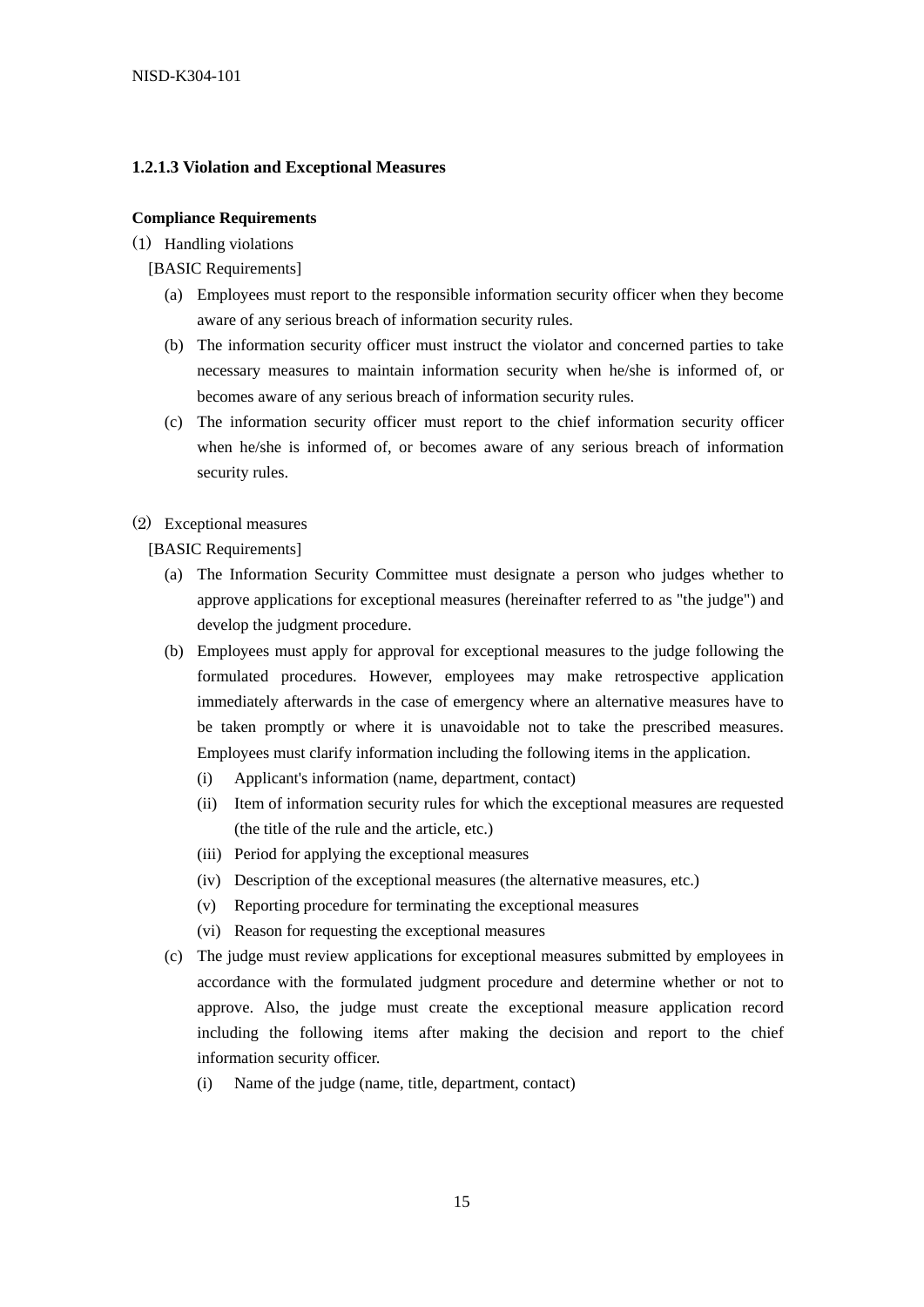#### **1.2.1.3 Violation and Exceptional Measures**

#### **Compliance Requirements**

(1) Handling violations

- [BASIC Requirements]
	- (a) Employees must report to the responsible information security officer when they become aware of any serious breach of information security rules.
	- (b) The information security officer must instruct the violator and concerned parties to take necessary measures to maintain information security when he/she is informed of, or becomes aware of any serious breach of information security rules.
	- (c) The information security officer must report to the chief information security officer when he/she is informed of, or becomes aware of any serious breach of information security rules.

#### (2) Exceptional measures

- (a) The Information Security Committee must designate a person who judges whether to approve applications for exceptional measures (hereinafter referred to as "the judge") and develop the judgment procedure.
- (b) Employees must apply for approval for exceptional measures to the judge following the formulated procedures. However, employees may make retrospective application immediately afterwards in the case of emergency where an alternative measures have to be taken promptly or where it is unavoidable not to take the prescribed measures. Employees must clarify information including the following items in the application.
	- (i) Applicant's information (name, department, contact)
	- (ii) Item of information security rules for which the exceptional measures are requested (the title of the rule and the article, etc.)
	- (iii) Period for applying the exceptional measures
	- (iv) Description of the exceptional measures (the alternative measures, etc.)
	- (v) Reporting procedure for terminating the exceptional measures
	- (vi) Reason for requesting the exceptional measures
- (c) The judge must review applications for exceptional measures submitted by employees in accordance with the formulated judgment procedure and determine whether or not to approve. Also, the judge must create the exceptional measure application record including the following items after making the decision and report to the chief information security officer.
	- (i) Name of the judge (name, title, department, contact)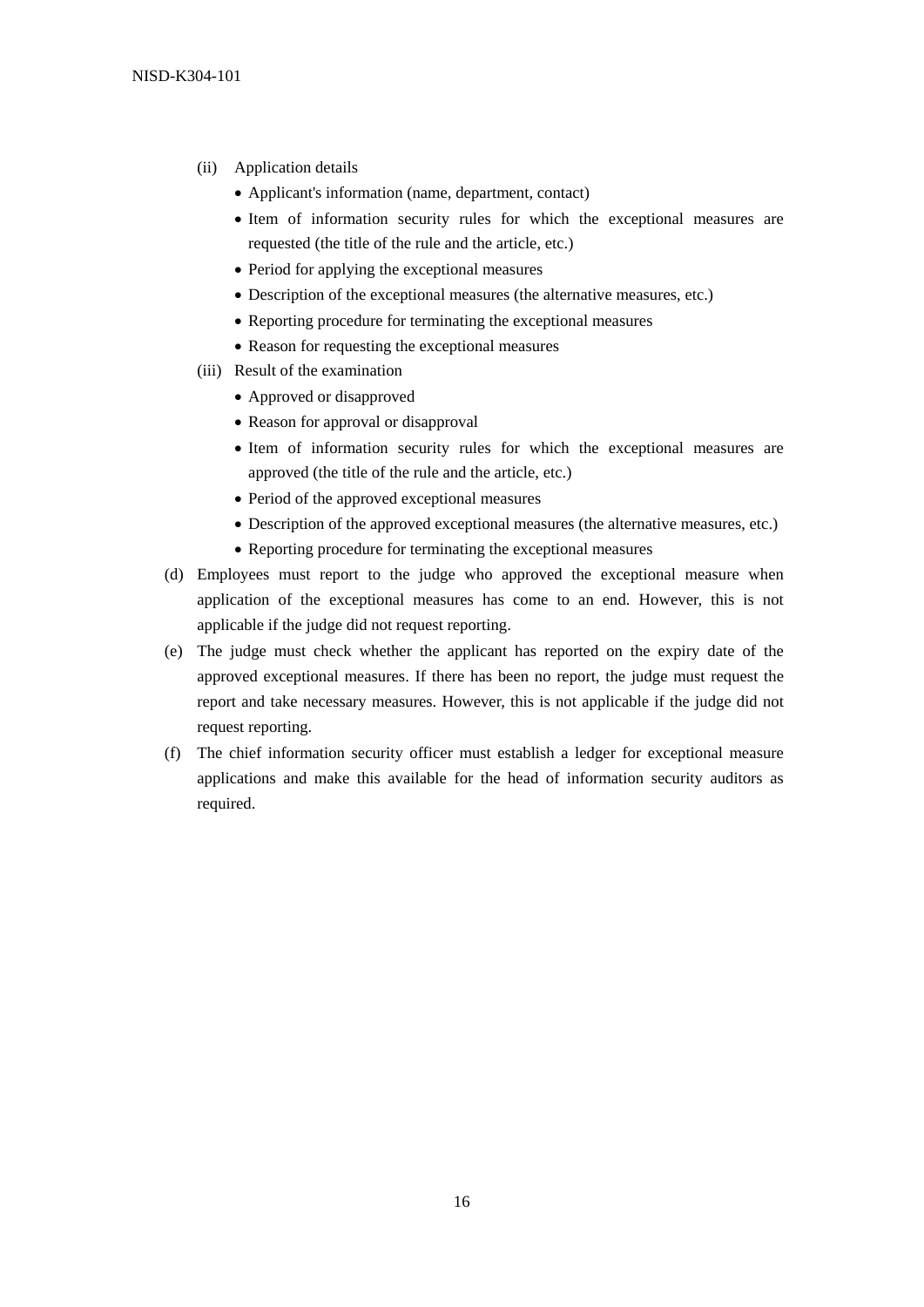- (ii) Application details
	- Applicant's information (name, department, contact)
	- Item of information security rules for which the exceptional measures are requested (the title of the rule and the article, etc.)
	- Period for applying the exceptional measures
	- Description of the exceptional measures (the alternative measures, etc.)
	- Reporting procedure for terminating the exceptional measures
	- Reason for requesting the exceptional measures
- (iii) Result of the examination
	- Approved or disapproved
	- Reason for approval or disapproval
	- Item of information security rules for which the exceptional measures are approved (the title of the rule and the article, etc.)
	- Period of the approved exceptional measures
	- Description of the approved exceptional measures (the alternative measures, etc.)
	- Reporting procedure for terminating the exceptional measures
- (d) Employees must report to the judge who approved the exceptional measure when application of the exceptional measures has come to an end. However, this is not applicable if the judge did not request reporting.
- (e) The judge must check whether the applicant has reported on the expiry date of the approved exceptional measures. If there has been no report, the judge must request the report and take necessary measures. However, this is not applicable if the judge did not request reporting.
- (f) The chief information security officer must establish a ledger for exceptional measure applications and make this available for the head of information security auditors as required.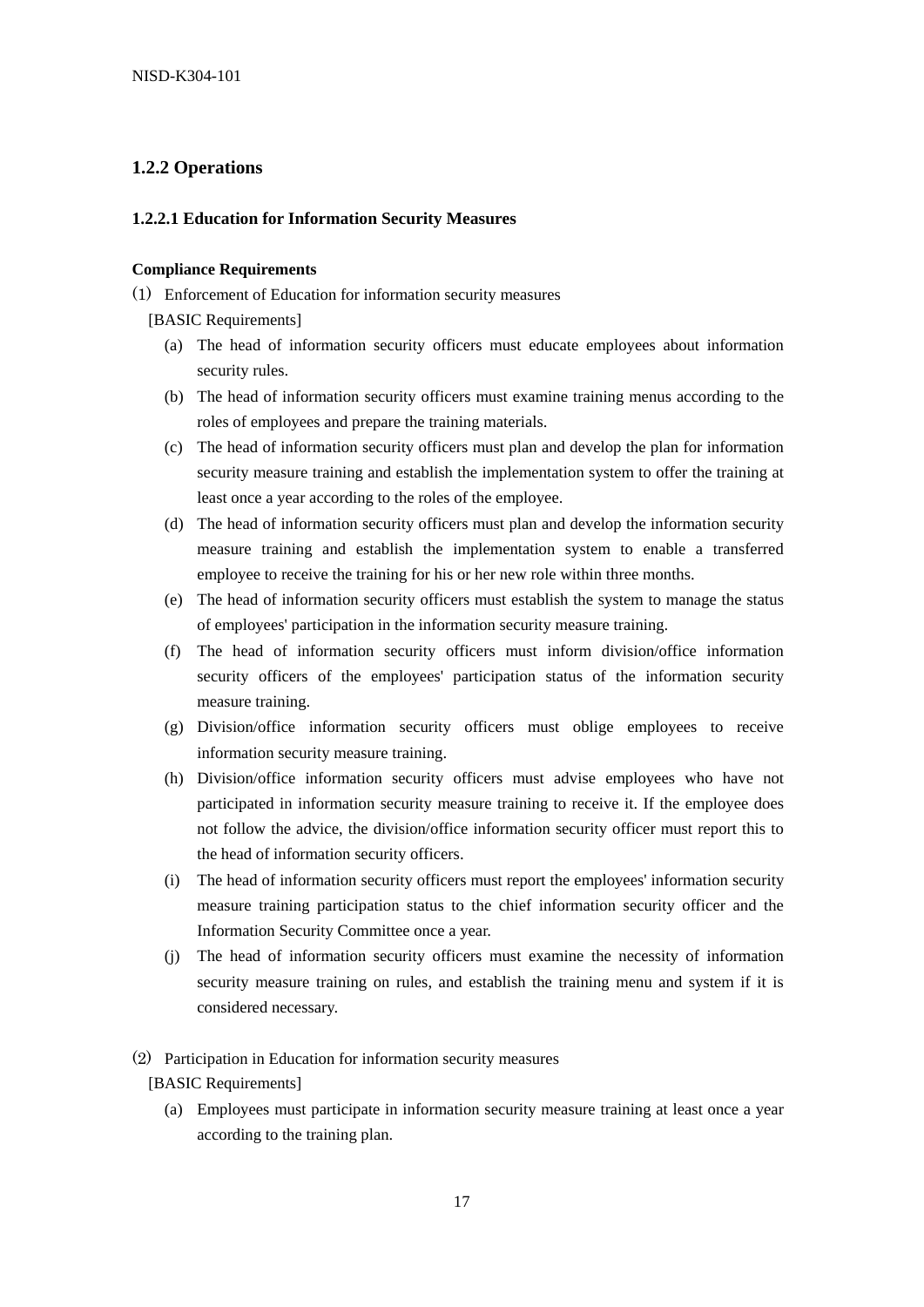# **1.2.2 Operations**

#### **1.2.2.1 Education for Information Security Measures**

#### **Compliance Requirements**

(1) Enforcement of Education for information security measures

- [BASIC Requirements]
	- (a) The head of information security officers must educate employees about information security rules.
	- (b) The head of information security officers must examine training menus according to the roles of employees and prepare the training materials.
	- (c) The head of information security officers must plan and develop the plan for information security measure training and establish the implementation system to offer the training at least once a year according to the roles of the employee.
	- (d) The head of information security officers must plan and develop the information security measure training and establish the implementation system to enable a transferred employee to receive the training for his or her new role within three months.
	- (e) The head of information security officers must establish the system to manage the status of employees' participation in the information security measure training.
	- (f) The head of information security officers must inform division/office information security officers of the employees' participation status of the information security measure training.
	- (g) Division/office information security officers must oblige employees to receive information security measure training.
	- (h) Division/office information security officers must advise employees who have not participated in information security measure training to receive it. If the employee does not follow the advice, the division/office information security officer must report this to the head of information security officers.
	- (i) The head of information security officers must report the employees' information security measure training participation status to the chief information security officer and the Information Security Committee once a year.
	- (j) The head of information security officers must examine the necessity of information security measure training on rules, and establish the training menu and system if it is considered necessary.
- (2) Participation in Education for information security measures
	- [BASIC Requirements]
		- (a) Employees must participate in information security measure training at least once a year according to the training plan.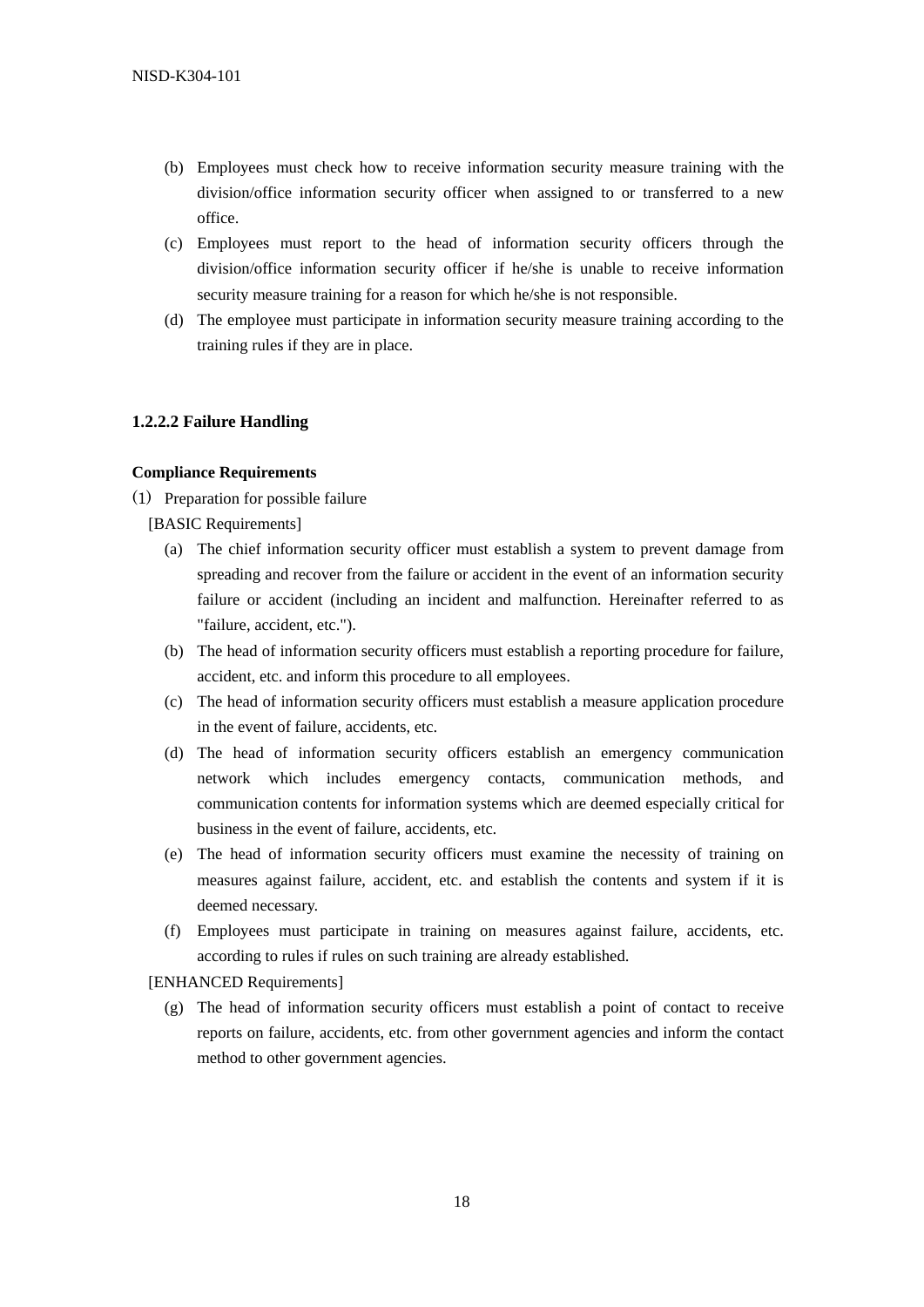- (b) Employees must check how to receive information security measure training with the division/office information security officer when assigned to or transferred to a new office.
- (c) Employees must report to the head of information security officers through the division/office information security officer if he/she is unable to receive information security measure training for a reason for which he/she is not responsible.
- (d) The employee must participate in information security measure training according to the training rules if they are in place.

#### **1.2.2.2 Failure Handling**

#### **Compliance Requirements**

(1) Preparation for possible failure

[BASIC Requirements]

- (a) The chief information security officer must establish a system to prevent damage from spreading and recover from the failure or accident in the event of an information security failure or accident (including an incident and malfunction. Hereinafter referred to as "failure, accident, etc.").
- (b) The head of information security officers must establish a reporting procedure for failure, accident, etc. and inform this procedure to all employees.
- (c) The head of information security officers must establish a measure application procedure in the event of failure, accidents, etc.
- (d) The head of information security officers establish an emergency communication network which includes emergency contacts, communication methods, and communication contents for information systems which are deemed especially critical for business in the event of failure, accidents, etc.
- (e) The head of information security officers must examine the necessity of training on measures against failure, accident, etc. and establish the contents and system if it is deemed necessary.
- (f) Employees must participate in training on measures against failure, accidents, etc. according to rules if rules on such training are already established.

[ENHANCED Requirements]

(g) The head of information security officers must establish a point of contact to receive reports on failure, accidents, etc. from other government agencies and inform the contact method to other government agencies.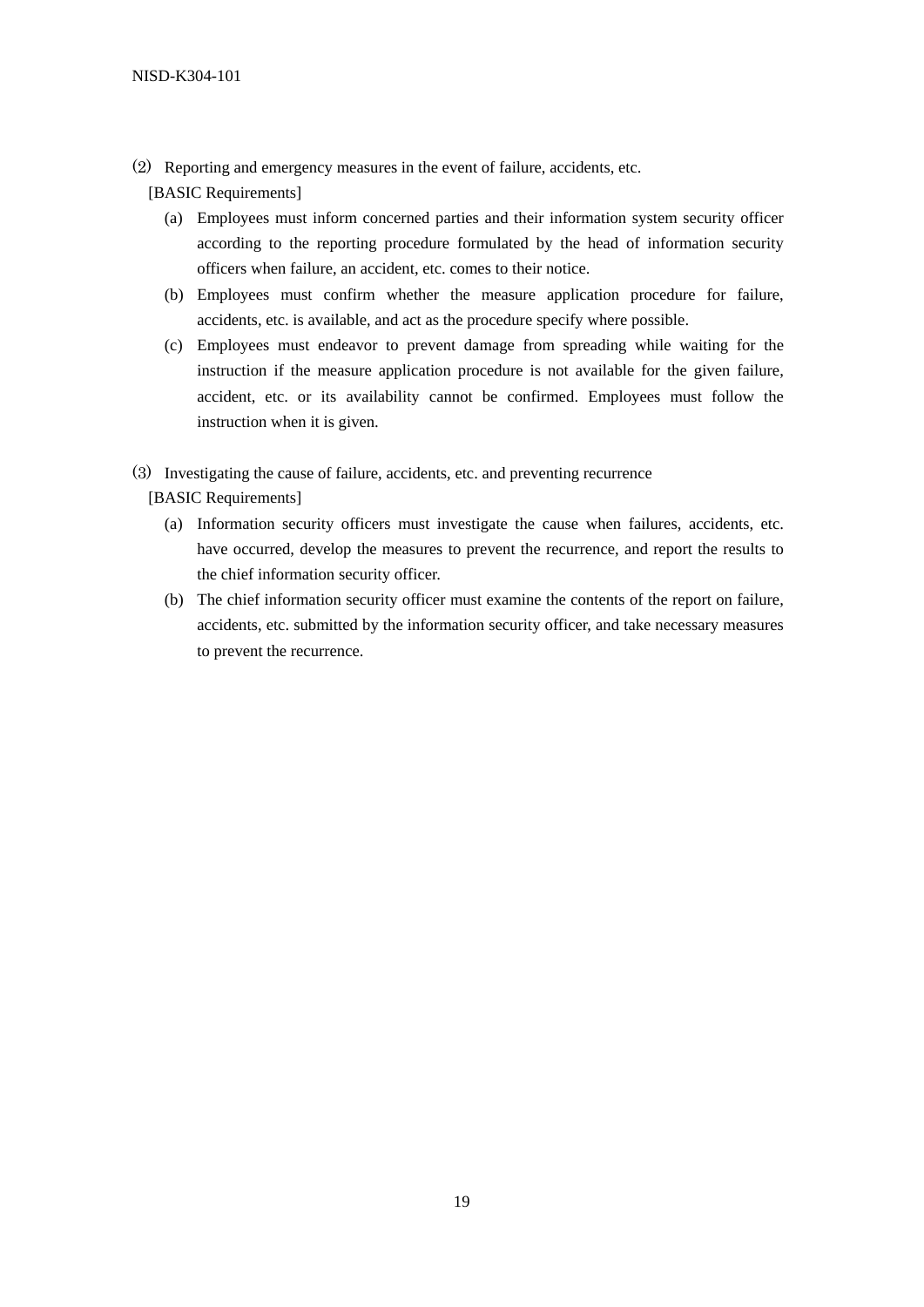(2) Reporting and emergency measures in the event of failure, accidents, etc.

- (a) Employees must inform concerned parties and their information system security officer according to the reporting procedure formulated by the head of information security officers when failure, an accident, etc. comes to their notice.
- (b) Employees must confirm whether the measure application procedure for failure, accidents, etc. is available, and act as the procedure specify where possible.
- (c) Employees must endeavor to prevent damage from spreading while waiting for the instruction if the measure application procedure is not available for the given failure, accident, etc. or its availability cannot be confirmed. Employees must follow the instruction when it is given.
- (3) Investigating the cause of failure, accidents, etc. and preventing recurrence
	- [BASIC Requirements]
		- (a) Information security officers must investigate the cause when failures, accidents, etc. have occurred, develop the measures to prevent the recurrence, and report the results to the chief information security officer.
		- (b) The chief information security officer must examine the contents of the report on failure, accidents, etc. submitted by the information security officer, and take necessary measures to prevent the recurrence.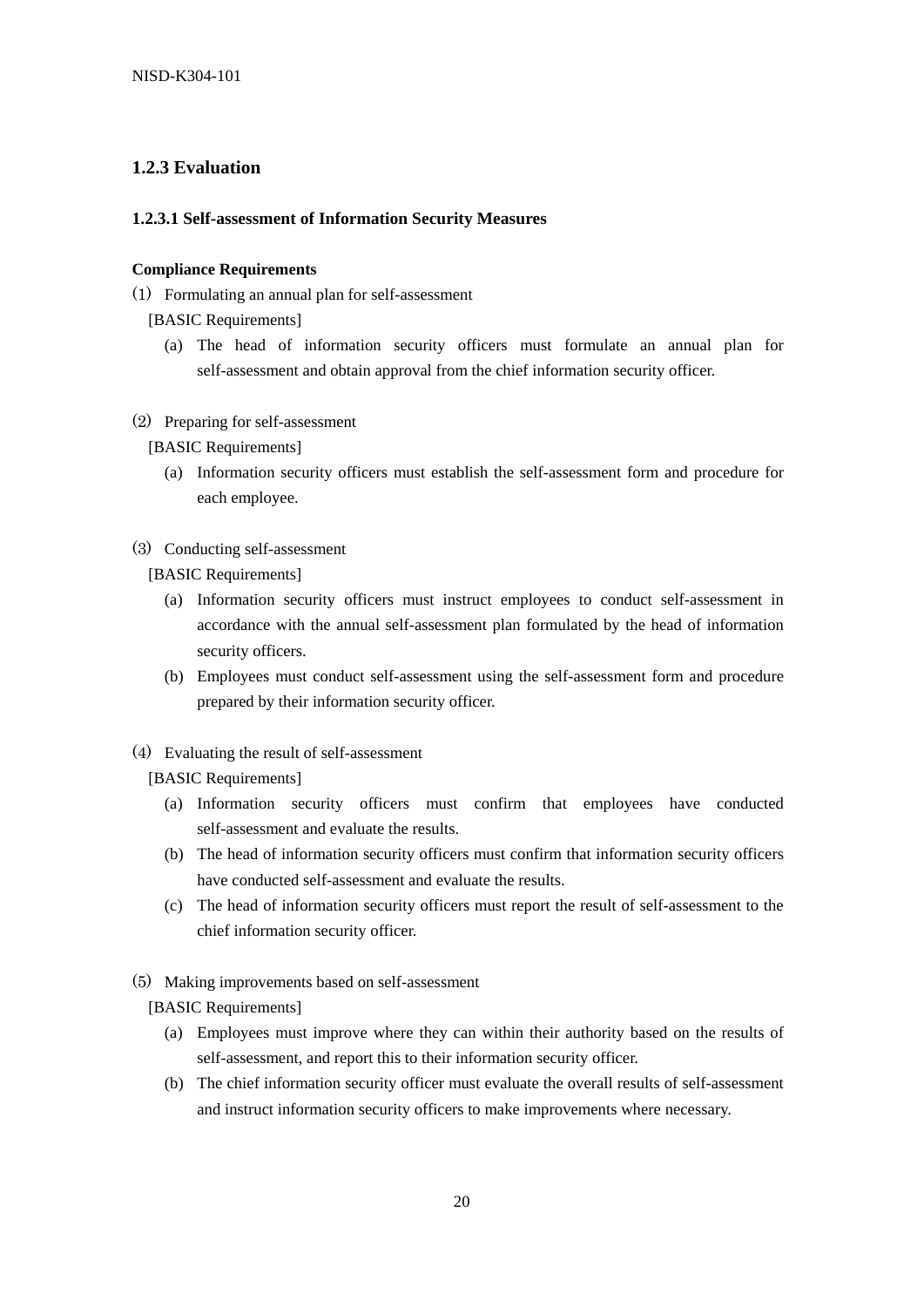# **1.2.3 Evaluation**

# **1.2.3.1 Self-assessment of Information Security Measures**

### **Compliance Requirements**

- (1) Formulating an annual plan for self-assessment
- [BASIC Requirements]
	- (a) The head of information security officers must formulate an annual plan for self-assessment and obtain approval from the chief information security officer.
- (2) Preparing for self-assessment
	- [BASIC Requirements]
		- (a) Information security officers must establish the self-assessment form and procedure for each employee.

### (3) Conducting self-assessment

[BASIC Requirements]

- (a) Information security officers must instruct employees to conduct self-assessment in accordance with the annual self-assessment plan formulated by the head of information security officers.
- (b) Employees must conduct self-assessment using the self-assessment form and procedure prepared by their information security officer.
- (4) Evaluating the result of self-assessment

### [BASIC Requirements]

- (a) Information security officers must confirm that employees have conducted self-assessment and evaluate the results.
- (b) The head of information security officers must confirm that information security officers have conducted self-assessment and evaluate the results.
- (c) The head of information security officers must report the result of self-assessment to the chief information security officer.
- (5) Making improvements based on self-assessment

- (a) Employees must improve where they can within their authority based on the results of self-assessment, and report this to their information security officer.
- (b) The chief information security officer must evaluate the overall results of self-assessment and instruct information security officers to make improvements where necessary.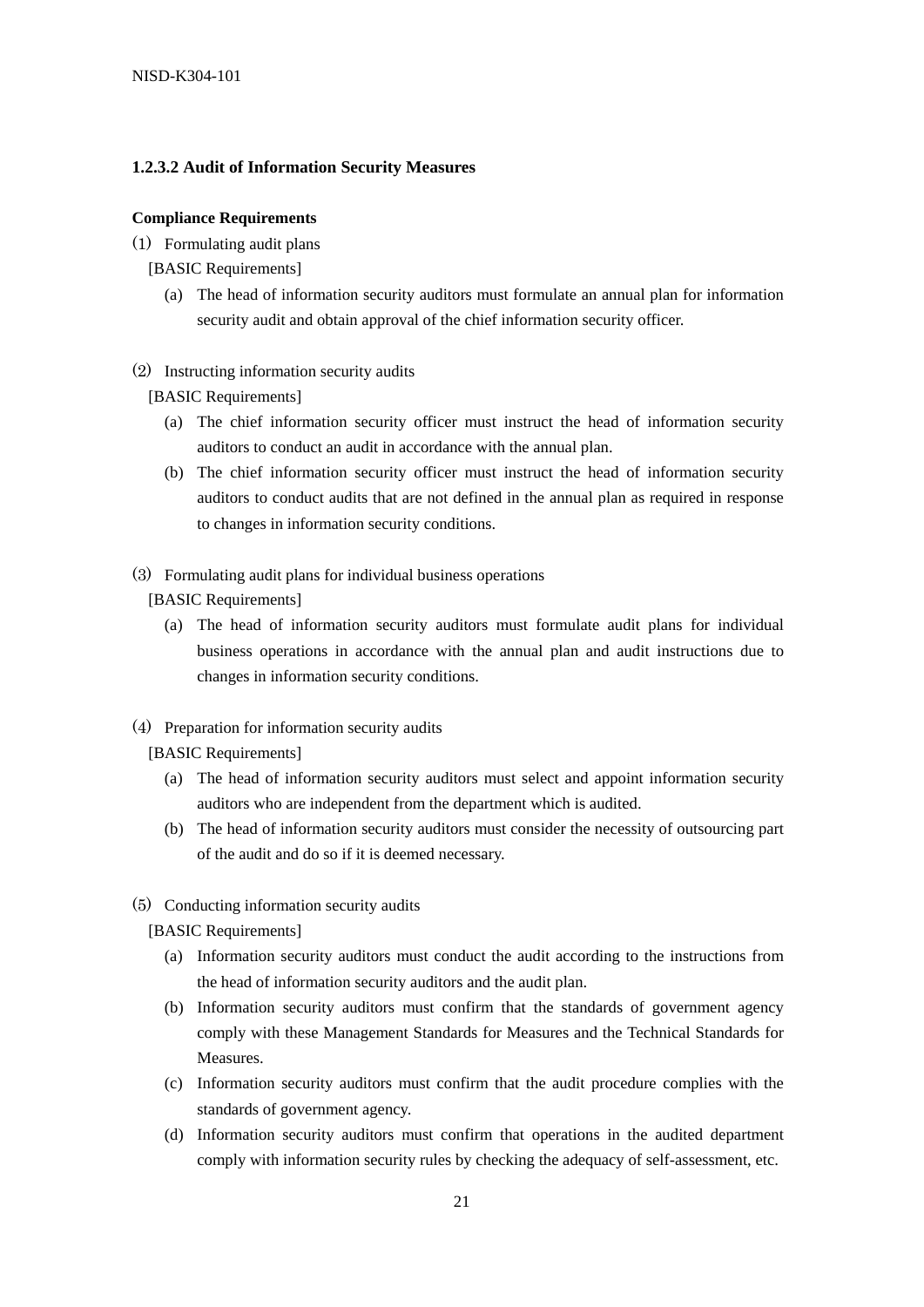#### **1.2.3.2 Audit of Information Security Measures**

#### **Compliance Requirements**

(1) Formulating audit plans

- [BASIC Requirements]
	- (a) The head of information security auditors must formulate an annual plan for information security audit and obtain approval of the chief information security officer.
- (2) Instructing information security audits

- (a) The chief information security officer must instruct the head of information security auditors to conduct an audit in accordance with the annual plan.
- (b) The chief information security officer must instruct the head of information security auditors to conduct audits that are not defined in the annual plan as required in response to changes in information security conditions.
- (3) Formulating audit plans for individual business operations
	- [BASIC Requirements]
		- (a) The head of information security auditors must formulate audit plans for individual business operations in accordance with the annual plan and audit instructions due to changes in information security conditions.
- (4) Preparation for information security audits
	- [BASIC Requirements]
		- (a) The head of information security auditors must select and appoint information security auditors who are independent from the department which is audited.
		- (b) The head of information security auditors must consider the necessity of outsourcing part of the audit and do so if it is deemed necessary.
- (5) Conducting information security audits
	- [BASIC Requirements]
		- (a) Information security auditors must conduct the audit according to the instructions from the head of information security auditors and the audit plan.
		- (b) Information security auditors must confirm that the standards of government agency comply with these Management Standards for Measures and the Technical Standards for Measures.
		- (c) Information security auditors must confirm that the audit procedure complies with the standards of government agency.
		- (d) Information security auditors must confirm that operations in the audited department comply with information security rules by checking the adequacy of self-assessment, etc.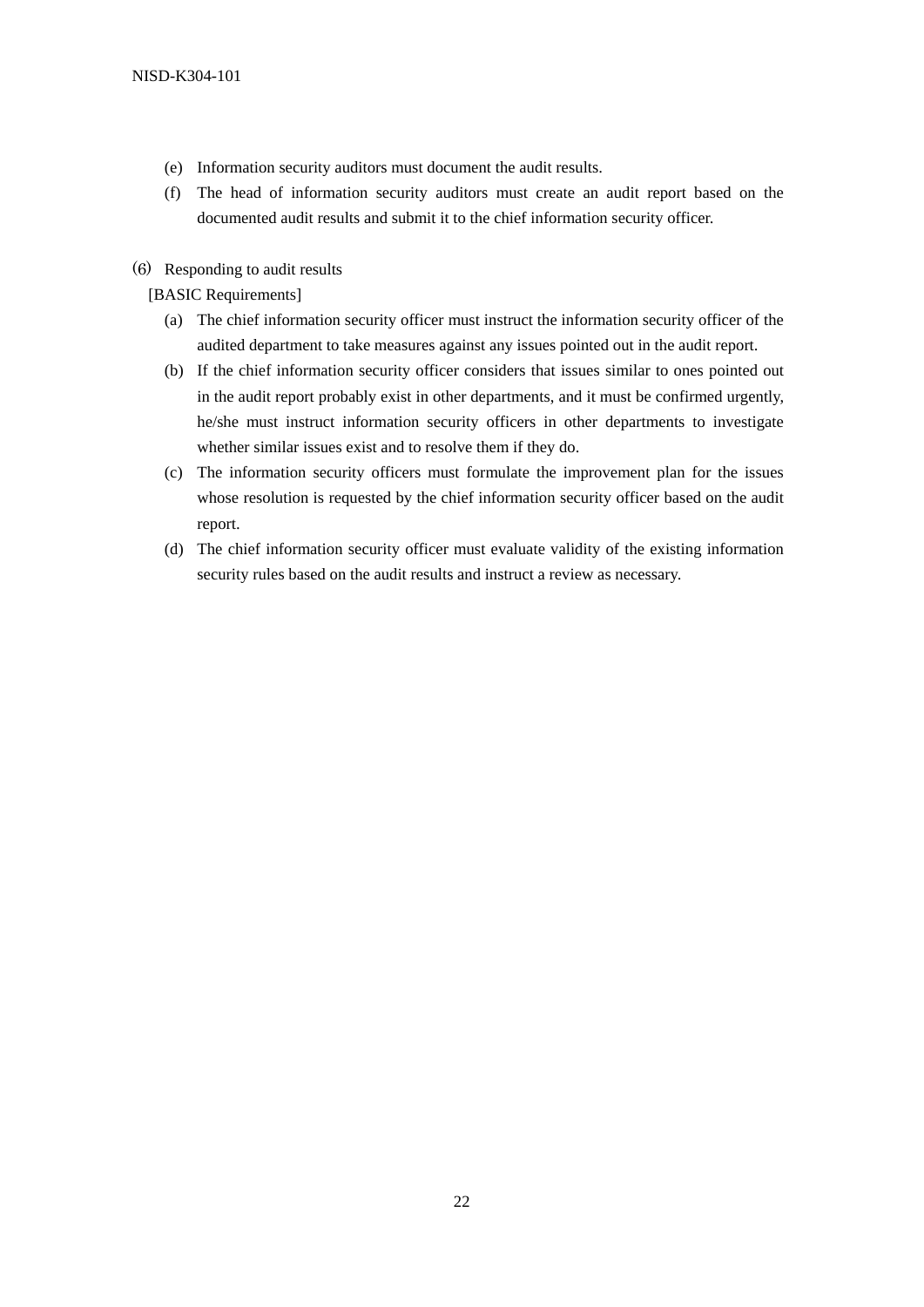- (e) Information security auditors must document the audit results.
- (f) The head of information security auditors must create an audit report based on the documented audit results and submit it to the chief information security officer.
- (6) Responding to audit results
	- [BASIC Requirements]
		- (a) The chief information security officer must instruct the information security officer of the audited department to take measures against any issues pointed out in the audit report.
		- (b) If the chief information security officer considers that issues similar to ones pointed out in the audit report probably exist in other departments, and it must be confirmed urgently, he/she must instruct information security officers in other departments to investigate whether similar issues exist and to resolve them if they do.
		- (c) The information security officers must formulate the improvement plan for the issues whose resolution is requested by the chief information security officer based on the audit report.
		- (d) The chief information security officer must evaluate validity of the existing information security rules based on the audit results and instruct a review as necessary.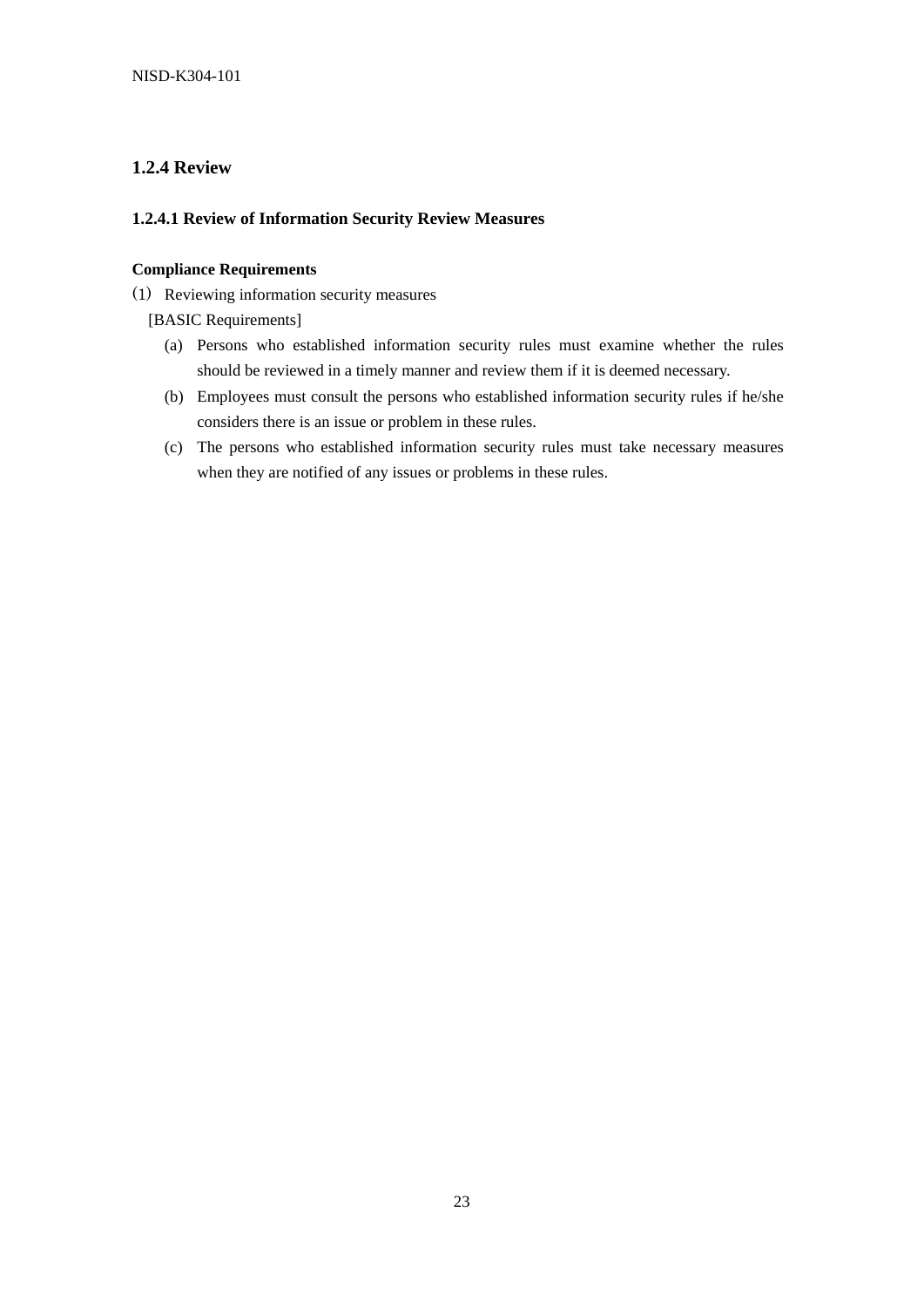# **1.2.4 Review**

# **1.2.4.1 Review of Information Security Review Measures**

# **Compliance Requirements**

(1) Reviewing information security measures

- [BASIC Requirements]
	- (a) Persons who established information security rules must examine whether the rules should be reviewed in a timely manner and review them if it is deemed necessary.
	- (b) Employees must consult the persons who established information security rules if he/she considers there is an issue or problem in these rules.
	- (c) The persons who established information security rules must take necessary measures when they are notified of any issues or problems in these rules.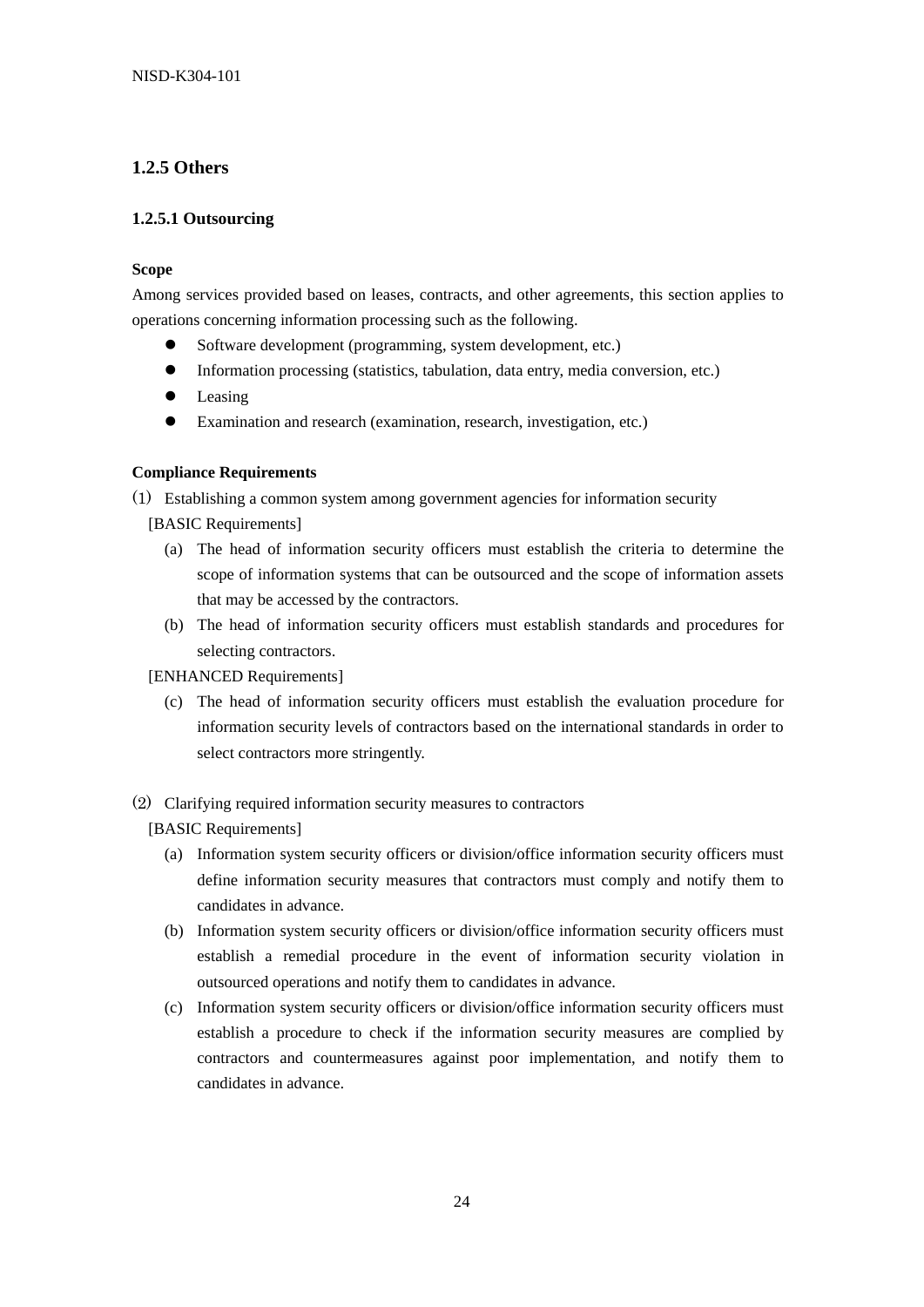# **1.2.5 Others**

# **1.2.5.1 Outsourcing**

### **Scope**

Among services provided based on leases, contracts, and other agreements, this section applies to operations concerning information processing such as the following.

- Software development (programming, system development, etc.)
- Information processing (statistics, tabulation, data entry, media conversion, etc.)
- Leasing
- Examination and research (examination, research, investigation, etc.)

### **Compliance Requirements**

(1) Establishing a common system among government agencies for information security

[BASIC Requirements]

- (a) The head of information security officers must establish the criteria to determine the scope of information systems that can be outsourced and the scope of information assets that may be accessed by the contractors.
- (b) The head of information security officers must establish standards and procedures for selecting contractors.

[ENHANCED Requirements]

- (c) The head of information security officers must establish the evaluation procedure for information security levels of contractors based on the international standards in order to select contractors more stringently.
- (2) Clarifying required information security measures to contractors

- (a) Information system security officers or division/office information security officers must define information security measures that contractors must comply and notify them to candidates in advance.
- (b) Information system security officers or division/office information security officers must establish a remedial procedure in the event of information security violation in outsourced operations and notify them to candidates in advance.
- (c) Information system security officers or division/office information security officers must establish a procedure to check if the information security measures are complied by contractors and countermeasures against poor implementation, and notify them to candidates in advance.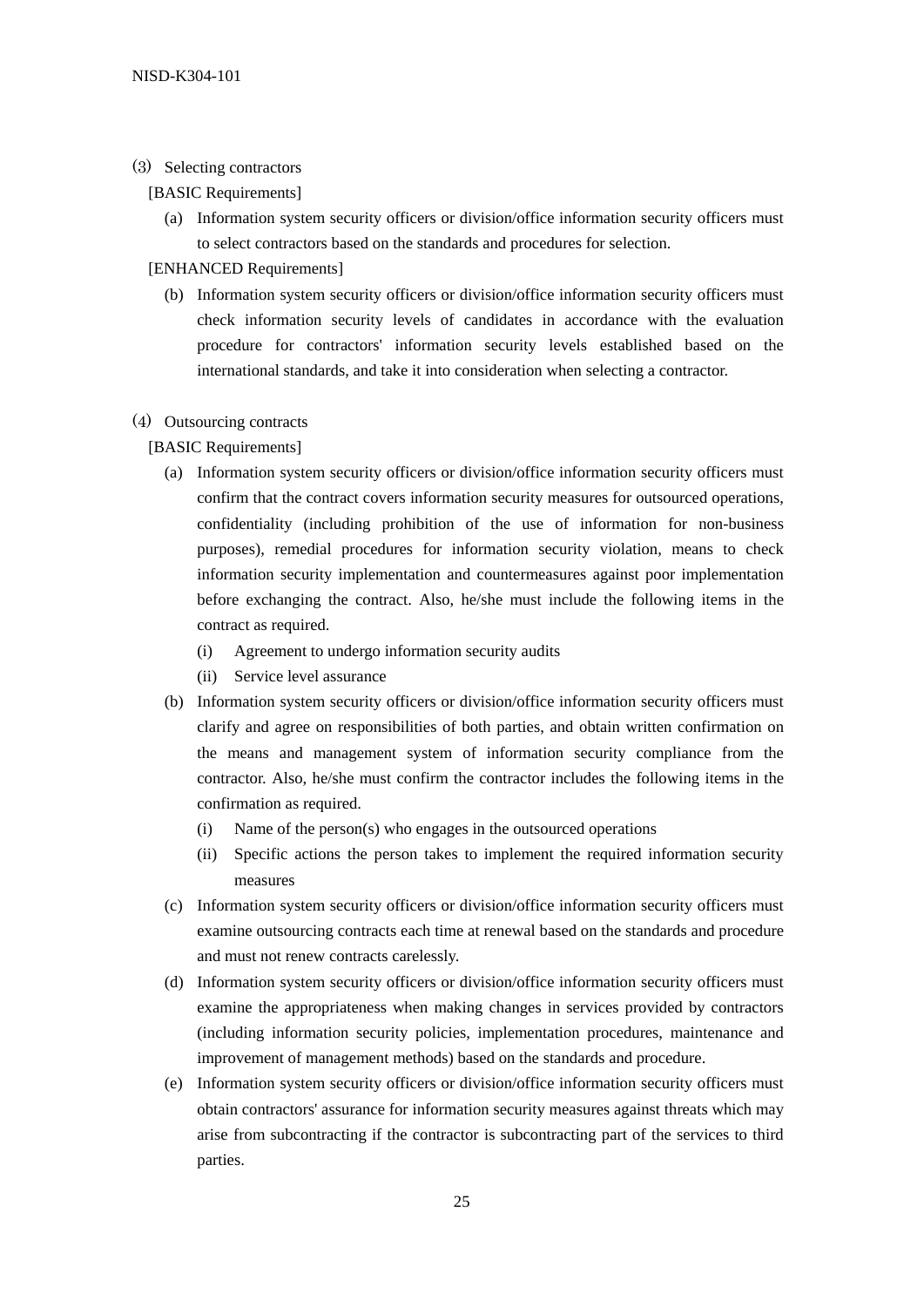#### (3) Selecting contractors

#### [BASIC Requirements]

- (a) Information system security officers or division/office information security officers must to select contractors based on the standards and procedures for selection.
- [ENHANCED Requirements]
	- (b) Information system security officers or division/office information security officers must check information security levels of candidates in accordance with the evaluation procedure for contractors' information security levels established based on the international standards, and take it into consideration when selecting a contractor.

#### (4) Outsourcing contracts

- (a) Information system security officers or division/office information security officers must confirm that the contract covers information security measures for outsourced operations, confidentiality (including prohibition of the use of information for non-business purposes), remedial procedures for information security violation, means to check information security implementation and countermeasures against poor implementation before exchanging the contract. Also, he/she must include the following items in the contract as required.
	- (i) Agreement to undergo information security audits
	- (ii) Service level assurance
- (b) Information system security officers or division/office information security officers must clarify and agree on responsibilities of both parties, and obtain written confirmation on the means and management system of information security compliance from the contractor. Also, he/she must confirm the contractor includes the following items in the confirmation as required.
	- (i) Name of the person(s) who engages in the outsourced operations
	- (ii) Specific actions the person takes to implement the required information security measures
- (c) Information system security officers or division/office information security officers must examine outsourcing contracts each time at renewal based on the standards and procedure and must not renew contracts carelessly.
- (d) Information system security officers or division/office information security officers must examine the appropriateness when making changes in services provided by contractors (including information security policies, implementation procedures, maintenance and improvement of management methods) based on the standards and procedure.
- (e) Information system security officers or division/office information security officers must obtain contractors' assurance for information security measures against threats which may arise from subcontracting if the contractor is subcontracting part of the services to third parties.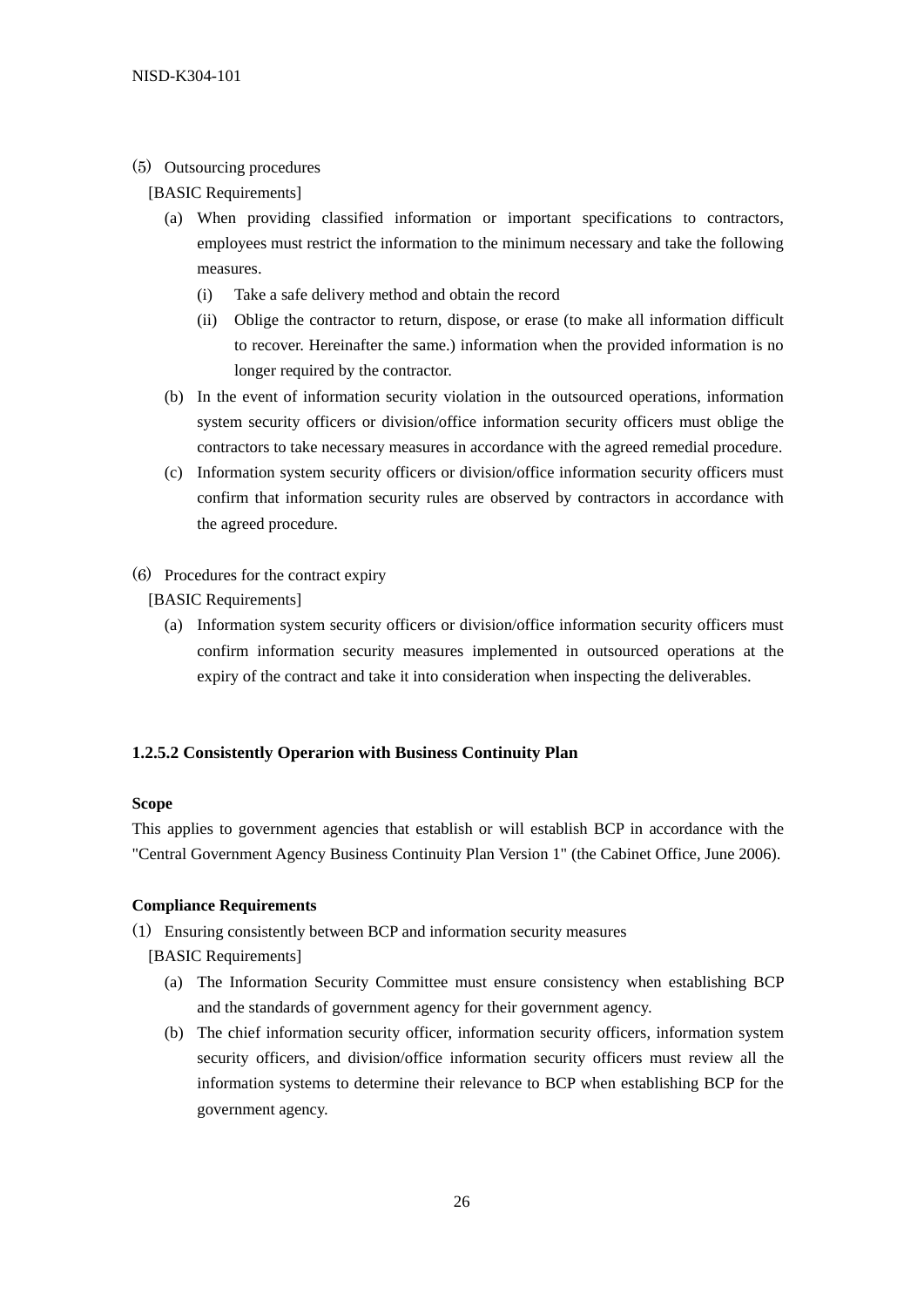(5) Outsourcing procedures

[BASIC Requirements]

- (a) When providing classified information or important specifications to contractors, employees must restrict the information to the minimum necessary and take the following measures.
	- (i) Take a safe delivery method and obtain the record
	- (ii) Oblige the contractor to return, dispose, or erase (to make all information difficult to recover. Hereinafter the same.) information when the provided information is no longer required by the contractor.
- (b) In the event of information security violation in the outsourced operations, information system security officers or division/office information security officers must oblige the contractors to take necessary measures in accordance with the agreed remedial procedure.
- (c) Information system security officers or division/office information security officers must confirm that information security rules are observed by contractors in accordance with the agreed procedure.
- (6) Procedures for the contract expiry
	- [BASIC Requirements]
		- (a) Information system security officers or division/office information security officers must confirm information security measures implemented in outsourced operations at the expiry of the contract and take it into consideration when inspecting the deliverables.

### **1.2.5.2 Consistently Operarion with Business Continuity Plan**

#### **Scope**

This applies to government agencies that establish or will establish BCP in accordance with the "Central Government Agency Business Continuity Plan Version 1" (the Cabinet Office, June 2006).

#### **Compliance Requirements**

(1) Ensuring consistently between BCP and information security measures

- (a) The Information Security Committee must ensure consistency when establishing BCP and the standards of government agency for their government agency.
- (b) The chief information security officer, information security officers, information system security officers, and division/office information security officers must review all the information systems to determine their relevance to BCP when establishing BCP for the government agency.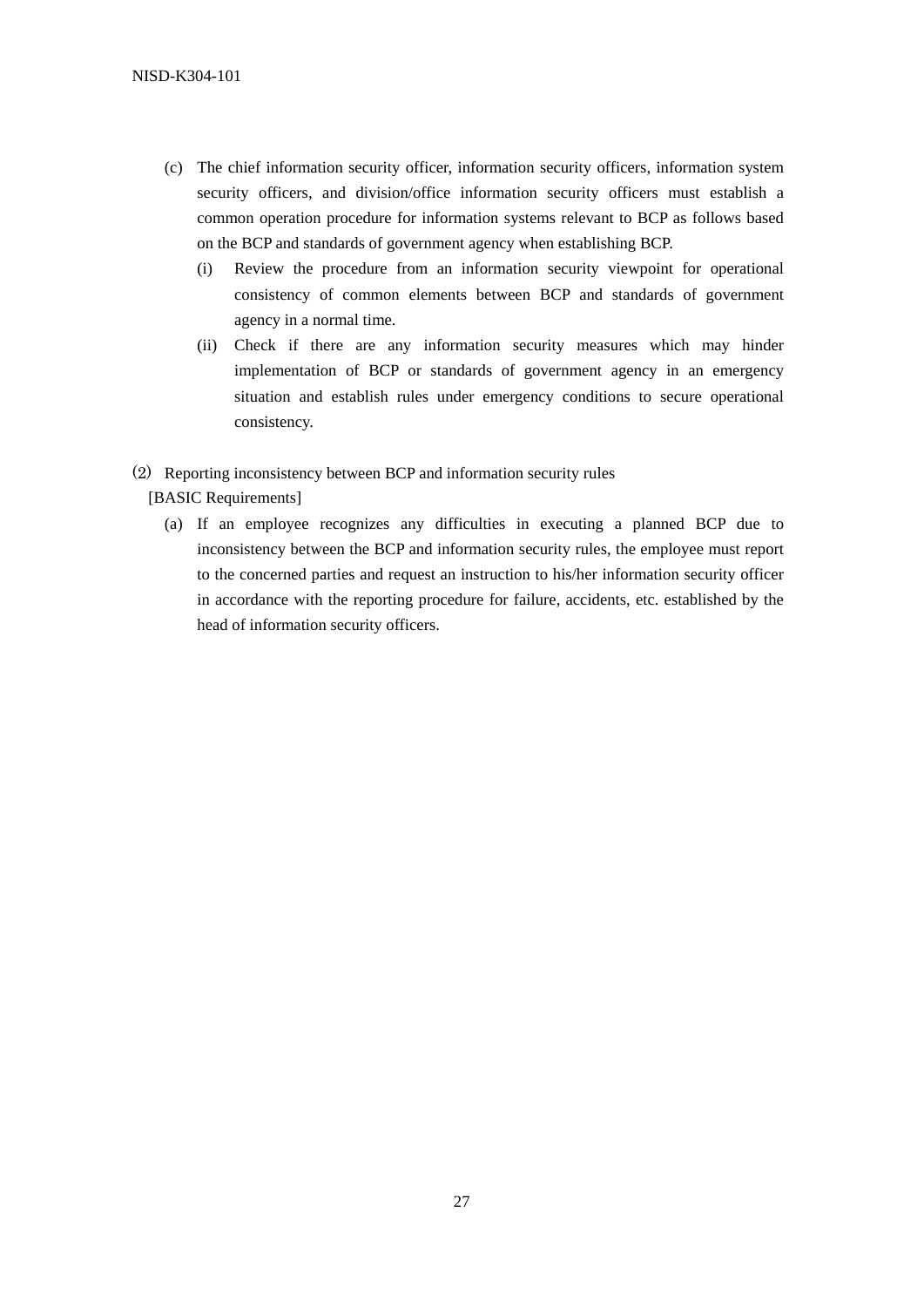- (c) The chief information security officer, information security officers, information system security officers, and division/office information security officers must establish a common operation procedure for information systems relevant to BCP as follows based on the BCP and standards of government agency when establishing BCP.
	- (i) Review the procedure from an information security viewpoint for operational consistency of common elements between BCP and standards of government agency in a normal time.
	- (ii) Check if there are any information security measures which may hinder implementation of BCP or standards of government agency in an emergency situation and establish rules under emergency conditions to secure operational consistency.
- (2) Reporting inconsistency between BCP and information security rules
	- [BASIC Requirements]
		- (a) If an employee recognizes any difficulties in executing a planned BCP due to inconsistency between the BCP and information security rules, the employee must report to the concerned parties and request an instruction to his/her information security officer in accordance with the reporting procedure for failure, accidents, etc. established by the head of information security officers.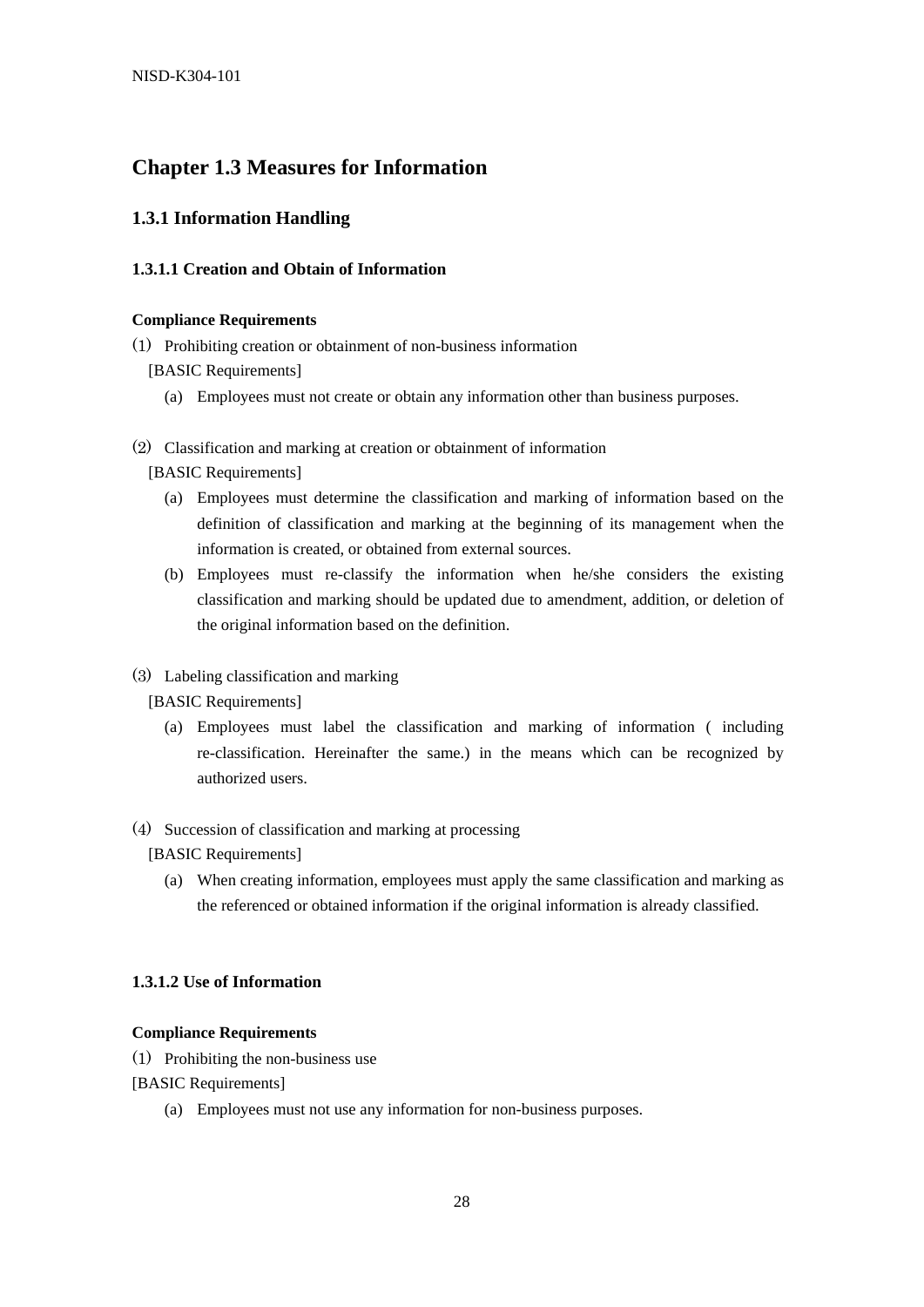# **Chapter 1.3 Measures for Information**

# **1.3.1 Information Handling**

# **1.3.1.1 Creation and Obtain of Information**

# **Compliance Requirements**

- (1) Prohibiting creation or obtainment of non-business information
	- [BASIC Requirements]
		- (a) Employees must not create or obtain any information other than business purposes.
- (2) Classification and marking at creation or obtainment of information

# [BASIC Requirements]

- (a) Employees must determine the classification and marking of information based on the definition of classification and marking at the beginning of its management when the information is created, or obtained from external sources.
- (b) Employees must re-classify the information when he/she considers the existing classification and marking should be updated due to amendment, addition, or deletion of the original information based on the definition.
- (3) Labeling classification and marking
	- [BASIC Requirements]
		- (a) Employees must label the classification and marking of information ( including re-classification. Hereinafter the same.) in the means which can be recognized by authorized users.
- (4) Succession of classification and marking at processing
	- [BASIC Requirements]
		- (a) When creating information, employees must apply the same classification and marking as the referenced or obtained information if the original information is already classified.

# **1.3.1.2 Use of Information**

- (1) Prohibiting the non-business use
- [BASIC Requirements]
	- (a) Employees must not use any information for non-business purposes.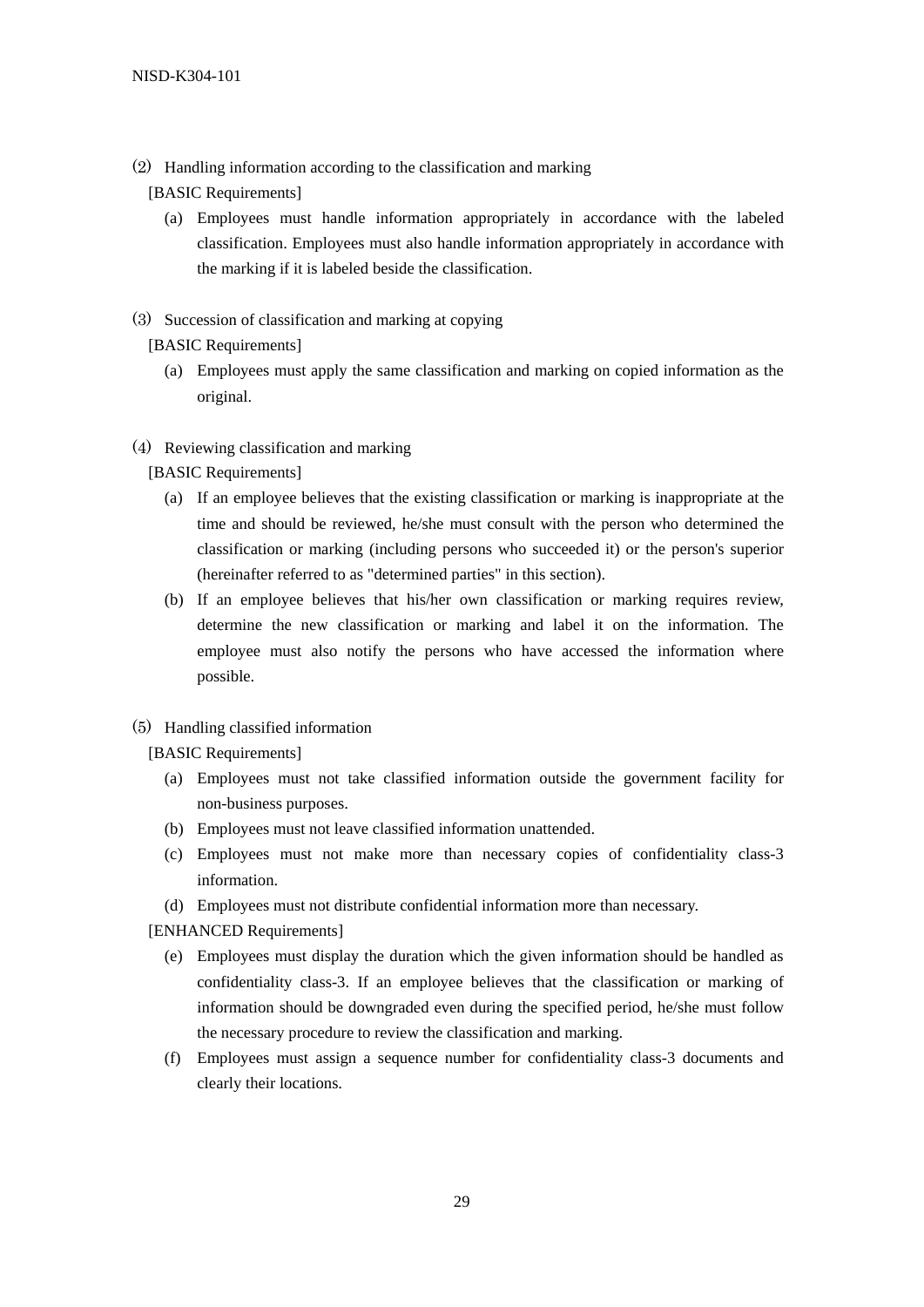(2) Handling information according to the classification and marking

[BASIC Requirements]

(a) Employees must handle information appropriately in accordance with the labeled classification. Employees must also handle information appropriately in accordance with the marking if it is labeled beside the classification.

(3) Succession of classification and marking at copying

#### [BASIC Requirements]

- (a) Employees must apply the same classification and marking on copied information as the original.
- (4) Reviewing classification and marking

[BASIC Requirements]

- (a) If an employee believes that the existing classification or marking is inappropriate at the time and should be reviewed, he/she must consult with the person who determined the classification or marking (including persons who succeeded it) or the person's superior (hereinafter referred to as "determined parties" in this section).
- (b) If an employee believes that his/her own classification or marking requires review, determine the new classification or marking and label it on the information. The employee must also notify the persons who have accessed the information where possible.
- (5) Handling classified information

#### [BASIC Requirements]

- (a) Employees must not take classified information outside the government facility for non-business purposes.
- (b) Employees must not leave classified information unattended.
- (c) Employees must not make more than necessary copies of confidentiality class-3 information.
- (d) Employees must not distribute confidential information more than necessary.

# [ENHANCED Requirements]

- (e) Employees must display the duration which the given information should be handled as confidentiality class-3. If an employee believes that the classification or marking of information should be downgraded even during the specified period, he/she must follow the necessary procedure to review the classification and marking.
- (f) Employees must assign a sequence number for confidentiality class-3 documents and clearly their locations.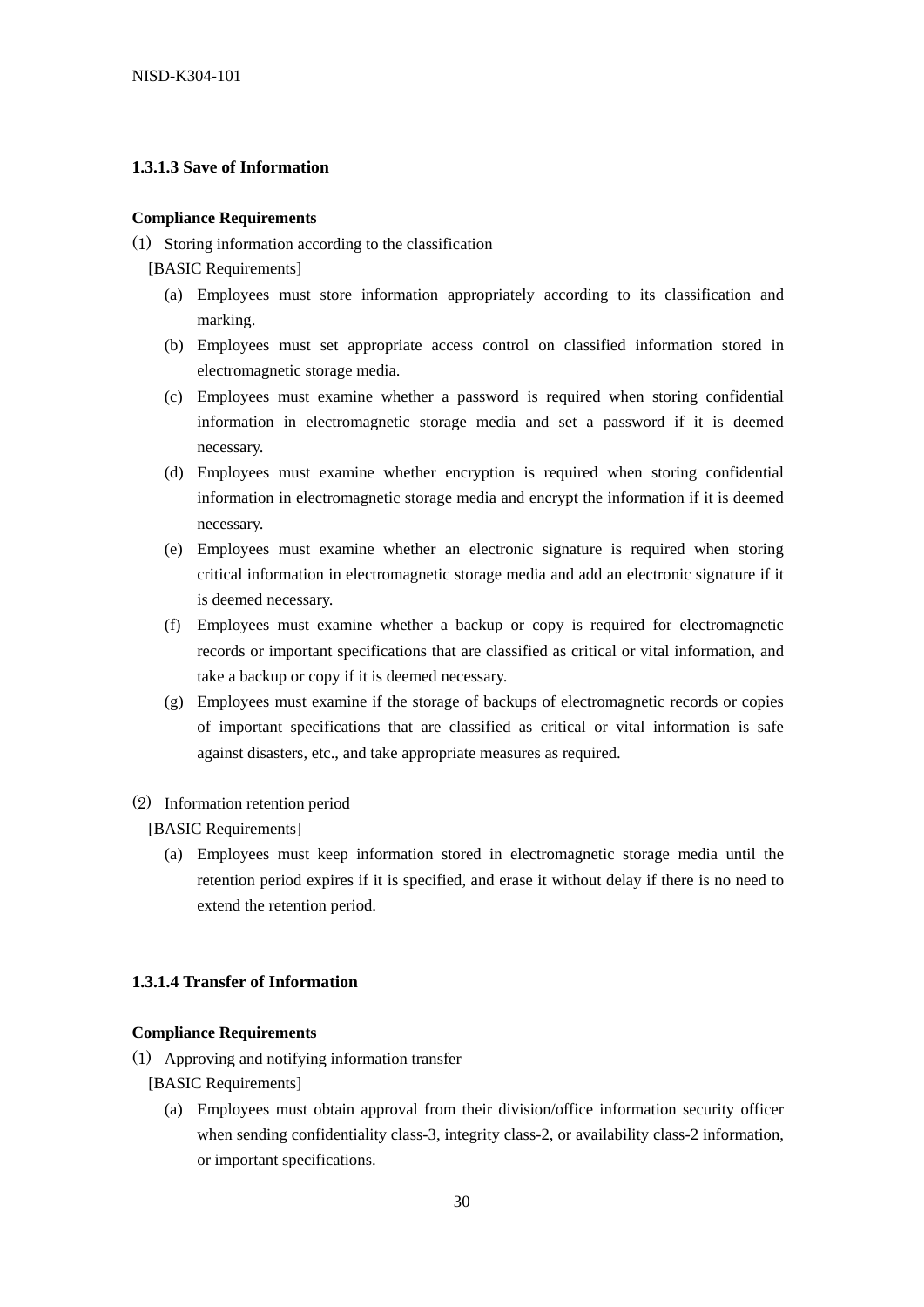### **1.3.1.3 Save of Information**

#### **Compliance Requirements**

(1) Storing information according to the classification

[BASIC Requirements]

- (a) Employees must store information appropriately according to its classification and marking.
- (b) Employees must set appropriate access control on classified information stored in electromagnetic storage media.
- (c) Employees must examine whether a password is required when storing confidential information in electromagnetic storage media and set a password if it is deemed necessary.
- (d) Employees must examine whether encryption is required when storing confidential information in electromagnetic storage media and encrypt the information if it is deemed necessary.
- (e) Employees must examine whether an electronic signature is required when storing critical information in electromagnetic storage media and add an electronic signature if it is deemed necessary.
- (f) Employees must examine whether a backup or copy is required for electromagnetic records or important specifications that are classified as critical or vital information, and take a backup or copy if it is deemed necessary.
- (g) Employees must examine if the storage of backups of electromagnetic records or copies of important specifications that are classified as critical or vital information is safe against disasters, etc., and take appropriate measures as required.
- (2) Information retention period

[BASIC Requirements]

(a) Employees must keep information stored in electromagnetic storage media until the retention period expires if it is specified, and erase it without delay if there is no need to extend the retention period.

# **1.3.1.4 Transfer of Information**

- (1) Approving and notifying information transfer
	- [BASIC Requirements]
		- (a) Employees must obtain approval from their division/office information security officer when sending confidentiality class-3, integrity class-2, or availability class-2 information, or important specifications.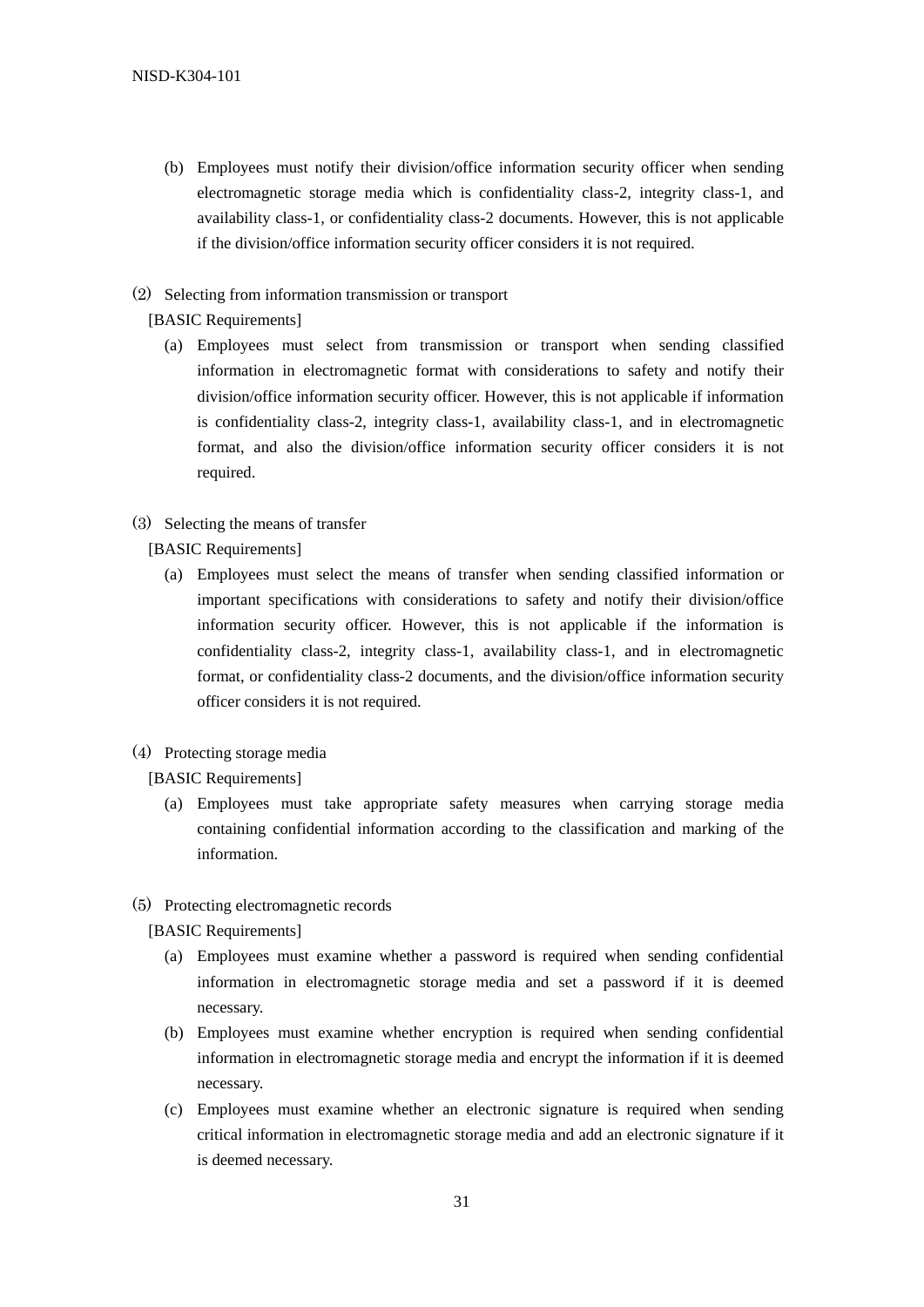(b) Employees must notify their division/office information security officer when sending electromagnetic storage media which is confidentiality class-2, integrity class-1, and availability class-1, or confidentiality class-2 documents. However, this is not applicable if the division/office information security officer considers it is not required.

#### (2) Selecting from information transmission or transport

[BASIC Requirements]

(a) Employees must select from transmission or transport when sending classified information in electromagnetic format with considerations to safety and notify their division/office information security officer. However, this is not applicable if information is confidentiality class-2, integrity class-1, availability class-1, and in electromagnetic format, and also the division/office information security officer considers it is not required.

#### (3) Selecting the means of transfer

[BASIC Requirements]

(a) Employees must select the means of transfer when sending classified information or important specifications with considerations to safety and notify their division/office information security officer. However, this is not applicable if the information is confidentiality class-2, integrity class-1, availability class-1, and in electromagnetic format, or confidentiality class-2 documents, and the division/office information security officer considers it is not required.

#### (4) Protecting storage media

[BASIC Requirements]

(a) Employees must take appropriate safety measures when carrying storage media containing confidential information according to the classification and marking of the information.

### (5) Protecting electromagnetic records

- (a) Employees must examine whether a password is required when sending confidential information in electromagnetic storage media and set a password if it is deemed necessary.
- (b) Employees must examine whether encryption is required when sending confidential information in electromagnetic storage media and encrypt the information if it is deemed necessary.
- (c) Employees must examine whether an electronic signature is required when sending critical information in electromagnetic storage media and add an electronic signature if it is deemed necessary.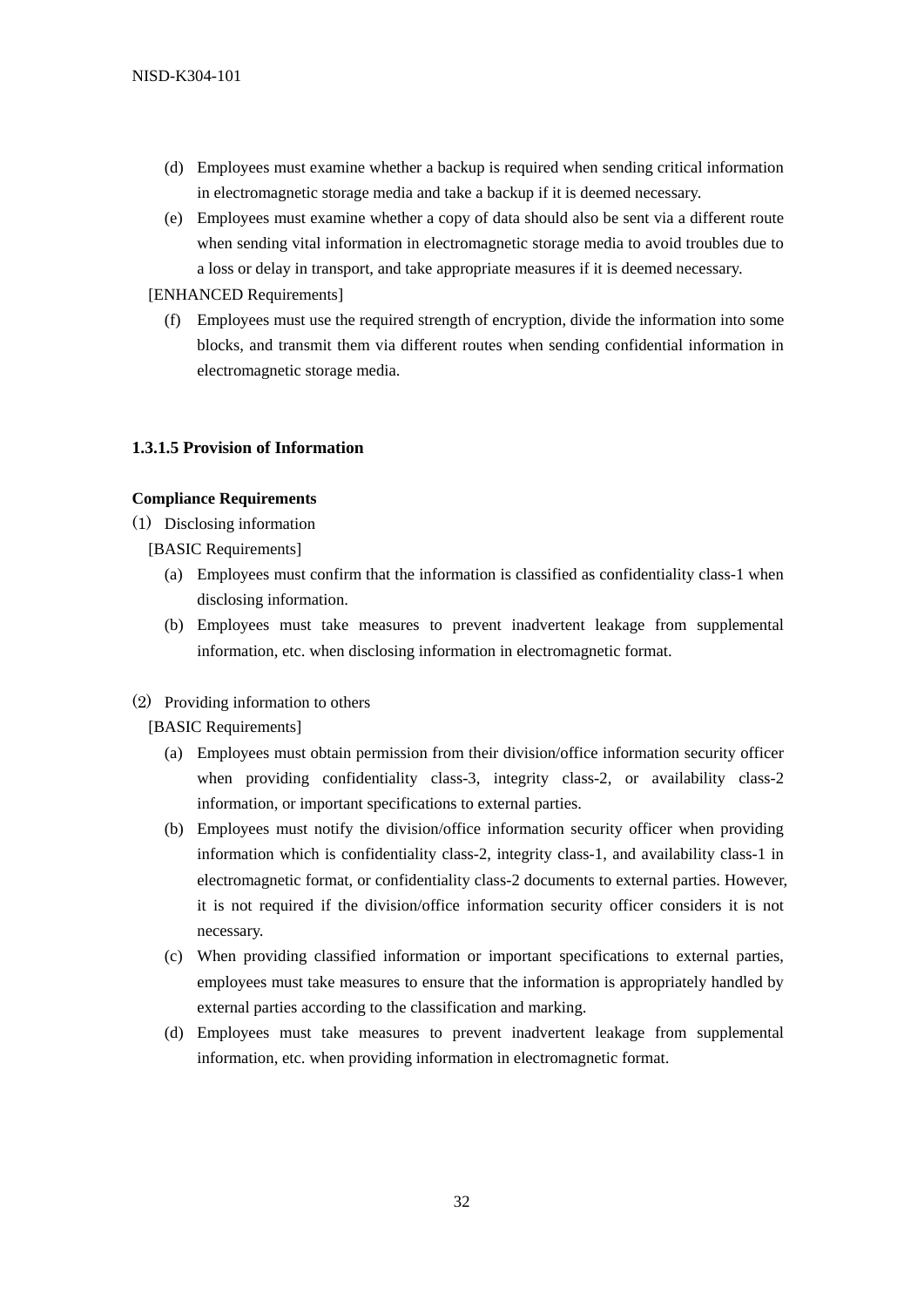- (d) Employees must examine whether a backup is required when sending critical information in electromagnetic storage media and take a backup if it is deemed necessary.
- (e) Employees must examine whether a copy of data should also be sent via a different route when sending vital information in electromagnetic storage media to avoid troubles due to a loss or delay in transport, and take appropriate measures if it is deemed necessary.

### [ENHANCED Requirements]

(f) Employees must use the required strength of encryption, divide the information into some blocks, and transmit them via different routes when sending confidential information in electromagnetic storage media.

#### **1.3.1.5 Provision of Information**

#### **Compliance Requirements**

(1) Disclosing information

[BASIC Requirements]

- (a) Employees must confirm that the information is classified as confidentiality class-1 when disclosing information.
- (b) Employees must take measures to prevent inadvertent leakage from supplemental information, etc. when disclosing information in electromagnetic format.

#### (2) Providing information to others

- (a) Employees must obtain permission from their division/office information security officer when providing confidentiality class-3, integrity class-2, or availability class-2 information, or important specifications to external parties.
- (b) Employees must notify the division/office information security officer when providing information which is confidentiality class-2, integrity class-1, and availability class-1 in electromagnetic format, or confidentiality class-2 documents to external parties. However, it is not required if the division/office information security officer considers it is not necessary.
- (c) When providing classified information or important specifications to external parties, employees must take measures to ensure that the information is appropriately handled by external parties according to the classification and marking.
- (d) Employees must take measures to prevent inadvertent leakage from supplemental information, etc. when providing information in electromagnetic format.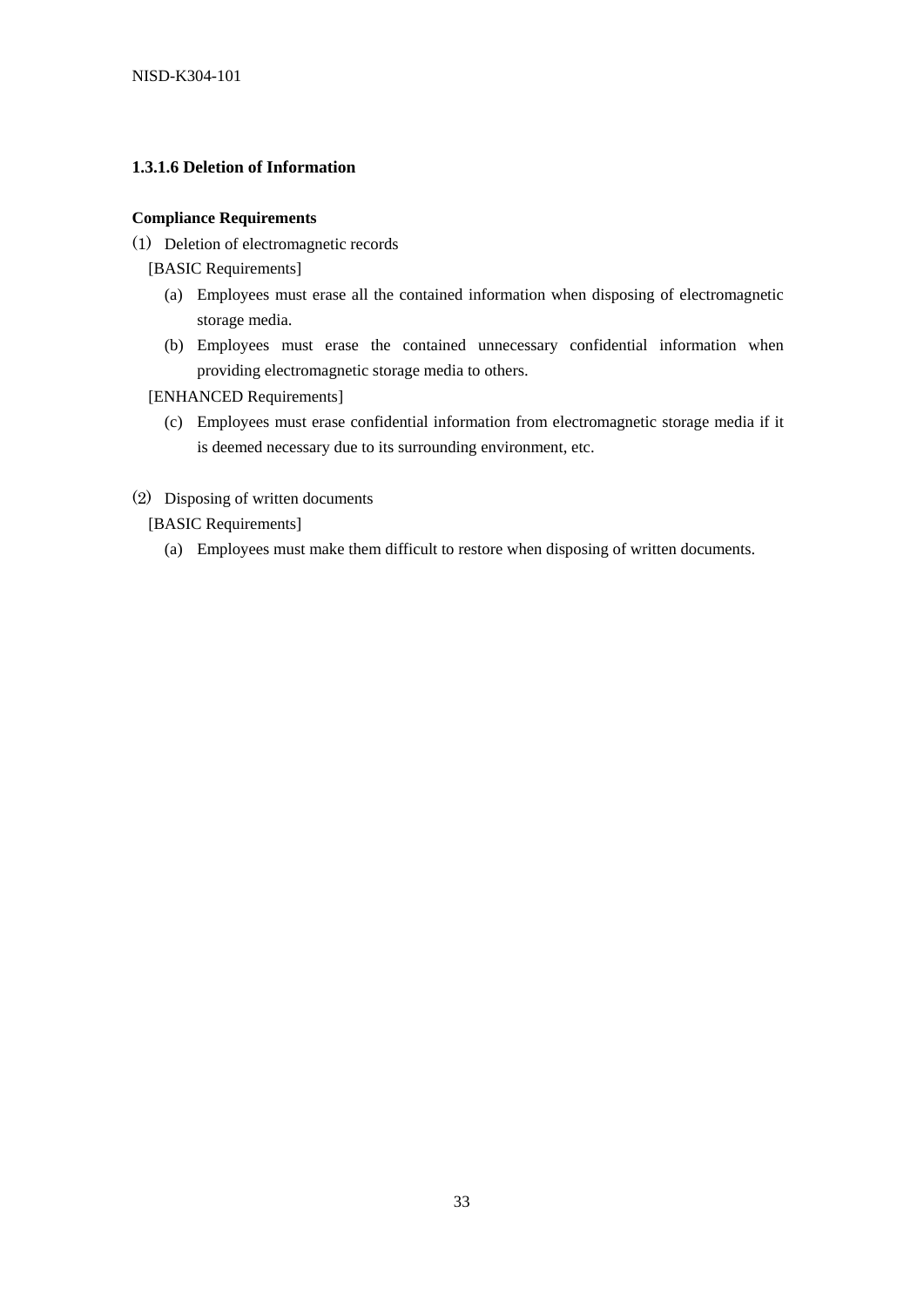# **1.3.1.6 Deletion of Information**

- (1) Deletion of electromagnetic records
	- [BASIC Requirements]
		- (a) Employees must erase all the contained information when disposing of electromagnetic storage media.
		- (b) Employees must erase the contained unnecessary confidential information when providing electromagnetic storage media to others.
	- [ENHANCED Requirements]
		- (c) Employees must erase confidential information from electromagnetic storage media if it is deemed necessary due to its surrounding environment, etc.
- (2) Disposing of written documents
	- [BASIC Requirements]
		- (a) Employees must make them difficult to restore when disposing of written documents.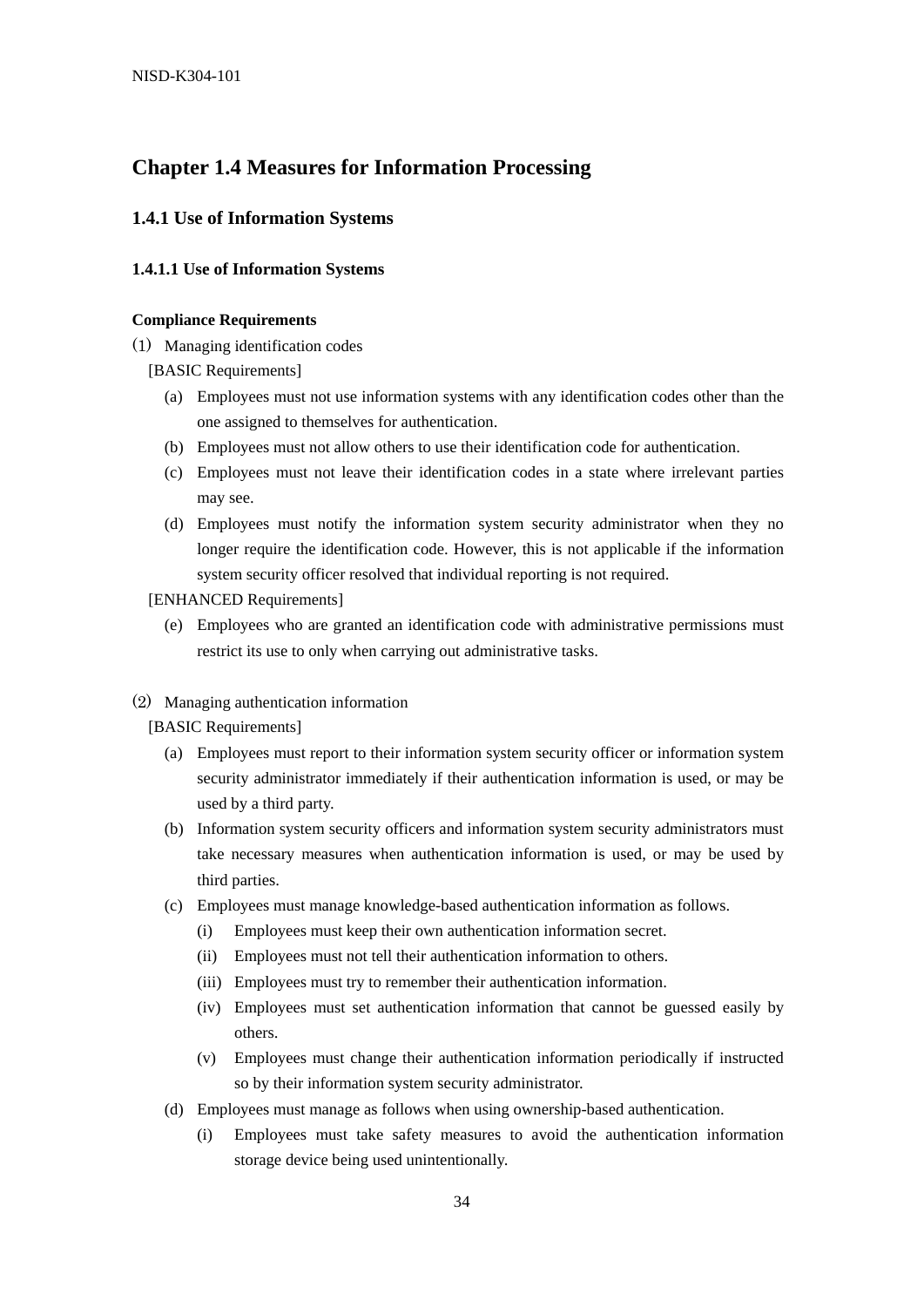# **Chapter 1.4 Measures for Information Processing**

# **1.4.1 Use of Information Systems**

#### **1.4.1.1 Use of Information Systems**

#### **Compliance Requirements**

- (1) Managing identification codes
	- [BASIC Requirements]
		- (a) Employees must not use information systems with any identification codes other than the one assigned to themselves for authentication.
		- (b) Employees must not allow others to use their identification code for authentication.
		- (c) Employees must not leave their identification codes in a state where irrelevant parties may see.
		- (d) Employees must notify the information system security administrator when they no longer require the identification code. However, this is not applicable if the information system security officer resolved that individual reporting is not required.
	- [ENHANCED Requirements]
		- (e) Employees who are granted an identification code with administrative permissions must restrict its use to only when carrying out administrative tasks.

#### (2) Managing authentication information

- (a) Employees must report to their information system security officer or information system security administrator immediately if their authentication information is used, or may be used by a third party.
- (b) Information system security officers and information system security administrators must take necessary measures when authentication information is used, or may be used by third parties.
- (c) Employees must manage knowledge-based authentication information as follows.
	- (i) Employees must keep their own authentication information secret.
	- (ii) Employees must not tell their authentication information to others.
	- (iii) Employees must try to remember their authentication information.
	- (iv) Employees must set authentication information that cannot be guessed easily by others.
	- (v) Employees must change their authentication information periodically if instructed so by their information system security administrator.
- (d) Employees must manage as follows when using ownership-based authentication.
	- (i) Employees must take safety measures to avoid the authentication information storage device being used unintentionally.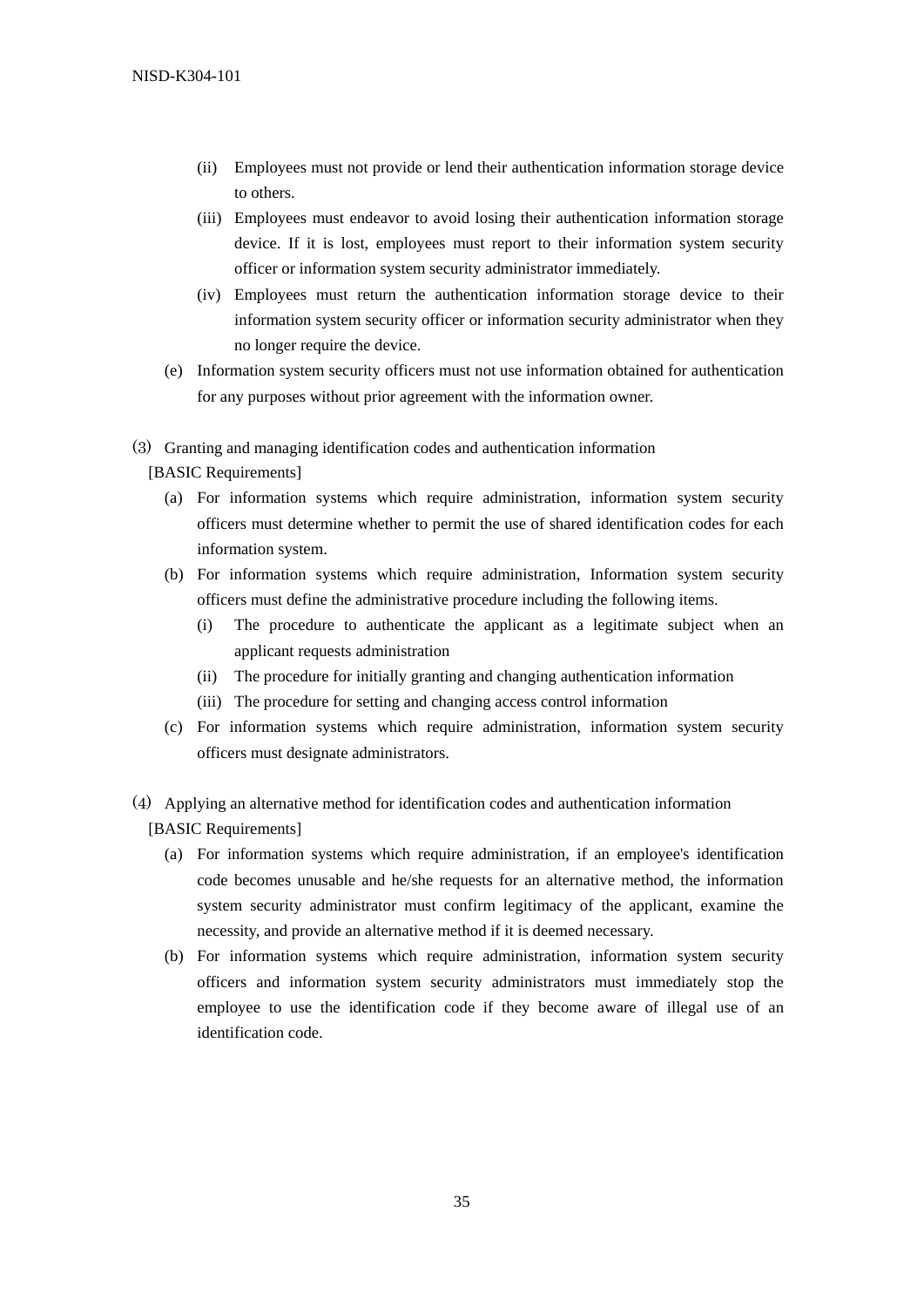- (ii) Employees must not provide or lend their authentication information storage device to others.
- (iii) Employees must endeavor to avoid losing their authentication information storage device. If it is lost, employees must report to their information system security officer or information system security administrator immediately.
- (iv) Employees must return the authentication information storage device to their information system security officer or information security administrator when they no longer require the device.
- (e) Information system security officers must not use information obtained for authentication for any purposes without prior agreement with the information owner.
- (3) Granting and managing identification codes and authentication information
	- [BASIC Requirements]
		- (a) For information systems which require administration, information system security officers must determine whether to permit the use of shared identification codes for each information system.
		- (b) For information systems which require administration, Information system security officers must define the administrative procedure including the following items.
			- (i) The procedure to authenticate the applicant as a legitimate subject when an applicant requests administration
			- (ii) The procedure for initially granting and changing authentication information
			- (iii) The procedure for setting and changing access control information
		- (c) For information systems which require administration, information system security officers must designate administrators.
- (4) Applying an alternative method for identification codes and authentication information
	- [BASIC Requirements]
		- (a) For information systems which require administration, if an employee's identification code becomes unusable and he/she requests for an alternative method, the information system security administrator must confirm legitimacy of the applicant, examine the necessity, and provide an alternative method if it is deemed necessary.
		- (b) For information systems which require administration, information system security officers and information system security administrators must immediately stop the employee to use the identification code if they become aware of illegal use of an identification code.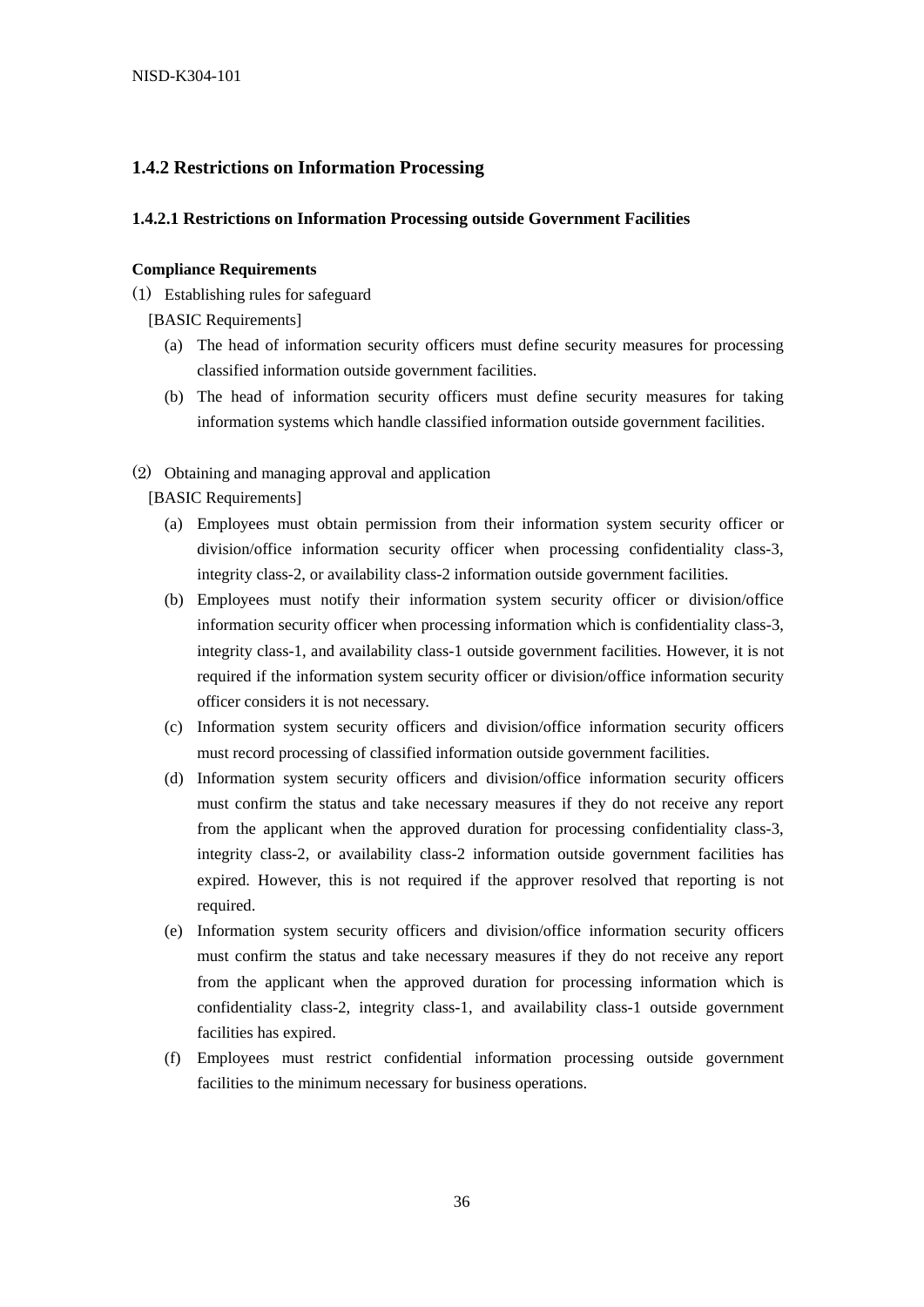# **1.4.2 Restrictions on Information Processing**

# **1.4.2.1 Restrictions on Information Processing outside Government Facilities**

- (1) Establishing rules for safeguard
	- [BASIC Requirements]
		- (a) The head of information security officers must define security measures for processing classified information outside government facilities.
		- (b) The head of information security officers must define security measures for taking information systems which handle classified information outside government facilities.
- (2) Obtaining and managing approval and application
	- [BASIC Requirements]
		- (a) Employees must obtain permission from their information system security officer or division/office information security officer when processing confidentiality class-3, integrity class-2, or availability class-2 information outside government facilities.
		- (b) Employees must notify their information system security officer or division/office information security officer when processing information which is confidentiality class-3, integrity class-1, and availability class-1 outside government facilities. However, it is not required if the information system security officer or division/office information security officer considers it is not necessary.
		- (c) Information system security officers and division/office information security officers must record processing of classified information outside government facilities.
		- (d) Information system security officers and division/office information security officers must confirm the status and take necessary measures if they do not receive any report from the applicant when the approved duration for processing confidentiality class-3, integrity class-2, or availability class-2 information outside government facilities has expired. However, this is not required if the approver resolved that reporting is not required.
		- (e) Information system security officers and division/office information security officers must confirm the status and take necessary measures if they do not receive any report from the applicant when the approved duration for processing information which is confidentiality class-2, integrity class-1, and availability class-1 outside government facilities has expired.
		- (f) Employees must restrict confidential information processing outside government facilities to the minimum necessary for business operations.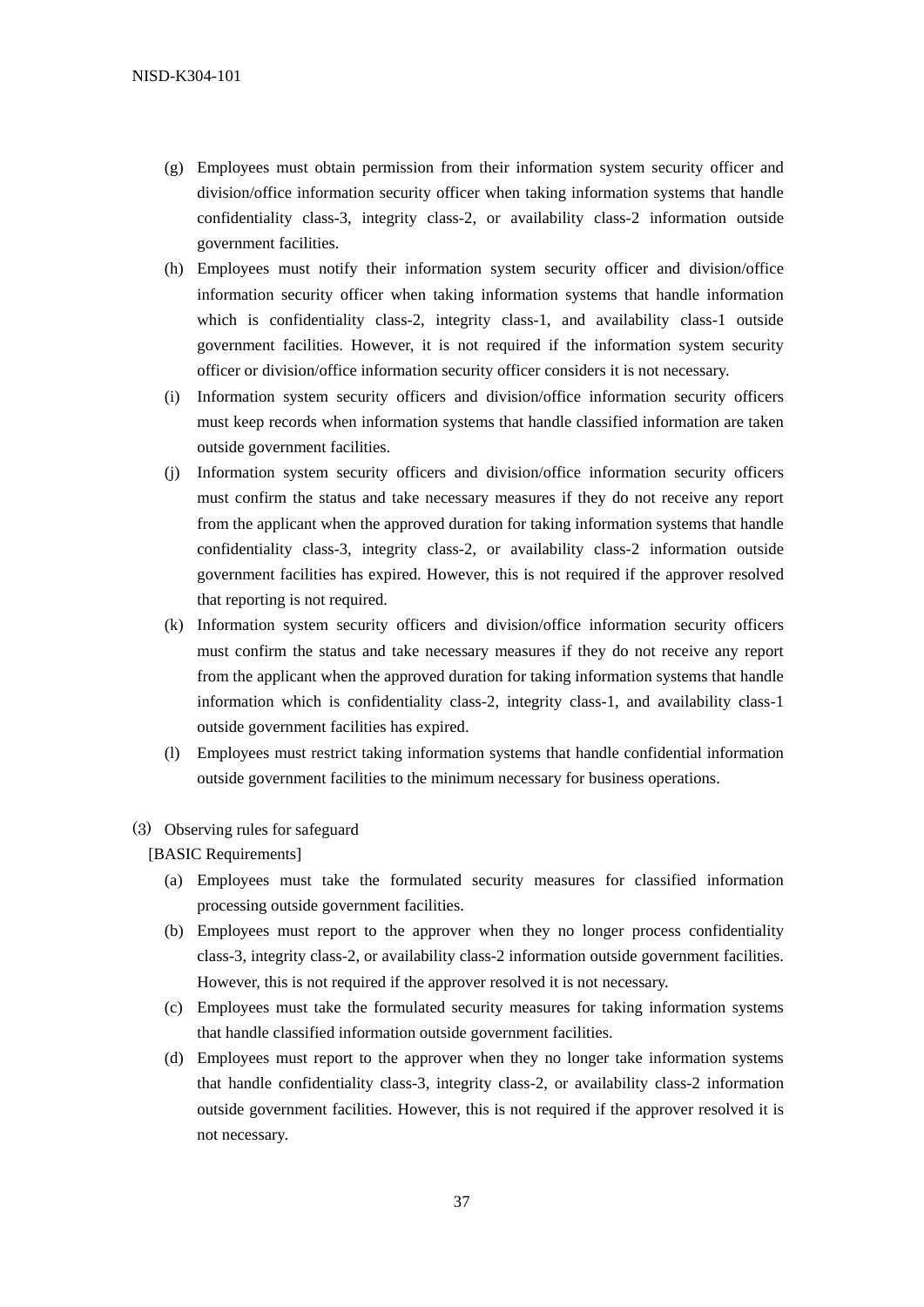- (g) Employees must obtain permission from their information system security officer and division/office information security officer when taking information systems that handle confidentiality class-3, integrity class-2, or availability class-2 information outside government facilities.
- (h) Employees must notify their information system security officer and division/office information security officer when taking information systems that handle information which is confidentiality class-2, integrity class-1, and availability class-1 outside government facilities. However, it is not required if the information system security officer or division/office information security officer considers it is not necessary.
- (i) Information system security officers and division/office information security officers must keep records when information systems that handle classified information are taken outside government facilities.
- (j) Information system security officers and division/office information security officers must confirm the status and take necessary measures if they do not receive any report from the applicant when the approved duration for taking information systems that handle confidentiality class-3, integrity class-2, or availability class-2 information outside government facilities has expired. However, this is not required if the approver resolved that reporting is not required.
- (k) Information system security officers and division/office information security officers must confirm the status and take necessary measures if they do not receive any report from the applicant when the approved duration for taking information systems that handle information which is confidentiality class-2, integrity class-1, and availability class-1 outside government facilities has expired.
- (l) Employees must restrict taking information systems that handle confidential information outside government facilities to the minimum necessary for business operations.
- (3) Observing rules for safeguard

- (a) Employees must take the formulated security measures for classified information processing outside government facilities.
- (b) Employees must report to the approver when they no longer process confidentiality class-3, integrity class-2, or availability class-2 information outside government facilities. However, this is not required if the approver resolved it is not necessary.
- (c) Employees must take the formulated security measures for taking information systems that handle classified information outside government facilities.
- (d) Employees must report to the approver when they no longer take information systems that handle confidentiality class-3, integrity class-2, or availability class-2 information outside government facilities. However, this is not required if the approver resolved it is not necessary.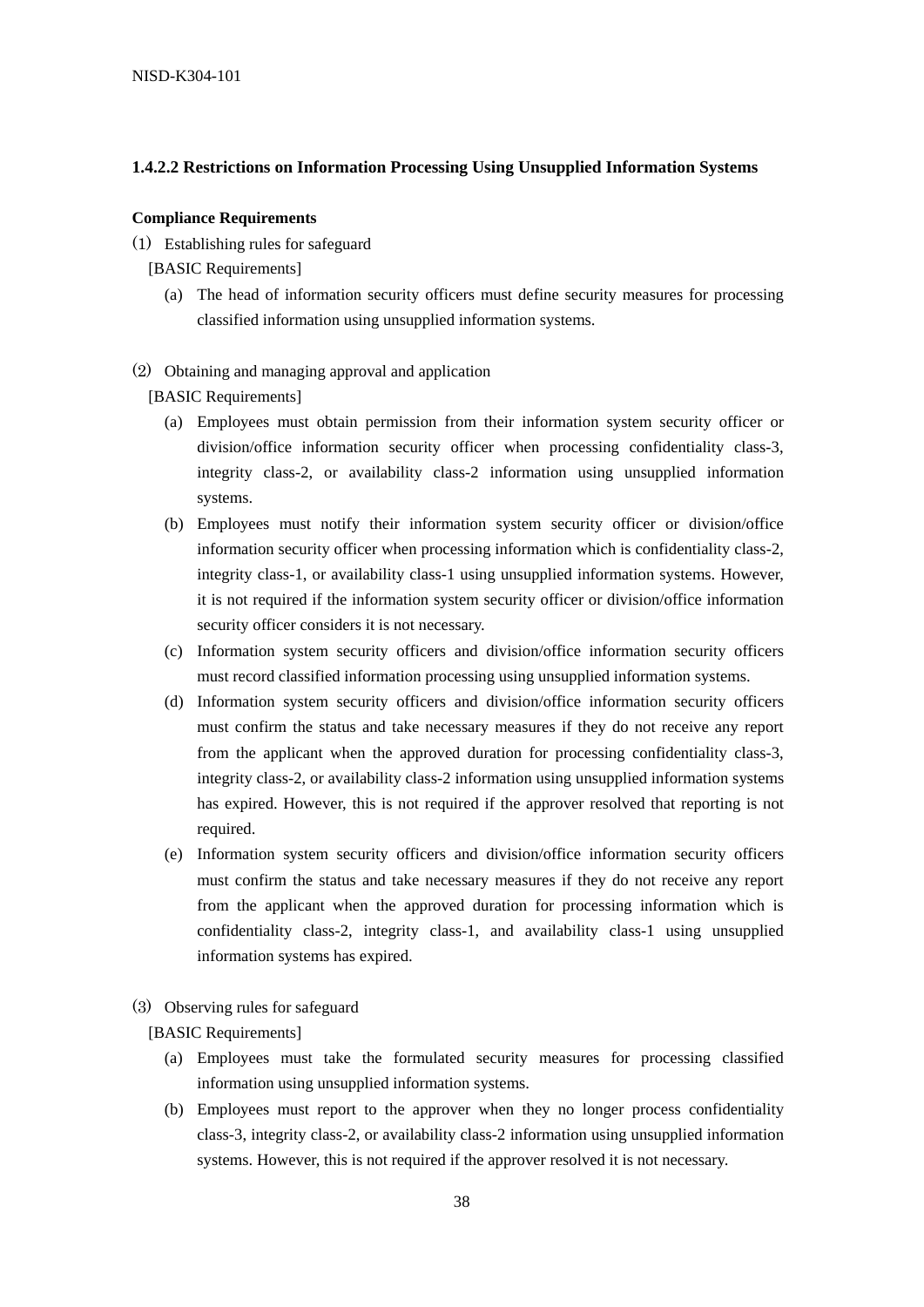#### **1.4.2.2 Restrictions on Information Processing Using Unsupplied Information Systems**

#### **Compliance Requirements**

- (1) Establishing rules for safeguard
	- [BASIC Requirements]
		- (a) The head of information security officers must define security measures for processing classified information using unsupplied information systems.

#### (2) Obtaining and managing approval and application

[BASIC Requirements]

- (a) Employees must obtain permission from their information system security officer or division/office information security officer when processing confidentiality class-3, integrity class-2, or availability class-2 information using unsupplied information systems.
- (b) Employees must notify their information system security officer or division/office information security officer when processing information which is confidentiality class-2, integrity class-1, or availability class-1 using unsupplied information systems. However, it is not required if the information system security officer or division/office information security officer considers it is not necessary.
- (c) Information system security officers and division/office information security officers must record classified information processing using unsupplied information systems.
- (d) Information system security officers and division/office information security officers must confirm the status and take necessary measures if they do not receive any report from the applicant when the approved duration for processing confidentiality class-3, integrity class-2, or availability class-2 information using unsupplied information systems has expired. However, this is not required if the approver resolved that reporting is not required.
- (e) Information system security officers and division/office information security officers must confirm the status and take necessary measures if they do not receive any report from the applicant when the approved duration for processing information which is confidentiality class-2, integrity class-1, and availability class-1 using unsupplied information systems has expired.
- (3) Observing rules for safeguard

- (a) Employees must take the formulated security measures for processing classified information using unsupplied information systems.
- (b) Employees must report to the approver when they no longer process confidentiality class-3, integrity class-2, or availability class-2 information using unsupplied information systems. However, this is not required if the approver resolved it is not necessary.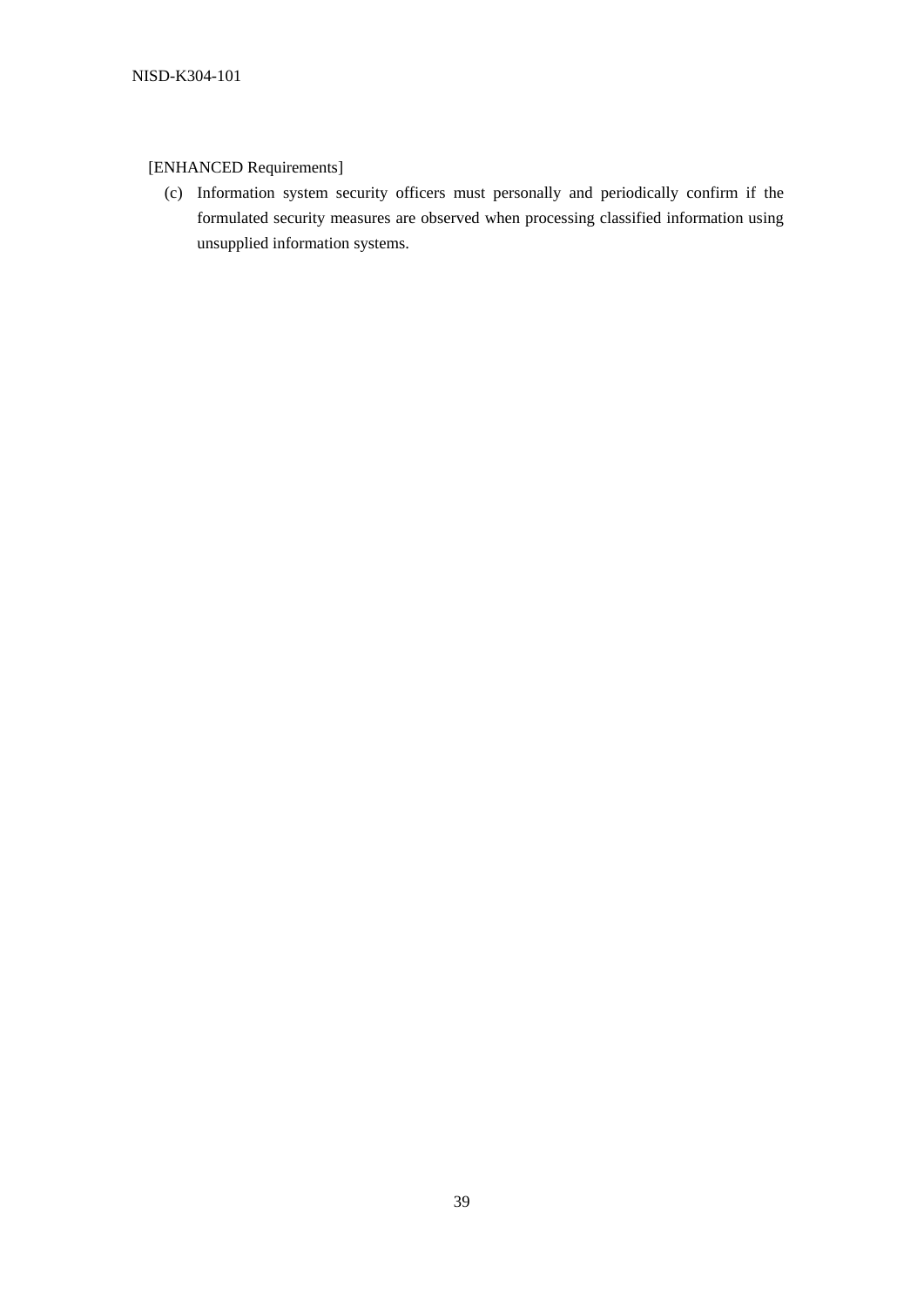# [ENHANCED Requirements]

(c) Information system security officers must personally and periodically confirm if the formulated security measures are observed when processing classified information using unsupplied information systems.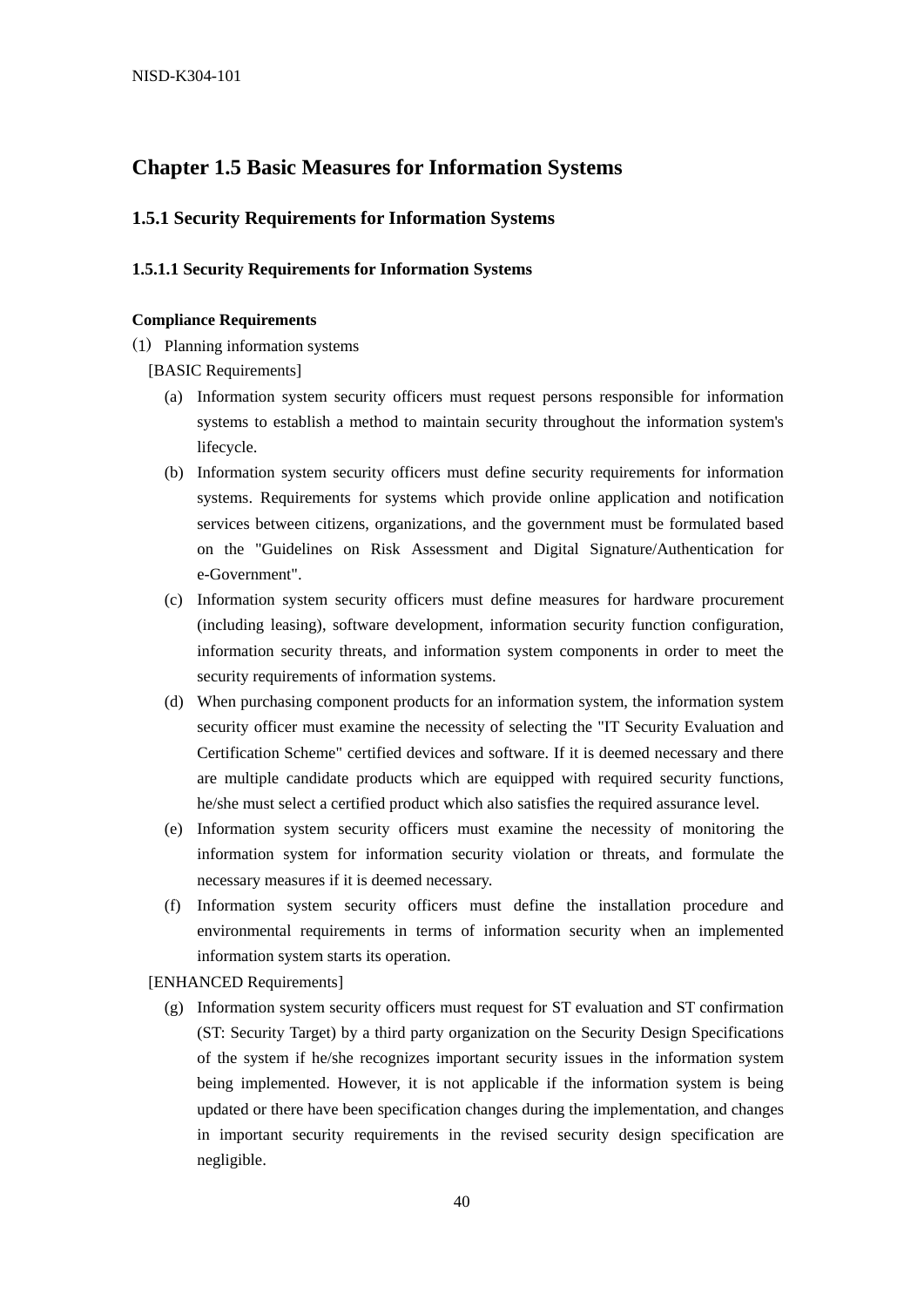# **Chapter 1.5 Basic Measures for Information Systems**

# **1.5.1 Security Requirements for Information Systems**

#### **1.5.1.1 Security Requirements for Information Systems**

#### **Compliance Requirements**

(1) Planning information systems

[BASIC Requirements]

- (a) Information system security officers must request persons responsible for information systems to establish a method to maintain security throughout the information system's lifecycle.
- (b) Information system security officers must define security requirements for information systems. Requirements for systems which provide online application and notification services between citizens, organizations, and the government must be formulated based on the "Guidelines on Risk Assessment and Digital Signature/Authentication for e-Government".
- (c) Information system security officers must define measures for hardware procurement (including leasing), software development, information security function configuration, information security threats, and information system components in order to meet the security requirements of information systems.
- (d) When purchasing component products for an information system, the information system security officer must examine the necessity of selecting the "IT Security Evaluation and Certification Scheme" certified devices and software. If it is deemed necessary and there are multiple candidate products which are equipped with required security functions, he/she must select a certified product which also satisfies the required assurance level.
- (e) Information system security officers must examine the necessity of monitoring the information system for information security violation or threats, and formulate the necessary measures if it is deemed necessary.
- (f) Information system security officers must define the installation procedure and environmental requirements in terms of information security when an implemented information system starts its operation.

[ENHANCED Requirements]

(g) Information system security officers must request for ST evaluation and ST confirmation (ST: Security Target) by a third party organization on the Security Design Specifications of the system if he/she recognizes important security issues in the information system being implemented. However, it is not applicable if the information system is being updated or there have been specification changes during the implementation, and changes in important security requirements in the revised security design specification are negligible.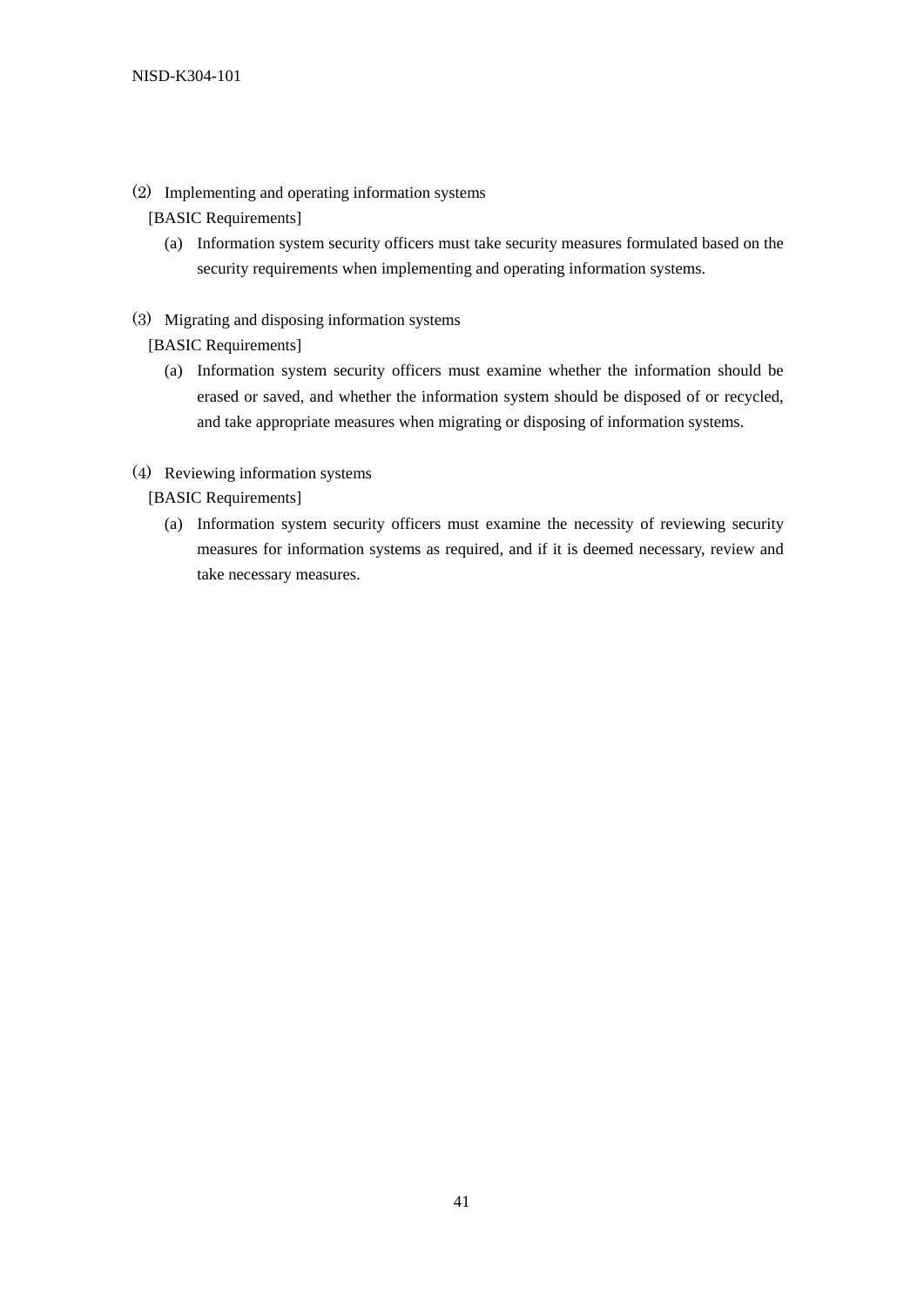- (2) Implementing and operating information systems [BASIC Requirements]
	- (a) Information system security officers must take security measures formulated based on the security requirements when implementing and operating information systems.
- (3) Migrating and disposing information systems

- (a) Information system security officers must examine whether the information should be erased or saved, and whether the information system should be disposed of or recycled, and take appropriate measures when migrating or disposing of information systems.
- (4) Reviewing information systems
	- [BASIC Requirements]
		- (a) Information system security officers must examine the necessity of reviewing security measures for information systems as required, and if it is deemed necessary, review and take necessary measures.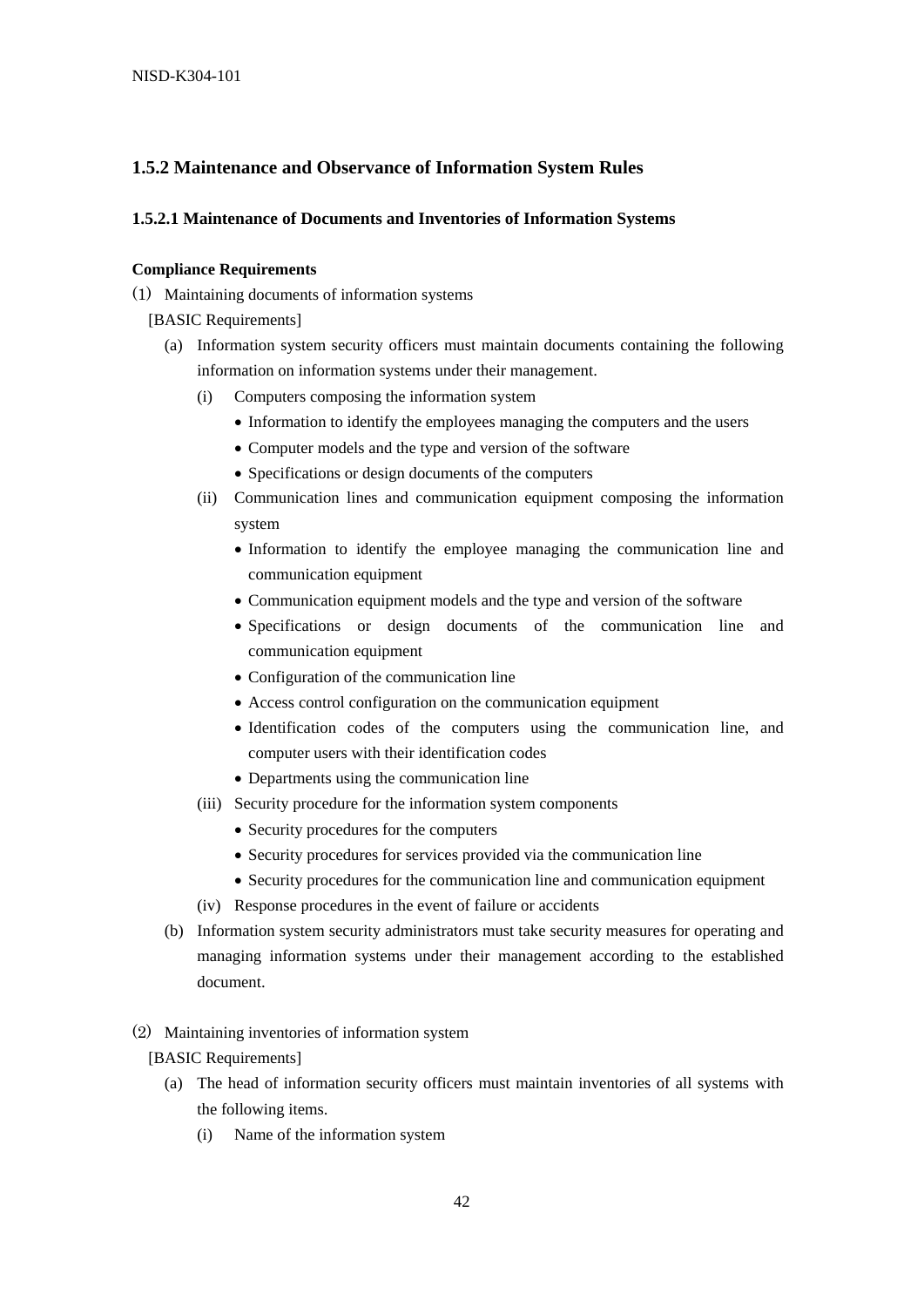# **1.5.2 Maintenance and Observance of Information System Rules**

### **1.5.2.1 Maintenance of Documents and Inventories of Information Systems**

- (1) Maintaining documents of information systems
- [BASIC Requirements]
	- (a) Information system security officers must maintain documents containing the following information on information systems under their management.
		- (i) Computers composing the information system
			- Information to identify the employees managing the computers and the users
			- Computer models and the type and version of the software
			- Specifications or design documents of the computers
		- (ii) Communication lines and communication equipment composing the information system
			- Information to identify the employee managing the communication line and communication equipment
			- Communication equipment models and the type and version of the software
			- Specifications or design documents of the communication line and communication equipment
			- Configuration of the communication line
			- Access control configuration on the communication equipment
			- Identification codes of the computers using the communication line, and computer users with their identification codes
			- Departments using the communication line
		- (iii) Security procedure for the information system components
			- Security procedures for the computers
			- Security procedures for services provided via the communication line
			- Security procedures for the communication line and communication equipment
		- (iv) Response procedures in the event of failure or accidents
	- (b) Information system security administrators must take security measures for operating and managing information systems under their management according to the established document.
- (2) Maintaining inventories of information system
	- [BASIC Requirements]
		- (a) The head of information security officers must maintain inventories of all systems with the following items.
			- (i) Name of the information system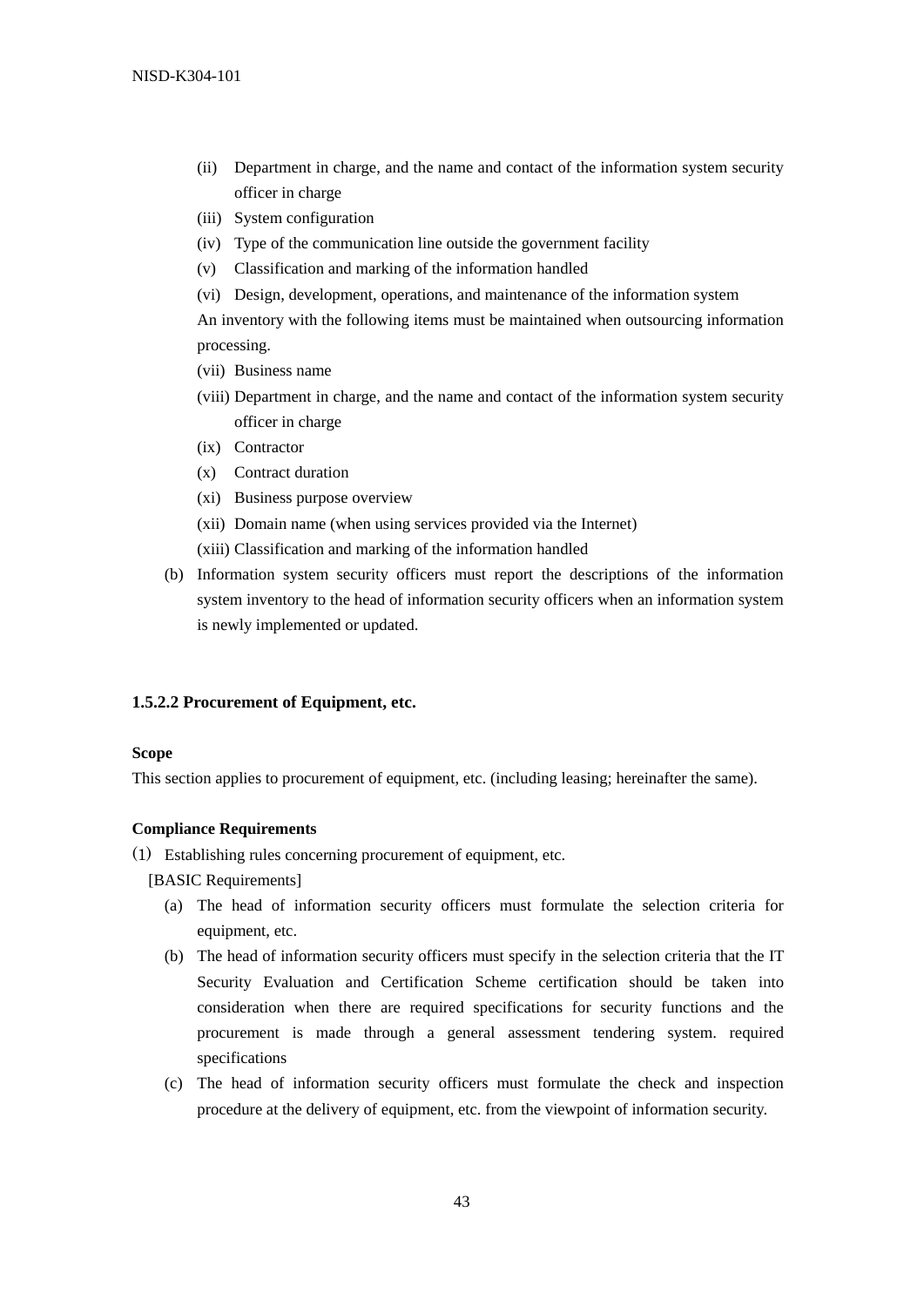- (ii) Department in charge, and the name and contact of the information system security officer in charge
- (iii) System configuration
- (iv) Type of the communication line outside the government facility
- (v) Classification and marking of the information handled
- (vi) Design, development, operations, and maintenance of the information system

An inventory with the following items must be maintained when outsourcing information processing.

- (vii) Business name
- (viii) Department in charge, and the name and contact of the information system security officer in charge
- (ix) Contractor
- (x) Contract duration
- (xi) Business purpose overview
- (xii) Domain name (when using services provided via the Internet)
- (xiii) Classification and marking of the information handled
- (b) Information system security officers must report the descriptions of the information system inventory to the head of information security officers when an information system is newly implemented or updated.

#### **1.5.2.2 Procurement of Equipment, etc.**

#### **Scope**

This section applies to procurement of equipment, etc. (including leasing; hereinafter the same).

- (1) Establishing rules concerning procurement of equipment, etc.
	- [BASIC Requirements]
		- (a) The head of information security officers must formulate the selection criteria for equipment, etc.
		- (b) The head of information security officers must specify in the selection criteria that the IT Security Evaluation and Certification Scheme certification should be taken into consideration when there are required specifications for security functions and the procurement is made through a general assessment tendering system. required specifications
		- (c) The head of information security officers must formulate the check and inspection procedure at the delivery of equipment, etc. from the viewpoint of information security.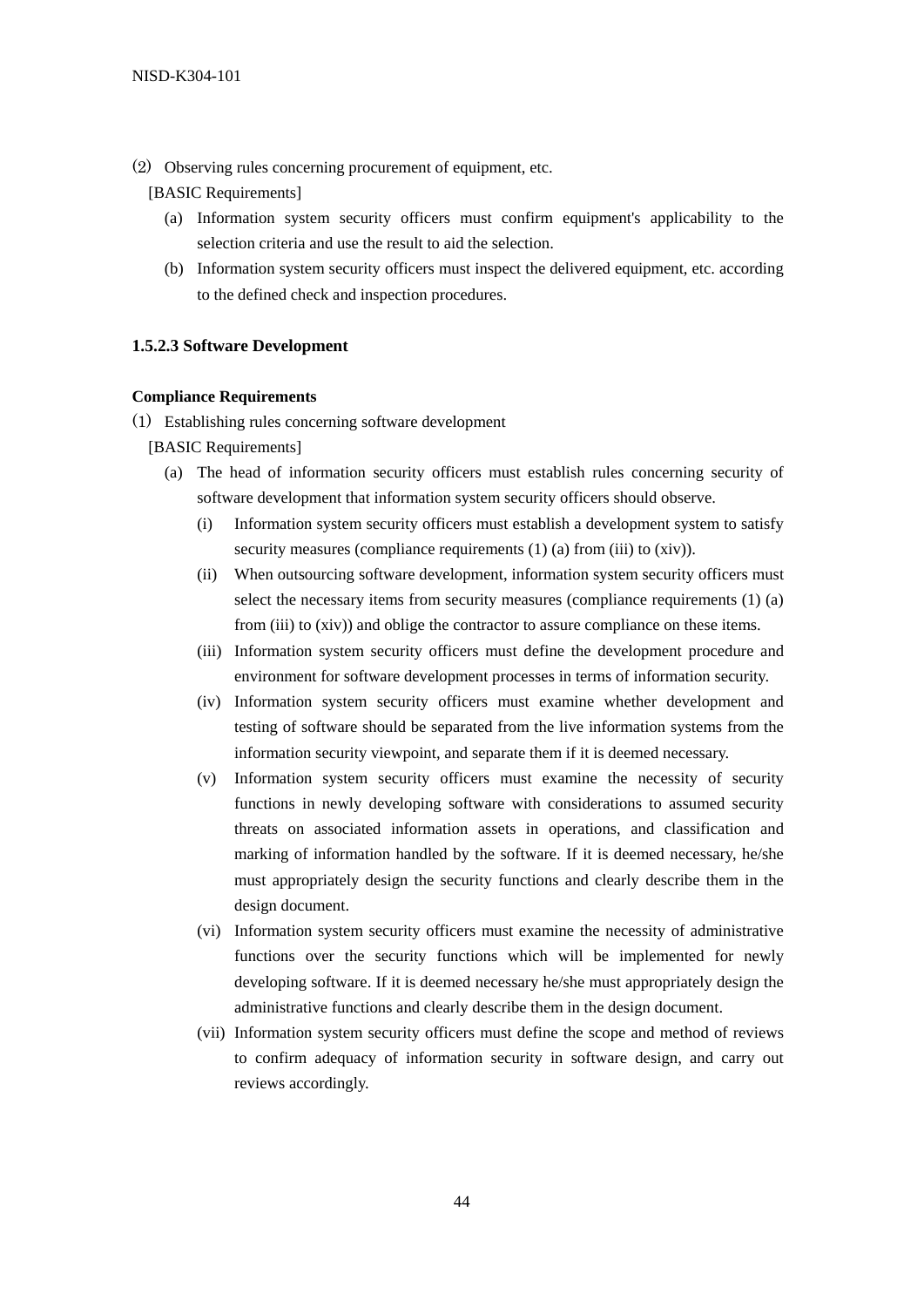(2) Observing rules concerning procurement of equipment, etc.

[BASIC Requirements]

- (a) Information system security officers must confirm equipment's applicability to the selection criteria and use the result to aid the selection.
- (b) Information system security officers must inspect the delivered equipment, etc. according to the defined check and inspection procedures.

#### **1.5.2.3 Software Development**

- (1) Establishing rules concerning software development
	- [BASIC Requirements]
		- (a) The head of information security officers must establish rules concerning security of software development that information system security officers should observe.
			- (i) Information system security officers must establish a development system to satisfy security measures (compliance requirements (1) (a) from (iii) to (xiv)).
			- (ii) When outsourcing software development, information system security officers must select the necessary items from security measures (compliance requirements (1) (a) from (iii) to (xiv)) and oblige the contractor to assure compliance on these items.
			- (iii) Information system security officers must define the development procedure and environment for software development processes in terms of information security.
			- (iv) Information system security officers must examine whether development and testing of software should be separated from the live information systems from the information security viewpoint, and separate them if it is deemed necessary.
			- (v) Information system security officers must examine the necessity of security functions in newly developing software with considerations to assumed security threats on associated information assets in operations, and classification and marking of information handled by the software. If it is deemed necessary, he/she must appropriately design the security functions and clearly describe them in the design document.
			- (vi) Information system security officers must examine the necessity of administrative functions over the security functions which will be implemented for newly developing software. If it is deemed necessary he/she must appropriately design the administrative functions and clearly describe them in the design document.
			- (vii) Information system security officers must define the scope and method of reviews to confirm adequacy of information security in software design, and carry out reviews accordingly.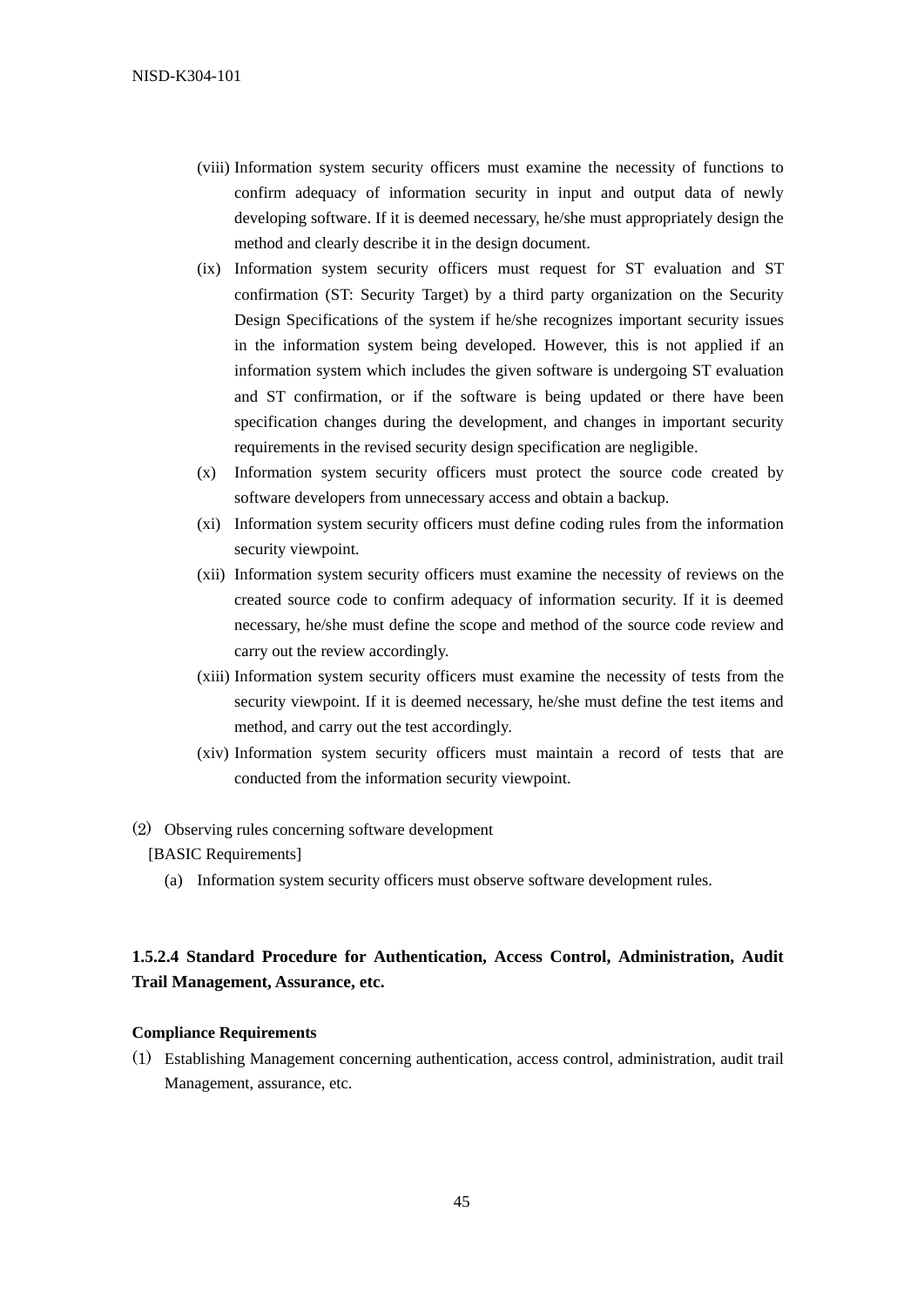- (viii) Information system security officers must examine the necessity of functions to confirm adequacy of information security in input and output data of newly developing software. If it is deemed necessary, he/she must appropriately design the method and clearly describe it in the design document.
- (ix) Information system security officers must request for ST evaluation and ST confirmation (ST: Security Target) by a third party organization on the Security Design Specifications of the system if he/she recognizes important security issues in the information system being developed. However, this is not applied if an information system which includes the given software is undergoing ST evaluation and ST confirmation, or if the software is being updated or there have been specification changes during the development, and changes in important security requirements in the revised security design specification are negligible.
- (x) Information system security officers must protect the source code created by software developers from unnecessary access and obtain a backup.
- (xi) Information system security officers must define coding rules from the information security viewpoint.
- (xii) Information system security officers must examine the necessity of reviews on the created source code to confirm adequacy of information security. If it is deemed necessary, he/she must define the scope and method of the source code review and carry out the review accordingly.
- (xiii) Information system security officers must examine the necessity of tests from the security viewpoint. If it is deemed necessary, he/she must define the test items and method, and carry out the test accordingly.
- (xiv) Information system security officers must maintain a record of tests that are conducted from the information security viewpoint.
- (2) Observing rules concerning software development
	- [BASIC Requirements]
		- (a) Information system security officers must observe software development rules.

# **1.5.2.4 Standard Procedure for Authentication, Access Control, Administration, Audit Trail Management, Assurance, etc.**

#### **Compliance Requirements**

(1) Establishing Management concerning authentication, access control, administration, audit trail Management, assurance, etc.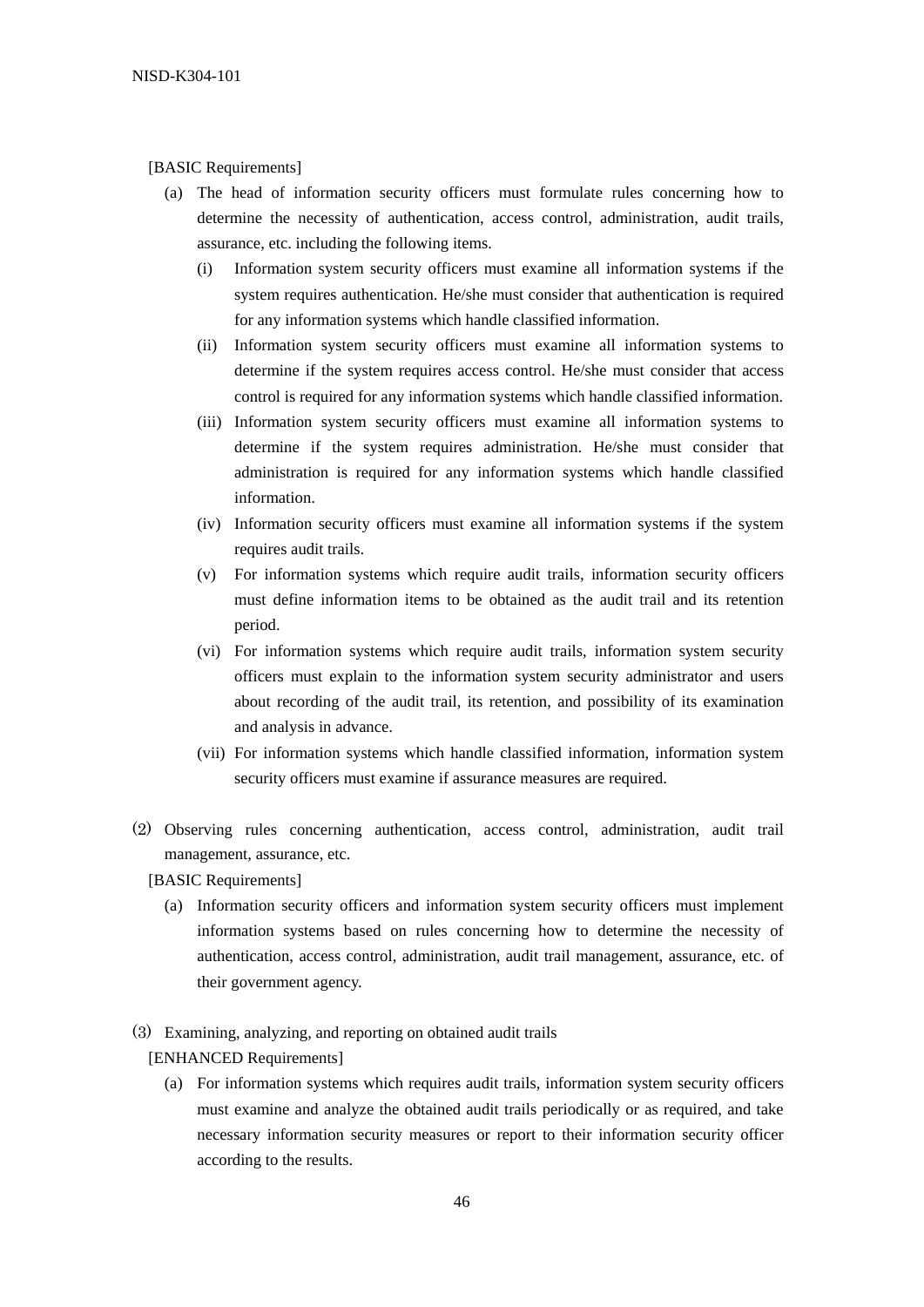- (a) The head of information security officers must formulate rules concerning how to determine the necessity of authentication, access control, administration, audit trails, assurance, etc. including the following items.
	- (i) Information system security officers must examine all information systems if the system requires authentication. He/she must consider that authentication is required for any information systems which handle classified information.
	- (ii) Information system security officers must examine all information systems to determine if the system requires access control. He/she must consider that access control is required for any information systems which handle classified information.
	- (iii) Information system security officers must examine all information systems to determine if the system requires administration. He/she must consider that administration is required for any information systems which handle classified information.
	- (iv) Information security officers must examine all information systems if the system requires audit trails.
	- (v) For information systems which require audit trails, information security officers must define information items to be obtained as the audit trail and its retention period.
	- (vi) For information systems which require audit trails, information system security officers must explain to the information system security administrator and users about recording of the audit trail, its retention, and possibility of its examination and analysis in advance.
	- (vii) For information systems which handle classified information, information system security officers must examine if assurance measures are required.
- (2) Observing rules concerning authentication, access control, administration, audit trail management, assurance, etc.
	- [BASIC Requirements]
		- (a) Information security officers and information system security officers must implement information systems based on rules concerning how to determine the necessity of authentication, access control, administration, audit trail management, assurance, etc. of their government agency.
- (3) Examining, analyzing, and reporting on obtained audit trails
	- [ENHANCED Requirements]
		- (a) For information systems which requires audit trails, information system security officers must examine and analyze the obtained audit trails periodically or as required, and take necessary information security measures or report to their information security officer according to the results.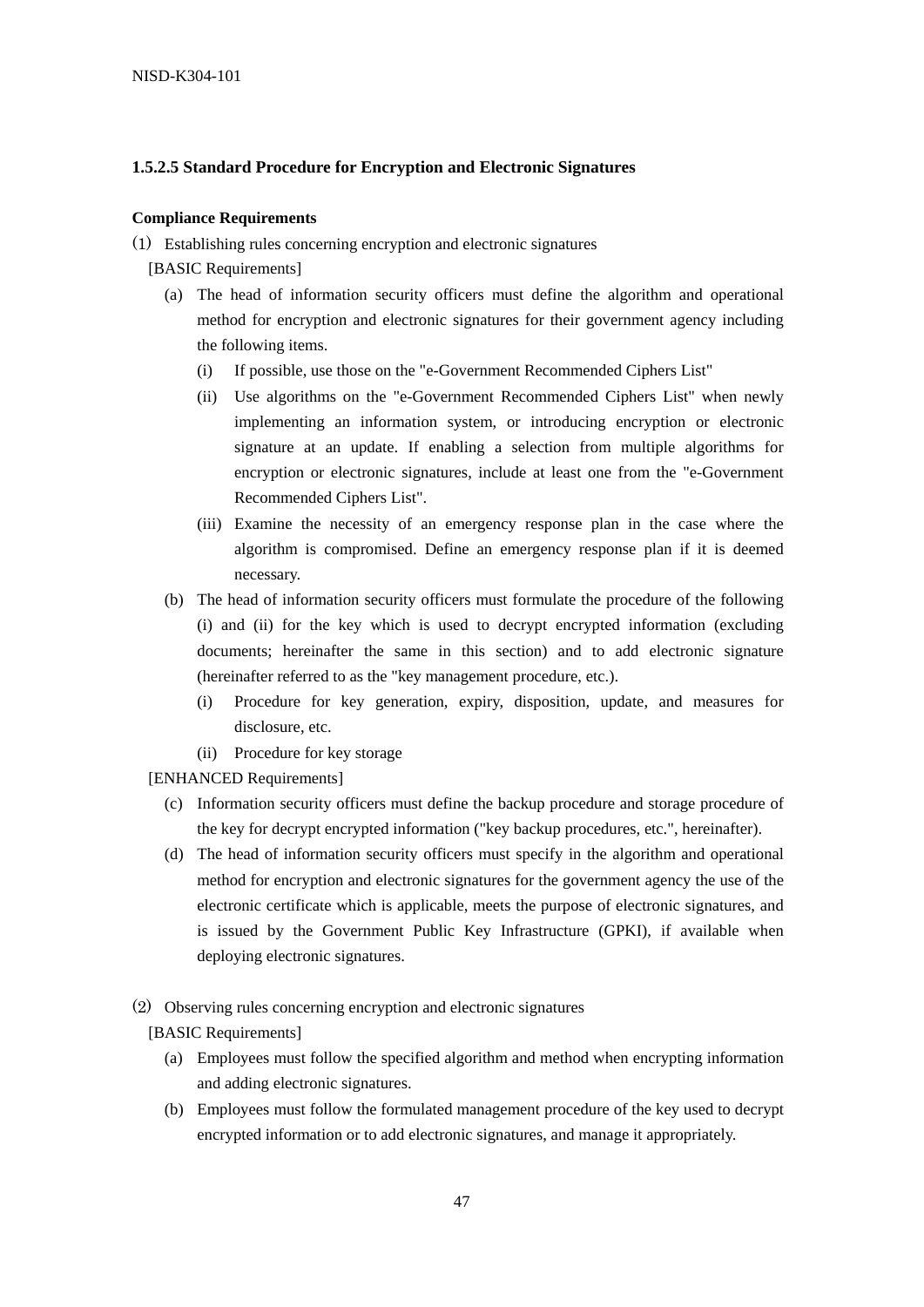# **1.5.2.5 Standard Procedure for Encryption and Electronic Signatures**

#### **Compliance Requirements**

- (1) Establishing rules concerning encryption and electronic signatures
	- [BASIC Requirements]
		- (a) The head of information security officers must define the algorithm and operational method for encryption and electronic signatures for their government agency including the following items.
			- (i) If possible, use those on the "e-Government Recommended Ciphers List"
			- (ii) Use algorithms on the "e-Government Recommended Ciphers List" when newly implementing an information system, or introducing encryption or electronic signature at an update. If enabling a selection from multiple algorithms for encryption or electronic signatures, include at least one from the "e-Government Recommended Ciphers List".
			- (iii) Examine the necessity of an emergency response plan in the case where the algorithm is compromised. Define an emergency response plan if it is deemed necessary.
		- (b) The head of information security officers must formulate the procedure of the following (i) and (ii) for the key which is used to decrypt encrypted information (excluding documents; hereinafter the same in this section) and to add electronic signature (hereinafter referred to as the "key management procedure, etc.).
			- (i) Procedure for key generation, expiry, disposition, update, and measures for disclosure, etc.
			- (ii) Procedure for key storage

#### [ENHANCED Requirements]

- (c) Information security officers must define the backup procedure and storage procedure of the key for decrypt encrypted information ("key backup procedures, etc.", hereinafter).
- (d) The head of information security officers must specify in the algorithm and operational method for encryption and electronic signatures for the government agency the use of the electronic certificate which is applicable, meets the purpose of electronic signatures, and is issued by the Government Public Key Infrastructure (GPKI), if available when deploying electronic signatures.
- (2) Observing rules concerning encryption and electronic signatures
	- [BASIC Requirements]
		- (a) Employees must follow the specified algorithm and method when encrypting information and adding electronic signatures.
		- (b) Employees must follow the formulated management procedure of the key used to decrypt encrypted information or to add electronic signatures, and manage it appropriately.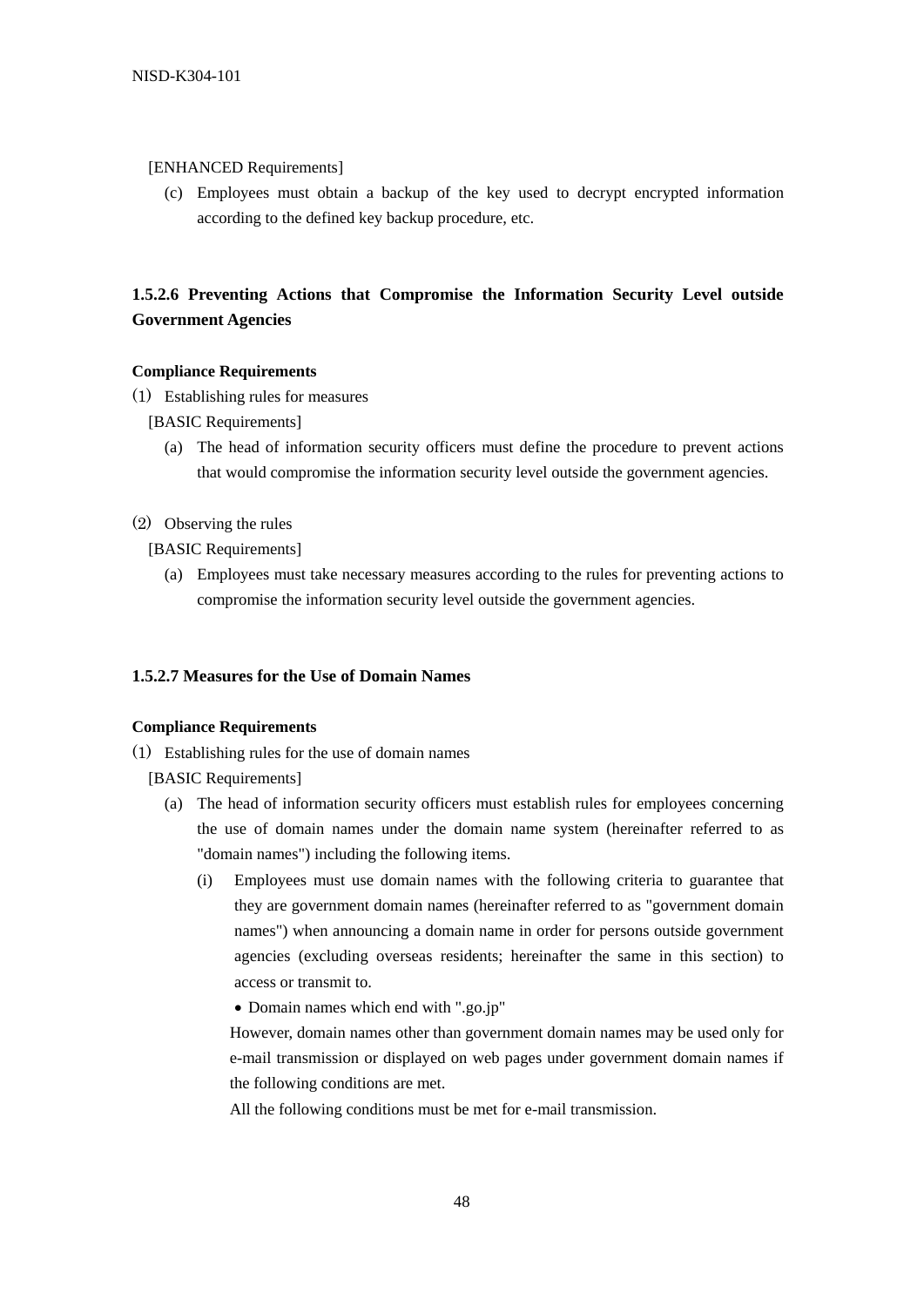#### [ENHANCED Requirements]

(c) Employees must obtain a backup of the key used to decrypt encrypted information according to the defined key backup procedure, etc.

# **1.5.2.6 Preventing Actions that Compromise the Information Security Level outside Government Agencies**

#### **Compliance Requirements**

- (1) Establishing rules for measures
	- [BASIC Requirements]
		- (a) The head of information security officers must define the procedure to prevent actions that would compromise the information security level outside the government agencies.
- (2) Observing the rules

[BASIC Requirements]

(a) Employees must take necessary measures according to the rules for preventing actions to compromise the information security level outside the government agencies.

#### **1.5.2.7 Measures for the Use of Domain Names**

#### **Compliance Requirements**

(1) Establishing rules for the use of domain names

#### [BASIC Requirements]

- (a) The head of information security officers must establish rules for employees concerning the use of domain names under the domain name system (hereinafter referred to as "domain names") including the following items.
	- (i) Employees must use domain names with the following criteria to guarantee that they are government domain names (hereinafter referred to as "government domain names") when announcing a domain name in order for persons outside government agencies (excluding overseas residents; hereinafter the same in this section) to access or transmit to.
		- Domain names which end with ".go.jp"

However, domain names other than government domain names may be used only for e-mail transmission or displayed on web pages under government domain names if the following conditions are met.

All the following conditions must be met for e-mail transmission.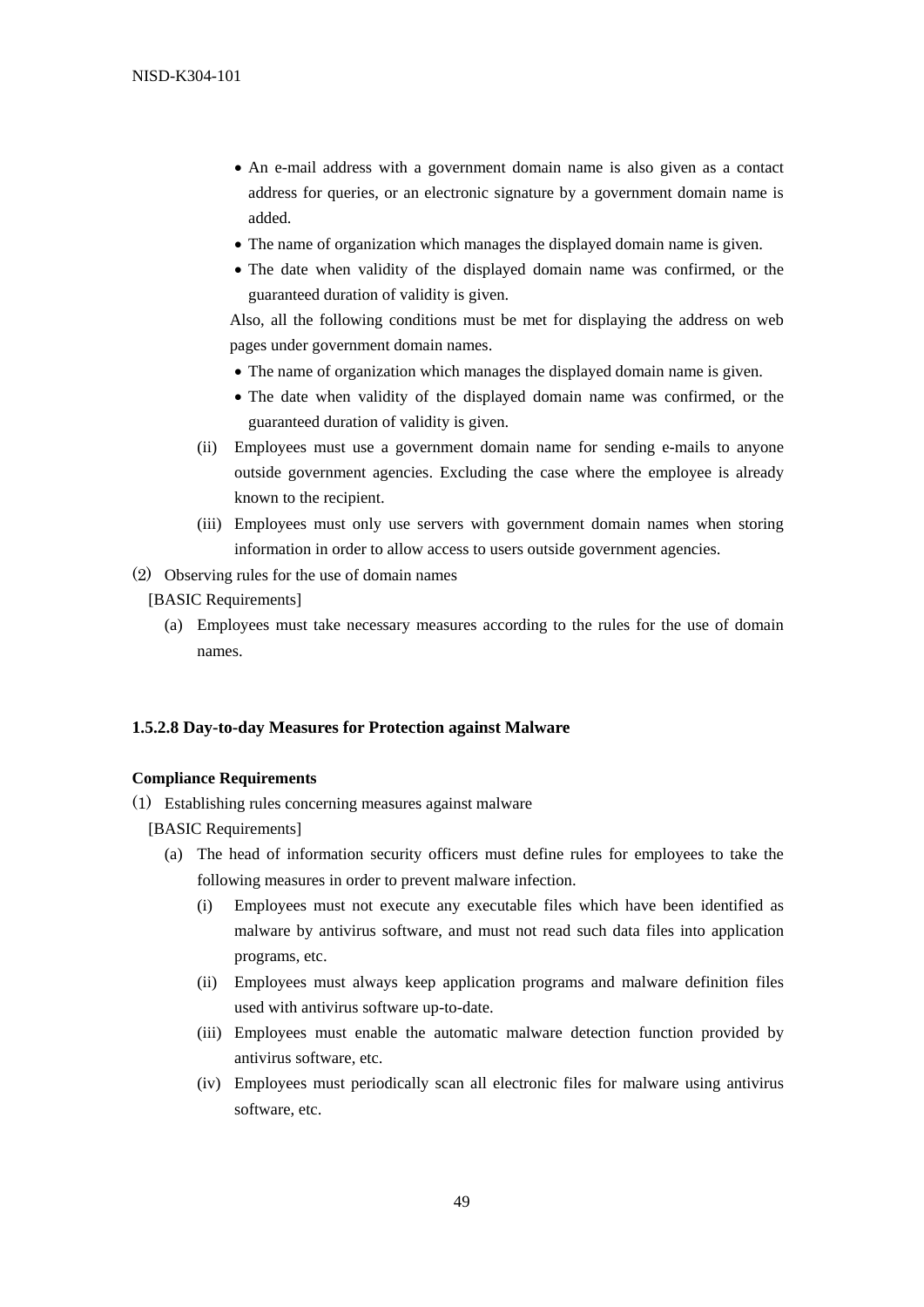- An e-mail address with a government domain name is also given as a contact address for queries, or an electronic signature by a government domain name is added.
- The name of organization which manages the displayed domain name is given.
- The date when validity of the displayed domain name was confirmed, or the guaranteed duration of validity is given.

Also, all the following conditions must be met for displaying the address on web pages under government domain names.

- The name of organization which manages the displayed domain name is given.
- The date when validity of the displayed domain name was confirmed, or the guaranteed duration of validity is given.
- (ii) Employees must use a government domain name for sending e-mails to anyone outside government agencies. Excluding the case where the employee is already known to the recipient.
- (iii) Employees must only use servers with government domain names when storing information in order to allow access to users outside government agencies.
- (2) Observing rules for the use of domain names
	- [BASIC Requirements]
		- (a) Employees must take necessary measures according to the rules for the use of domain names.

#### **1.5.2.8 Day-to-day Measures for Protection against Malware**

- (1) Establishing rules concerning measures against malware
	- [BASIC Requirements]
		- (a) The head of information security officers must define rules for employees to take the following measures in order to prevent malware infection.
			- (i) Employees must not execute any executable files which have been identified as malware by antivirus software, and must not read such data files into application programs, etc.
			- (ii) Employees must always keep application programs and malware definition files used with antivirus software up-to-date.
			- (iii) Employees must enable the automatic malware detection function provided by antivirus software, etc.
			- (iv) Employees must periodically scan all electronic files for malware using antivirus software, etc.